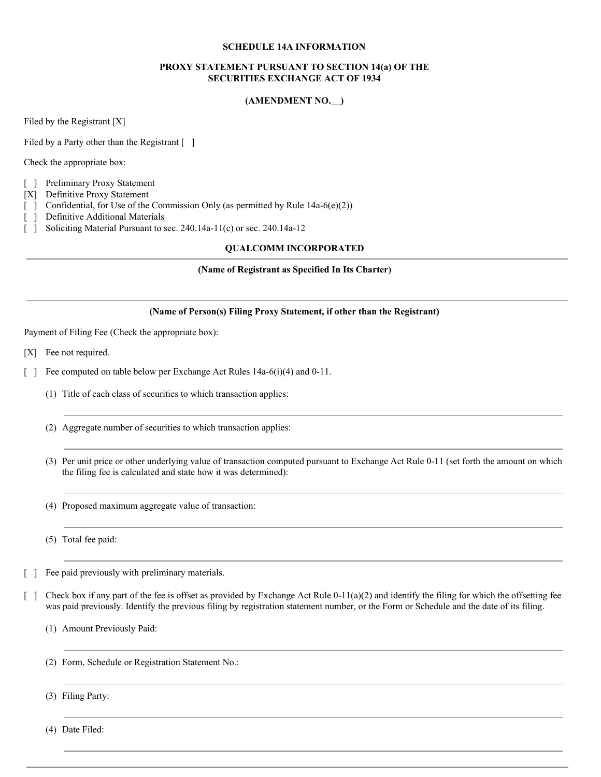# **SCHEDULE 14A INFORMATION**

# **PROXY STATEMENT PURSUANT TO SECTION 14(a) OF THE SECURITIES EXCHANGE ACT OF 1934**

# **(AMENDMENT NO. )**

Filed by the Registrant [X]

Filed by a Party other than the Registrant [ ]

Check the appropriate box:

- [ ] Preliminary Proxy Statement
- [X] Definitive Proxy Statement
- [ ] Confidential, for Use of the Commission Only (as permitted by Rule 14a-6(e)(2))
- [ ] Definitive Additional Materials
- [ ] Soliciting Material Pursuant to sec. 240.14a-11(c) or sec. 240.14a-12

# **QUALCOMM INCORPORATED**

# **(Name of Registrant as Specified In Its Charter)**

# **(Name of Person(s) Filing Proxy Statement, if other than the Registrant)**

Payment of Filing Fee (Check the appropriate box):

- [X] Fee not required.
- [ ] Fee computed on table below per Exchange Act Rules 14a-6(i)(4) and 0-11.
	- (1) Title of each class of securities to which transaction applies:
	- (2) Aggregate number of securities to which transaction applies:
	- (3) Per unit price or other underlying value of transaction computed pursuant to Exchange Act Rule 0-11 (set forth the amount on which the filing fee is calculated and state how it was determined):
	- (4) Proposed maximum aggregate value of transaction:
	- (5) Total fee paid:
- [ ] Fee paid previously with preliminary materials.
- [ ] Check box if any part of the fee is offset as provided by Exchange Act Rule  $0-11(a)(2)$  and identify the filing for which the offsetting fee was paid previously. Identify the previous filing by registration statement number, or the Form or Schedule and the date of its filing.
	- (1) Amount Previously Paid:
	- (2) Form, Schedule or Registration Statement No.:
	- (3) Filing Party:

(4) Date Filed: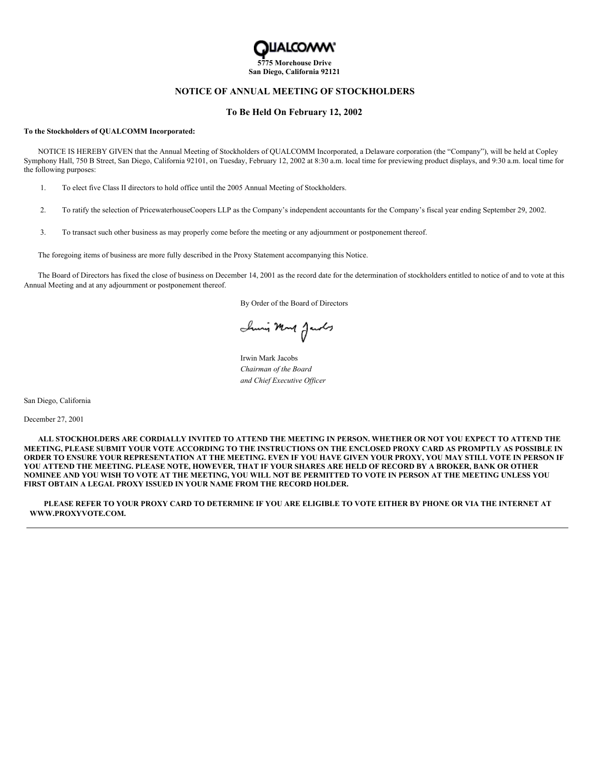

# **NOTICE OF ANNUAL MEETING OF STOCKHOLDERS**

### **To Be Held On February 12, 2002**

#### **To the Stockholders of QUALCOMM Incorporated:**

NOTICE IS HEREBY GIVEN that the Annual Meeting of Stockholders of QUALCOMM Incorporated, a Delaware corporation (the "Company"), will be held at Copley Symphony Hall, 750 B Street, San Diego, California 92101, on Tuesday, February 12, 2002 at 8:30 a.m. local time for previewing product displays, and 9:30 a.m. local time for the following purposes:

- 1. To elect five Class II directors to hold office until the 2005 Annual Meeting of Stockholders.
- 2. To ratify the selection of PricewaterhouseCoopers LLP as the Company's independent accountants for the Company's fiscal year ending September 29, 2002.
- 3. To transact such other business as may properly come before the meeting or any adjournment or postponement thereof.

The foregoing items of business are more fully described in the Proxy Statement accompanying this Notice.

The Board of Directors has fixed the close of business on December 14, 2001 as the record date for the determination of stockholders entitled to notice of and to vote at this Annual Meeting and at any adjournment or postponement thereof.

By Order of the Board of Directors

Inni Mont Jacobs

Irwin Mark Jacobs *Chairman of the Board and Chief Executive Of icer*

San Diego, California

December 27, 2001

ALL STOCKHOLDERS ARE CORDIALLY INVITED TO ATTEND THE MEETING IN PERSON. WHETHER OR NOT YOU EXPECT TO ATTEND THE MEETING, PLEASE SUBMIT YOUR VOTE ACCORDING TO THE INSTRUCTIONS ON THE ENCLOSED PROXY CARD AS PROMPTLY AS POSSIBLE IN ORDER TO ENSURE YOUR REPRESENTATION AT THE MEETING. EVEN IF YOU HAVE GIVEN YOUR PROXY, YOU MAY STILL VOTE IN PERSON IF YOU ATTEND THE MEETING. PLEASE NOTE, HOWEVER, THAT IF YOUR SHARES ARE HELD OF RECORD BY A BROKER, BANK OR OTHER NOMINEE AND YOU WISH TO VOTE AT THE MEETING, YOU WILL NOT BE PERMITTED TO VOTE IN PERSON AT THE MEETING UNLESS YOU **FIRST OBTAIN A LEGAL PROXY ISSUED IN YOUR NAME FROM THE RECORD HOLDER.**

PLEASE REFER TO YOUR PROXY CARD TO DETERMINE IF YOU ARE ELIGIBLE TO VOTE EITHER BY PHONE OR VIA THE INTERNET AT **WWW.PROXYVOTE.COM.**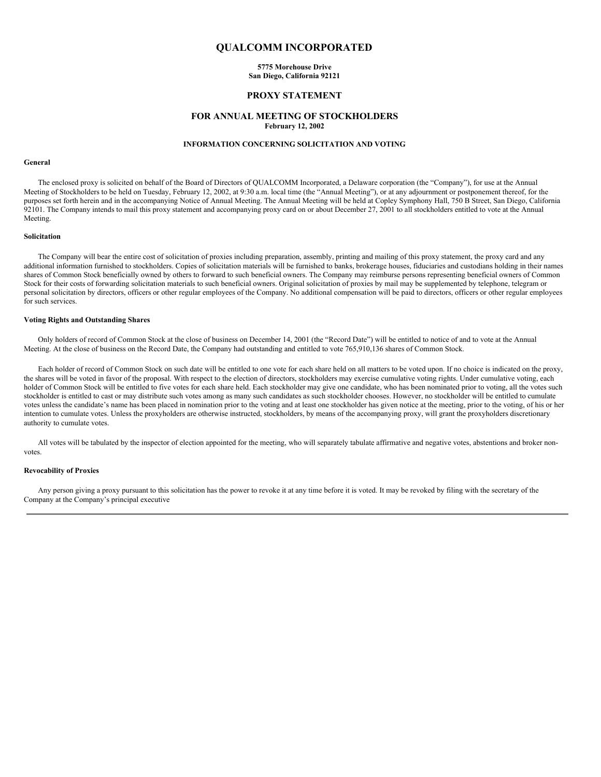# **QUALCOMM INCORPORATED**

**5775 Morehouse Drive San Diego, California 92121**

### **PROXY STATEMENT**

### **FOR ANNUAL MEETING OF STOCKHOLDERS February 12, 2002**

### **INFORMATION CONCERNING SOLICITATION AND VOTING**

#### **General**

The enclosed proxy is solicited on behalf of the Board of Directors of QUALCOMM Incorporated, a Delaware corporation (the "Company"), for use at the Annual Meeting of Stockholders to be held on Tuesday, February 12, 2002, at 9:30 a.m. local time (the "Annual Meeting"), or at any adjournment or postponement thereof, for the purposes set forth herein and in the accompanying Notice of Annual Meeting. The Annual Meeting will be held at Copley Symphony Hall, 750 B Street, San Diego, California 92101. The Company intends to mail this proxy statement and accompanying proxy card on or about December 27, 2001 to all stockholders entitled to vote at the Annual Meeting.

### **Solicitation**

The Company will bear the entire cost of solicitation of proxies including preparation, assembly, printing and mailing of this proxy statement, the proxy card and any additional information furnished to stockholders. Copies of solicitation materials will be furnished to banks, brokerage houses, fiduciaries and custodians holding in their names shares of Common Stock beneficially owned by others to forward to such beneficial owners. The Company may reimburse persons representing beneficial owners of Common Stock for their costs of forwarding solicitation materials to such beneficial owners. Original solicitation of proxies by mail may be supplemented by telephone, telegram or personal solicitation by directors, officers or other regular employees of the Company. No additional compensation will be paid to directors, officers or other regular employees for such services.

### **Voting Rights and Outstanding Shares**

Only holders of record of Common Stock at the close of business on December 14, 2001 (the "Record Date") will be entitled to notice of and to vote at the Annual Meeting. At the close of business on the Record Date, the Company had outstanding and entitled to vote 765,910,136 shares of Common Stock.

Each holder of record of Common Stock on such date will be entitled to one vote for each share held on all matters to be voted upon. If no choice is indicated on the proxy, the shares will be voted in favor of the proposal. With respect to the election of directors, stockholders may exercise cumulative voting rights. Under cumulative voting, each holder of Common Stock will be entitled to five votes for each share held. Each stockholder may give one candidate, who has been nominated prior to voting, all the votes such stockholder is entitled to cast or may distribute such votes among as many such candidates as such stockholder chooses. However, no stockholder will be entitled to cumulate votes unless the candidate's name has been placed in nomination prior to the voting and at least one stockholder has given notice at the meeting, prior to the voting, of his or her intention to cumulate votes. Unless the proxyholders are otherwise instructed, stockholders, by means of the accompanying proxy, will grant the proxyholders discretionary authority to cumulate votes.

All votes will be tabulated by the inspector of election appointed for the meeting, who will separately tabulate affirmative and negative votes, abstentions and broker nonvotes.

#### **Revocability of Proxies**

Any person giving a proxy pursuant to this solicitation has the power to revoke it at any time before it is voted. It may be revoked by filing with the secretary of the Company at the Company's principal executive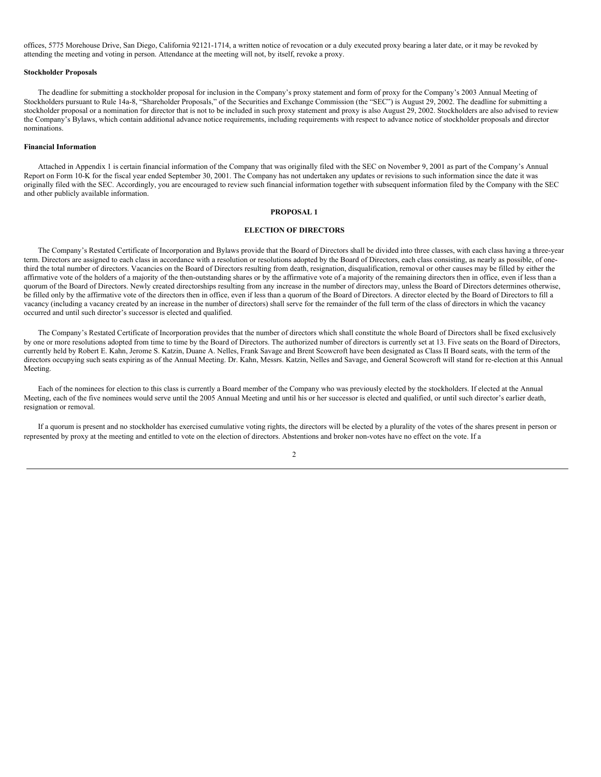offices, 5775 Morehouse Drive, San Diego, California 92121-1714, a written notice of revocation or a duly executed proxy bearing a later date, or it may be revoked by attending the meeting and voting in person. Attendance at the meeting will not, by itself, revoke a proxy.

#### **Stockholder Proposals**

The deadline for submitting a stockholder proposal for inclusion in the Company's proxy statement and form of proxy for the Company's 2003 Annual Meeting of Stockholders pursuant to Rule 14a-8, "Shareholder Proposals," of the Securities and Exchange Commission (the "SEC") is August 29, 2002. The deadline for submitting a stockholder proposal or a nomination for director that is not to be included in such proxy statement and proxy is also August 29, 2002. Stockholders are also advised to review the Company's Bylaws, which contain additional advance notice requirements, including requirements with respect to advance notice of stockholder proposals and director nominations.

#### **Financial Information**

Attached in Appendix 1 is certain financial information of the Company that was originally filed with the SEC on November 9, 2001 as part of the Company's Annual Report on Form 10-K for the fiscal year ended September 30, 2001. The Company has not undertaken any updates or revisions to such information since the date it was originally filed with the SEC. Accordingly, you are encouraged to review such financial information together with subsequent information filed by the Company with the SEC and other publicly available information.

#### **PROPOSAL 1**

#### **ELECTION OF DIRECTORS**

The Company's Restated Certificate of Incorporation and Bylaws provide that the Board of Directors shall be divided into three classes, with each class having a three-year term. Directors are assigned to each class in accordance with a resolution or resolutions adopted by the Board of Directors, each class consisting, as nearly as possible, of onethird the total number of directors. Vacancies on the Board of Directors resulting from death, resignation, disqualification, removal or other causes may be filled by either the affirmative vote of the holders of a majority of the then-outstanding shares or by the affirmative vote of a majority of the remaining directors then in office, even if less than a quorum of the Board of Directors. Newly created directorships resulting from any increase in the number of directors may, unless the Board of Directors determines otherwise, be filled only by the affirmative vote of the directors then in office, even if less than a quorum of the Board of Directors. A director elected by the Board of Directors to fill a vacancy (including a vacancy created by an increase in the number of directors) shall serve for the remainder of the full term of the class of directors in which the vacancy occurred and until such director's successor is elected and qualified.

The Company's Restated Certificate of Incorporation provides that the number of directors which shall constitute the whole Board of Directors shall be fixed exclusively by one or more resolutions adopted from time to time by the Board of Directors. The authorized number of directors is currently set at 13. Five seats on the Board of Directors, currently held by Robert E. Kahn, Jerome S. Katzin, Duane A. Nelles, Frank Savage and Brent Scowcroft have been designated as Class II Board seats, with the term of the directors occupying such seats expiring as of the Annual Meeting. Dr. Kahn, Messrs. Katzin, Nelles and Savage, and General Scowcroft will stand for re-election at this Annual Meeting.

Each of the nominees for election to this class is currently a Board member of the Company who was previously elected by the stockholders. If elected at the Annual Meeting, each of the five nominees would serve until the 2005 Annual Meeting and until his or her successor is elected and qualified, or until such director's earlier death, resignation or removal.

If a quorum is present and no stockholder has exercised cumulative voting rights, the directors will be elected by a plurality of the votes of the shares present in person or represented by proxy at the meeting and entitled to vote on the election of directors. Abstentions and broker non-votes have no effect on the vote. If a

 $\overline{2}$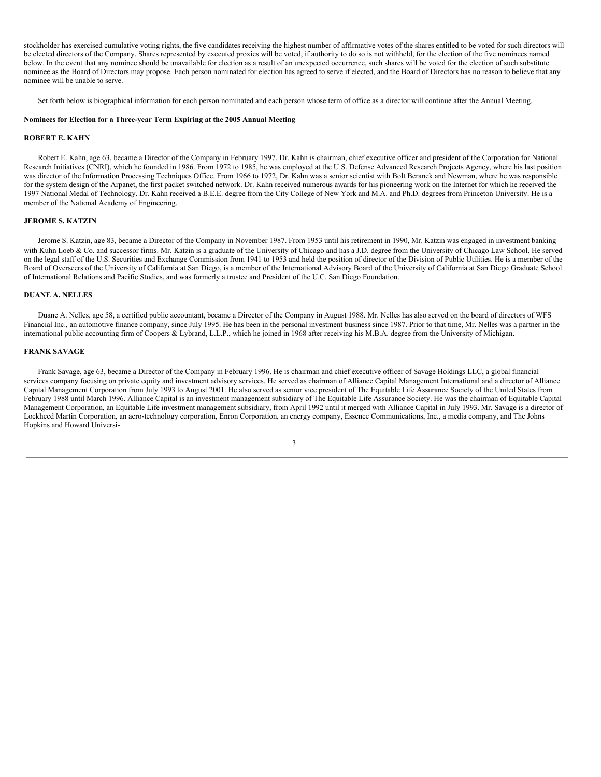stockholder has exercised cumulative voting rights, the five candidates receiving the highest number of affirmative votes of the shares entitled to be voted for such directors will be elected directors of the Company. Shares represented by executed proxies will be voted, if authority to do so is not withheld, for the election of the five nominees named below. In the event that any nominee should be unavailable for election as a result of an unexpected occurrence, such shares will be voted for the election of such substitute nominee as the Board of Directors may propose. Each person nominated for election has agreed to serve if elected, and the Board of Directors has no reason to believe that any nominee will be unable to serve.

Set forth below is biographical information for each person nominated and each person whose term of office as a director will continue after the Annual Meeting.

### **Nominees for Election for a Three-year Term Expiring at the 2005 Annual Meeting**

#### **ROBERT E. KAHN**

Robert E. Kahn, age 63, became a Director of the Company in February 1997. Dr. Kahn is chairman, chief executive officer and president of the Corporation for National Research Initiatives (CNRI), which he founded in 1986. From 1972 to 1985, he was employed at the U.S. Defense Advanced Research Projects Agency, where his last position was director of the Information Processing Techniques Office. From 1966 to 1972, Dr. Kahn was a senior scientist with Bolt Beranek and Newman, where he was responsible for the system design of the Arpanet, the first packet switched network. Dr. Kahn received numerous awards for his pioneering work on the Internet for which he received the 1997 National Medal of Technology. Dr. Kahn received a B.E.E. degree from the City College of New York and M.A. and Ph.D. degrees from Princeton University. He is a member of the National Academy of Engineering.

### **JEROME S. KATZIN**

Jerome S. Katzin, age 83, became a Director of the Company in November 1987. From 1953 until his retirement in 1990, Mr. Katzin was engaged in investment banking with Kuhn Loeb & Co. and successor firms. Mr. Katzin is a graduate of the University of Chicago and has a J.D. degree from the University of Chicago Law School. He served on the legal staff of the U.S. Securities and Exchange Commission from 1941 to 1953 and held the position of director of the Division of Public Utilities. He is a member of the Board of Overseers of the University of California at San Diego, is a member of the International Advisory Board of the University of California at San Diego Graduate School of International Relations and Pacific Studies, and was formerly a trustee and President of the U.C. San Diego Foundation.

### **DUANE A. NELLES**

Duane A. Nelles, age 58, a certified public accountant, became a Director of the Company in August 1988. Mr. Nelles has also served on the board of directors of WFS Financial Inc., an automotive finance company, since July 1995. He has been in the personal investment business since 1987. Prior to that time, Mr. Nelles was a partner in the international public accounting firm of Coopers & Lybrand, L.L.P., which he joined in 1968 after receiving his M.B.A. degree from the University of Michigan.

#### **FRANK SAVAGE**

Frank Savage, age 63, became a Director of the Company in February 1996. He is chairman and chief executive officer of Savage Holdings LLC, a global financial services company focusing on private equity and investment advisory services. He served as chairman of Alliance Capital Management International and a director of Alliance Capital Management Corporation from July 1993 to August 2001. He also served as senior vice president of The Equitable Life Assurance Society of the United States from February 1988 until March 1996. Alliance Capital is an investment management subsidiary of The Equitable Life Assurance Society. He was the chairman of Equitable Capital Management Corporation, an Equitable Life investment management subsidiary, from April 1992 until it merged with Alliance Capital in July 1993. Mr. Savage is a director of Lockheed Martin Corporation, an aero-technology corporation, Enron Corporation, an energy company, Essence Communications, Inc., a media company, and The Johns Hopkins and Howard Universi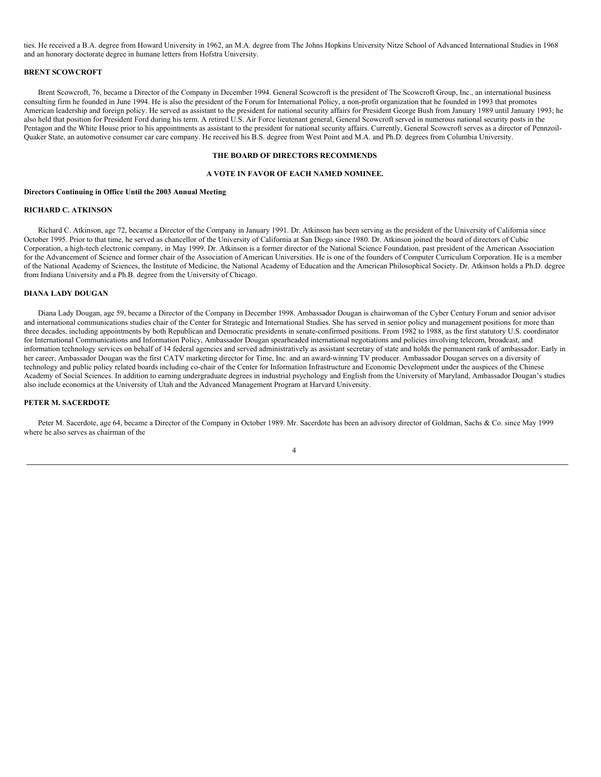ties. He received a B.A. degree from Howard University in 1962, an M.A. degree from The Johns Hopkins University Nitze School of Advanced International Studies in 1968 and an honorary doctorate degree in humane letters from Hofstra University.

#### **BRENT SCOWCROFT**

Brent Scowcroft, 76, became a Director of the Company in December 1994. General Scowcroft is the president of The Scowcroft Group, Inc., an international business consulting firm he founded in June 1994. He is also the president of the Forum for International Policy, a non-profit organization that he founded in 1993 that promotes American leadership and foreign policy. He served as assistant to the president for national security affairs for President George Bush from January 1989 until January 1993; he also held that position for President Ford during his term. A retired U.S. Air Force lieutenant general, General Scowcroft served in numerous national security posts in the Pentagon and the White House prior to his appointments as assistant to the president for national security affairs. Currently, General Scowcroft serves as a director of Pennzoil-Quaker State, an automotive consumer car care company. He received his B.S. degree from West Point and M.A. and Ph.D. degrees from Columbia University.

### **THE BOARD OF DIRECTORS RECOMMENDS**

#### **A VOTE IN FAVOR OF EACH NAMED NOMINEE.**

#### **Directors Continuing in Office Until the 2003 Annual Meeting**

### **RICHARD C. ATKINSON**

Richard C. Atkinson, age 72, became a Director of the Company in January 1991. Dr. Atkinson has been serving as the president of the University of California since October 1995. Prior to that time, he served as chancellor of the University of California at San Diego since 1980. Dr. Atkinson joined the board of directors of Cubic Corporation, a high-tech electronic company, in May 1999. Dr. Atkinson is a former director of the National Science Foundation, past president of the American Association for the Advancement of Science and former chair of the Association of American Universities. He is one of the founders of Computer Curriculum Corporation. He is a member of the National Academy of Sciences, the Institute of Medicine, the National Academy of Education and the American Philosophical Society. Dr. Atkinson holds a Ph.D. degree from Indiana University and a Ph.B. degree from the University of Chicago.

### **DIANA LADY DOUGAN**

Diana Lady Dougan, age 59, became a Director of the Company in December 1998. Ambassador Dougan is chairwoman of the Cyber Century Forum and senior advisor and international communications studies chair of the Center for Strategic and International Studies. She has served in senior policy and management positions for more than three decades, including appointments by both Republican and Democratic presidents in senate-confirmed positions. From 1982 to 1988, as the first statutory U.S. coordinator for International Communications and Information Policy, Ambassador Dougan spearheaded international negotiations and policies involving telecom, broadcast, and information technology services on behalf of 14 federal agencies and served administratively as assistant secretary of state and holds the permanent rank of ambassador. Early in her career, Ambassador Dougan was the first CATV marketing director for Time, Inc. and an award-winning TV producer. Ambassador Dougan serves on a diversity of technology and public policy related boards including co-chair of the Center for Information Infrastructure and Economic Development under the auspices of the Chinese Academy of Social Sciences. In addition to earning undergraduate degrees in industrial psychology and English from the University of Maryland, Ambassador Dougan's studies also include economics at the University of Utah and the Advanced Management Program at Harvard University.

### **PETER M. SACERDOTE**

Peter M. Sacerdote, age 64, became a Director of the Company in October 1989. Mr. Sacerdote has been an advisory director of Goldman, Sachs & Co. since May 1999 where he also serves as chairman of the

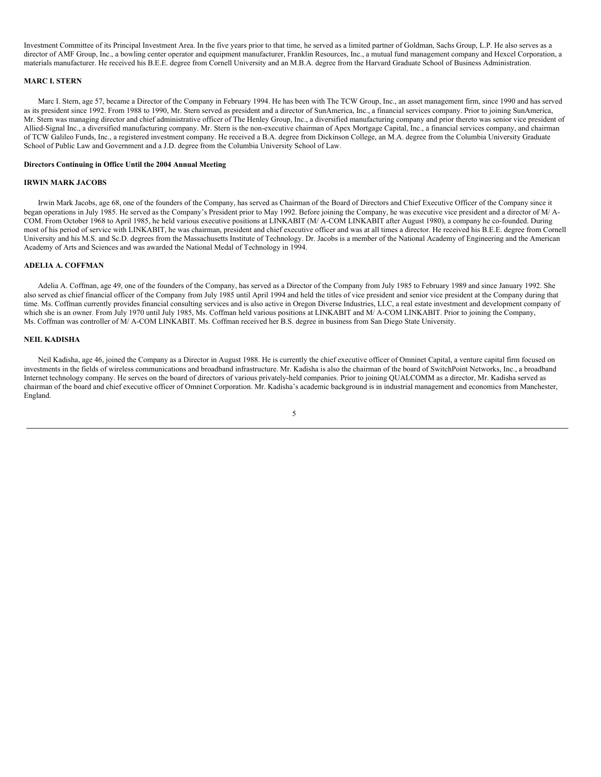Investment Committee of its Principal Investment Area. In the five years prior to that time, he served as a limited partner of Goldman, Sachs Group, L.P. He also serves as a director of AMF Group, Inc., a bowling center operator and equipment manufacturer, Franklin Resources, Inc., a mutual fund management company and Hexcel Corporation, a materials manufacturer. He received his B.E.E. degree from Cornell University and an M.B.A. degree from the Harvard Graduate School of Business Administration.

### **MARC I. STERN**

Marc I. Stern, age 57, became a Director of the Company in February 1994. He has been with The TCW Group, Inc., an asset management firm, since 1990 and has served as its president since 1992. From 1988 to 1990, Mr. Stern served as president and a director of SunAmerica, Inc., a financial services company. Prior to joining SunAmerica, Mr. Stern was managing director and chief administrative officer of The Henley Group, Inc., a diversified manufacturing company and prior thereto was senior vice president of Allied-Signal Inc., a diversified manufacturing company. Mr. Stern is the non-executive chairman of Apex Mortgage Capital, Inc., a financial services company, and chairman of TCW Galileo Funds, Inc., a registered investment company. He received a B.A. degree from Dickinson College, an M.A. degree from the Columbia University Graduate School of Public Law and Government and a J.D. degree from the Columbia University School of Law.

### **Directors Continuing in Office Until the 2004 Annual Meeting**

### **IRWIN MARK JACOBS**

Irwin Mark Jacobs, age 68, one of the founders of the Company, has served as Chairman of the Board of Directors and Chief Executive Officer of the Company since it began operations in July 1985. He served as the Company's President prior to May 1992. Before joining the Company, he was executive vice president and a director of M/ A-COM. From October 1968 to April 1985, he held various executive positions at LINKABIT (M/ A-COM LINKABIT after August 1980), a company he co-founded. During most of his period of service with LINKABIT, he was chairman, president and chief executive officer and was at all times a director. He received his B.E.E. degree from Cornell University and his M.S. and Sc.D. degrees from the Massachusetts Institute of Technology. Dr. Jacobs is a member of the National Academy of Engineering and the American Academy of Arts and Sciences and was awarded the National Medal of Technology in 1994.

### **ADELIA A. COFFMAN**

Adelia A. Coffman, age 49, one of the founders of the Company, has served as a Director of the Company from July 1985 to February 1989 and since January 1992. She also served as chief financial officer of the Company from July 1985 until April 1994 and held the titles of vice president and senior vice president at the Company during that time. Ms. Coffman currently provides financial consulting services and is also active in Oregon Diverse Industries, LLC, a real estate investment and development company of which she is an owner. From July 1970 until July 1985, Ms. Coffman held various positions at LINKABIT and M/ A-COM LINKABIT. Prior to joining the Company, Ms. Coffman was controller of M/ A-COM LINKABIT. Ms. Coffman received her B.S. degree in business from San Diego State University.

#### **NEIL KADISHA**

Neil Kadisha, age 46, joined the Company as a Director in August 1988. He is currently the chief executive officer of Omninet Capital, a venture capital firm focused on investments in the fields of wireless communications and broadband infrastructure. Mr. Kadisha is also the chairman of the board of SwitchPoint Networks, Inc., a broadband Internet technology company. He serves on the board of directors of various privately-held companies. Prior to joining QUALCOMM as a director, Mr. Kadisha served as chairman of the board and chief executive officer of Omninet Corporation. Mr. Kadisha's academic background is in industrial management and economics from Manchester, England.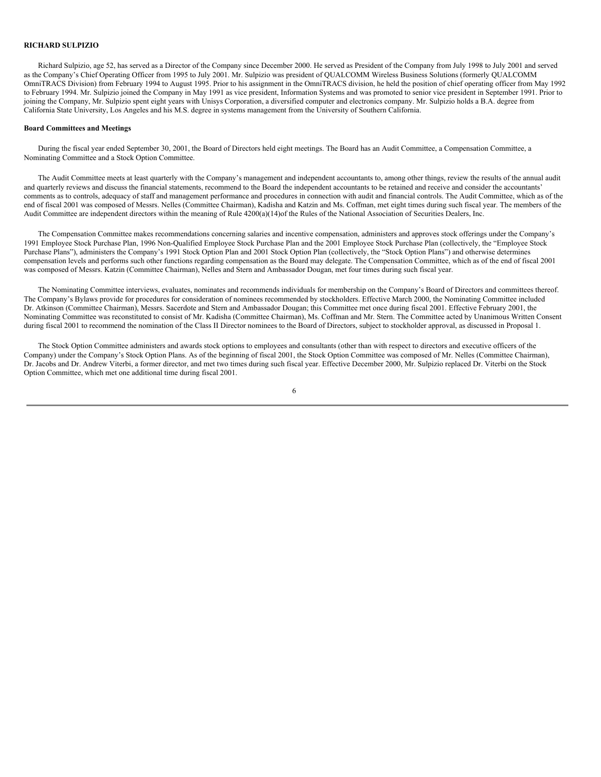### **RICHARD SULPIZIO**

Richard Sulpizio, age 52, has served as a Director of the Company since December 2000. He served as President of the Company from July 1998 to July 2001 and served as the Company's Chief Operating Officer from 1995 to July 2001. Mr. Sulpizio was president of QUALCOMM Wireless Business Solutions (formerly QUALCOMM OmniTRACS Division) from February 1994 to August 1995. Prior to his assignment in the OmniTRACS division, he held the position of chief operating officer from May 1992 to February 1994. Mr. Sulpizio joined the Company in May 1991 as vice president, Information Systems and was promoted to senior vice president in September 1991. Prior to joining the Company, Mr. Sulpizio spent eight years with Unisys Corporation, a diversified computer and electronics company. Mr. Sulpizio holds a B.A. degree from California State University, Los Angeles and his M.S. degree in systems management from the University of Southern California.

### **Board Committees and Meetings**

During the fiscal year ended September 30, 2001, the Board of Directors held eight meetings. The Board has an Audit Committee, a Compensation Committee, a Nominating Committee and a Stock Option Committee.

The Audit Committee meets at least quarterly with the Company's management and independent accountants to, among other things, review the results of the annual audit and quarterly reviews and discuss the financial statements, recommend to the Board the independent accountants to be retained and receive and consider the accountants' comments as to controls, adequacy of staff and management performance and procedures in connection with audit and financial controls. The Audit Committee, which as of the end of fiscal 2001 was composed of Messrs. Nelles (Committee Chairman), Kadisha and Katzin and Ms. Coffman, met eight times during such fiscal year. The members of the Audit Committee are independent directors within the meaning of Rule 4200(a)(14)of the Rules of the National Association of Securities Dealers, Inc.

The Compensation Committee makes recommendations concerning salaries and incentive compensation, administers and approves stock offerings under the Company's 1991 Employee Stock Purchase Plan, 1996 Non-Qualified Employee Stock Purchase Plan and the 2001 Employee Stock Purchase Plan (collectively, the "Employee Stock Purchase Plans"), administers the Company's 1991 Stock Option Plan and 2001 Stock Option Plan (collectively, the "Stock Option Plans") and otherwise determines compensation levels and performs such other functions regarding compensation as the Board may delegate. The Compensation Committee, which as of the end of fiscal 2001 was composed of Messrs. Katzin (Committee Chairman), Nelles and Stern and Ambassador Dougan, met four times during such fiscal year.

The Nominating Committee interviews, evaluates, nominates and recommends individuals for membership on the Company's Board of Directors and committees thereof. The Company's Bylaws provide for procedures for consideration of nominees recommended by stockholders. Effective March 2000, the Nominating Committee included Dr. Atkinson (Committee Chairman), Messrs. Sacerdote and Stern and Ambassador Dougan; this Committee met once during fiscal 2001. Effective February 2001, the Nominating Committee was reconstituted to consist of Mr. Kadisha (Committee Chairman), Ms. Coffman and Mr. Stern. The Committee acted by Unanimous Written Consent during fiscal 2001 to recommend the nomination of the Class II Director nominees to the Board of Directors, subject to stockholder approval, as discussed in Proposal 1.

The Stock Option Committee administers and awards stock options to employees and consultants (other than with respect to directors and executive officers of the Company) under the Company's Stock Option Plans. As of the beginning of fiscal 2001, the Stock Option Committee was composed of Mr. Nelles (Committee Chairman), Dr. Jacobs and Dr. Andrew Viterbi, a former director, and met two times during such fiscal year. Effective December 2000, Mr. Sulpizio replaced Dr. Viterbi on the Stock Option Committee, which met one additional time during fiscal 2001.

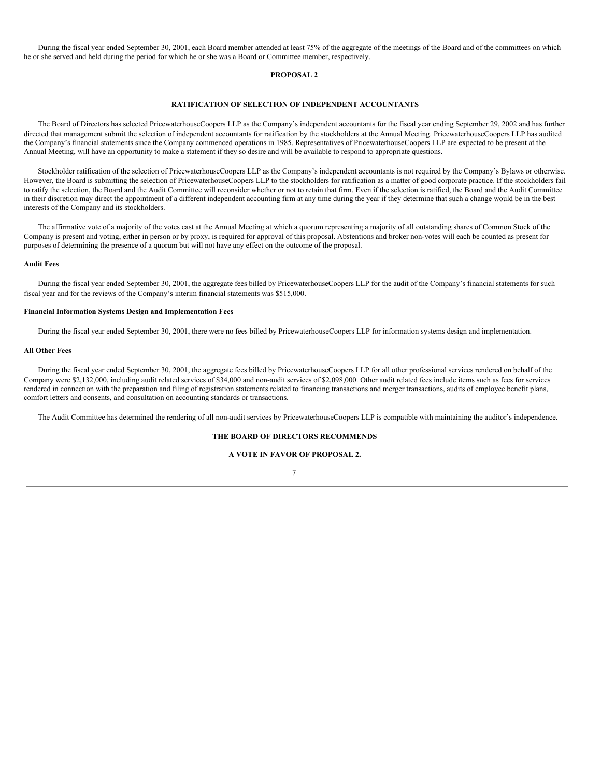During the fiscal year ended September 30, 2001, each Board member attended at least 75% of the aggregate of the meetings of the Board and of the committees on which he or she served and held during the period for which he or she was a Board or Committee member, respectively.

#### **PROPOSAL 2**

### **RATIFICATION OF SELECTION OF INDEPENDENT ACCOUNTANTS**

The Board of Directors has selected PricewaterhouseCoopers LLP as the Company's independent accountants for the fiscal year ending September 29, 2002 and has further directed that management submit the selection of independent accountants for ratification by the stockholders at the Annual Meeting. PricewaterhouseCoopers LLP has audited the Company's financial statements since the Company commenced operations in 1985. Representatives of PricewaterhouseCoopers LLP are expected to be present at the Annual Meeting, will have an opportunity to make a statement if they so desire and will be available to respond to appropriate questions.

Stockholder ratification of the selection of PricewaterhouseCoopers LLP as the Company's independent accountants is not required by the Company's Bylaws or otherwise. However, the Board is submitting the selection of PricewaterhouseCoopers LLP to the stockholders for ratification as a matter of good corporate practice. If the stockholders fail to ratify the selection, the Board and the Audit Committee will reconsider whether or not to retain that firm. Even if the selection is ratified, the Board and the Audit Committee in their discretion may direct the appointment of a different independent accounting firm at any time during the year if they determine that such a change would be in the best interests of the Company and its stockholders.

The affirmative vote of a majority of the votes cast at the Annual Meeting at which a quorum representing a majority of all outstanding shares of Common Stock of the Company is present and voting, either in person or by proxy, is required for approval of this proposal. Abstentions and broker non-votes will each be counted as present for purposes of determining the presence of a quorum but will not have any effect on the outcome of the proposal.

### **Audit Fees**

During the fiscal year ended September 30, 2001, the aggregate fees billed by PricewaterhouseCoopers LLP for the audit of the Company's financial statements for such fiscal year and for the reviews of the Company's interim financial statements was \$515,000.

### **Financial Information Systems Design and Implementation Fees**

During the fiscal year ended September 30, 2001, there were no fees billed by PricewaterhouseCoopers LLP for information systems design and implementation.

### **All Other Fees**

During the fiscal year ended September 30, 2001, the aggregate fees billed by PricewaterhouseCoopers LLP for all other professional services rendered on behalf of the Company were \$2,132,000, including audit related services of \$34,000 and non-audit services of \$2,098,000. Other audit related fees include items such as fees for services rendered in connection with the preparation and filing of registration statements related to financing transactions and merger transactions, audits of employee benefit plans, comfort letters and consents, and consultation on accounting standards or transactions.

The Audit Committee has determined the rendering of all non-audit services by PricewaterhouseCoopers LLP is compatible with maintaining the auditor's independence.

### **THE BOARD OF DIRECTORS RECOMMENDS**

### **A VOTE IN FAVOR OF PROPOSAL 2.**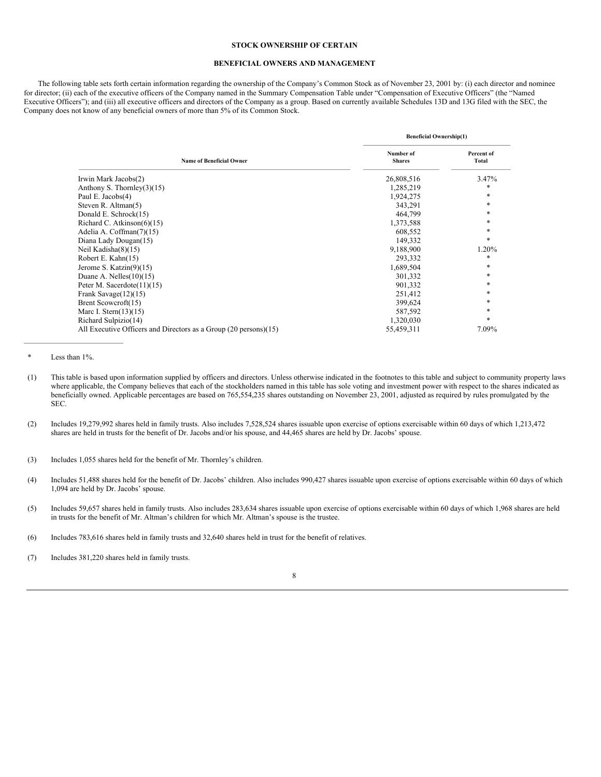### **STOCK OWNERSHIP OF CERTAIN**

### **BENEFICIAL OWNERS AND MANAGEMENT**

The following table sets forth certain information regarding the ownership of the Company's Common Stock as of November 23, 2001 by: (i) each director and nominee for director; (ii) each of the executive officers of the Company named in the Summary Compensation Table under "Compensation of Executive Officers" (the "Named Executive Officers"); and (iii) all executive officers and directors of the Company as a group. Based on currently available Schedules 13D and 13G filed with the SEC, the Company does not know of any beneficial owners of more than 5% of its Common Stock.

|                                                                  | <b>Beneficial Ownership(1)</b> |                     |  |  |
|------------------------------------------------------------------|--------------------------------|---------------------|--|--|
| <b>Name of Beneficial Owner</b>                                  | Number of<br><b>Shares</b>     | Percent of<br>Total |  |  |
| Irwin Mark Jacobs(2)                                             | 26,808,516                     | 3.47%               |  |  |
| Anthony S. Thornley $(3)(15)$                                    | 1,285,219                      | *                   |  |  |
| Paul E. Jacobs(4)                                                | 1,924,275                      | *                   |  |  |
| Steven R. Altman $(5)$                                           | 343,291                        | *                   |  |  |
| Donald E. Schrock(15)                                            | 464,799                        | *                   |  |  |
| Richard C. Atkinson $(6)(15)$                                    | 1,373,588                      | *                   |  |  |
| Adelia A. Coffman(7)(15)                                         | 608,552                        | *                   |  |  |
| Diana Lady Dougan(15)                                            | 149,332                        | *                   |  |  |
| Neil Kadisha $(8)(15)$                                           | 9,188,900                      | 1.20%               |  |  |
| Robert E. Kahn(15)                                               | 293,332                        | *                   |  |  |
| Jerome S. Katzin $(9)(15)$                                       | 1,689,504                      | *                   |  |  |
| Duane A. Nelles $(10)(15)$                                       | 301,332                        | *                   |  |  |
| Peter M. Sacerdote $(11)(15)$                                    | 901,332                        | *                   |  |  |
| Frank Savage $(12)(15)$                                          | 251,412                        | *                   |  |  |
| Brent Scowcroft(15)                                              | 399,624                        | *                   |  |  |
| Marc I. Stern $(13)(15)$                                         | 587,592                        | *                   |  |  |
| Richard Sulpizio(14)                                             | 1,320,030                      | *                   |  |  |
| All Executive Officers and Directors as a Group (20 persons)(15) | 55,459,311                     | 7.09%               |  |  |

Less than 1%.

- (1) This table is based upon information supplied by officers and directors. Unless otherwise indicated in the footnotes to this table and subject to community property laws where applicable, the Company believes that each of the stockholders named in this table has sole voting and investment power with respect to the shares indicated as beneficially owned. Applicable percentages are based on 765,554,235 shares outstanding on November 23, 2001, adjusted as required by rules promulgated by the SEC.
- (2) Includes 19,279,992 shares held in family trusts. Also includes 7,528,524 shares issuable upon exercise of options exercisable within 60 days of which 1,213,472 shares are held in trusts for the benefit of Dr. Jacobs and/or his spouse, and 44,465 shares are held by Dr. Jacobs' spouse.

- (4) Includes 51,488 shares held for the benefit of Dr. Jacobs' children. Also includes 990,427 shares issuable upon exercise of options exercisable within 60 days of which 1,094 are held by Dr. Jacobs' spouse.
- (5) Includes 59,657 shares held in family trusts. Also includes 283,634 shares issuable upon exercise of options exercisable within 60 days of which 1,968 shares are held in trusts for the benefit of Mr. Altman's children for which Mr. Altman's spouse is the trustee.
- (6) Includes 783,616 shares held in family trusts and 32,640 shares held in trust for the benefit of relatives.

(7) Includes 381,220 shares held in family trusts.

<sup>(3)</sup> Includes 1,055 shares held for the benefit of Mr. Thornley's children.

<sup>8</sup>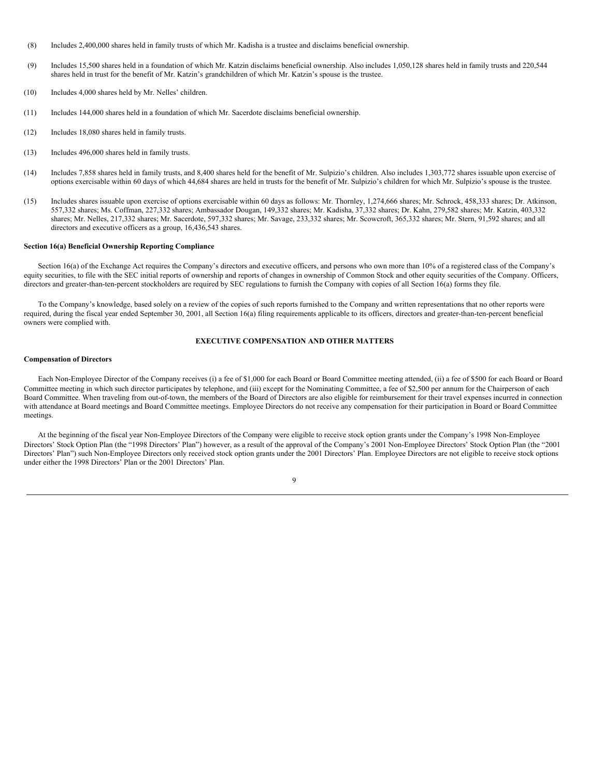- (8) Includes 2,400,000 shares held in family trusts of which Mr. Kadisha is a trustee and disclaims beneficial ownership.
- (9) Includes 15,500 shares held in a foundation of which Mr. Katzin disclaims beneficial ownership. Also includes 1,050,128 shares held in family trusts and 220,544 shares held in trust for the benefit of Mr. Katzin's grandchildren of which Mr. Katzin's spouse is the trustee.
- (10) Includes 4,000 shares held by Mr. Nelles' children.
- (11) Includes 144,000 shares held in a foundation of which Mr. Sacerdote disclaims beneficial ownership.
- (12) Includes 18,080 shares held in family trusts.
- (13) Includes 496,000 shares held in family trusts.
- (14) Includes 7,858 shares held in family trusts, and 8,400 shares held for the benefit of Mr. Sulpizio's children. Also includes 1,303,772 shares issuable upon exercise of options exercisable within 60 days of which 44,684 shares are held in trusts for the benefit of Mr. Sulpizio's children for which Mr. Sulpizio's spouse is the trustee.
- (15) Includes shares issuable upon exercise of options exercisable within 60 days as follows: Mr. Thornley, 1,274,666 shares; Mr. Schrock, 458,333 shares; Dr. Atkinson, 557,332 shares; Ms. Coffman, 227,332 shares; Ambassador Dougan, 149,332 shares; Mr. Kadisha, 37,332 shares; Dr. Kahn, 279,582 shares; Mr. Katzin, 403,332 shares; Mr. Nelles, 217,332 shares; Mr. Sacerdote, 597,332 shares; Mr. Savage, 233,332 shares; Mr. Scowcroft, 365,332 shares; Mr. Stern, 91,592 shares; and all directors and executive officers as a group, 16,436,543 shares.

### **Section 16(a) Beneficial Ownership Reporting Compliance**

Section 16(a) of the Exchange Act requires the Company's directors and executive officers, and persons who own more than 10% of a registered class of the Company's equity securities, to file with the SEC initial reports of ownership and reports of changes in ownership of Common Stock and other equity securities of the Company. Officers, directors and greater-than-ten-percent stockholders are required by SEC regulations to furnish the Company with copies of all Section 16(a) forms they file.

To the Company's knowledge, based solely on a review of the copies of such reports furnished to the Company and written representations that no other reports were required, during the fiscal year ended September 30, 2001, all Section 16(a) filing requirements applicable to its officers, directors and greater-than-ten-percent beneficial owners were complied with.

### **EXECUTIVE COMPENSATION AND OTHER MATTERS**

#### **Compensation of Directors**

Each Non-Employee Director of the Company receives (i) a fee of \$1,000 for each Board or Board Committee meeting attended, (ii) a fee of \$500 for each Board or Board Committee meeting in which such director participates by telephone, and (iii) except for the Nominating Committee, a fee of \$2,500 per annum for the Chairperson of each Board Committee. When traveling from out-of-town, the members of the Board of Directors are also eligible for reimbursement for their travel expenses incurred in connection with attendance at Board meetings and Board Committee meetings. Employee Directors do not receive any compensation for their participation in Board or Board Committee meetings.

At the beginning of the fiscal year Non-Employee Directors of the Company were eligible to receive stock option grants under the Company's 1998 Non-Employee Directors' Stock Option Plan (the "1998 Directors' Plan") however, as a result of the approval of the Company's 2001 Non-Employee Directors' Stock Option Plan (the "2001 Directors' Plan") such Non-Employee Directors only received stock option grants under the 2001 Directors' Plan. Employee Directors are not eligible to receive stock options under either the 1998 Directors' Plan or the 2001 Directors' Plan.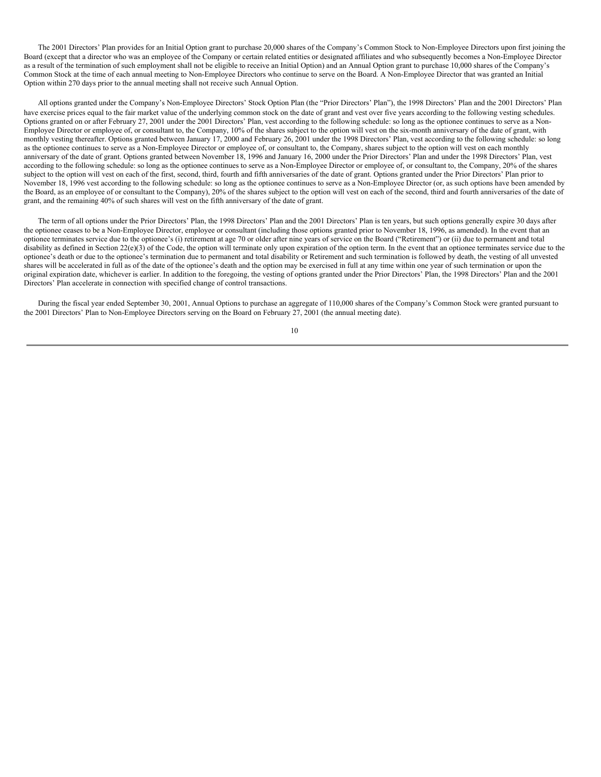The 2001 Directors' Plan provides for an Initial Option grant to purchase 20,000 shares of the Company's Common Stock to Non-Employee Directors upon first joining the Board (except that a director who was an employee of the Company or certain related entities or designated affiliates and who subsequently becomes a Non-Employee Director as a result of the termination of such employment shall not be eligible to receive an Initial Option) and an Annual Option grant to purchase 10,000 shares of the Company's Common Stock at the time of each annual meeting to Non-Employee Directors who continue to serve on the Board. A Non-Employee Director that was granted an Initial Option within 270 days prior to the annual meeting shall not receive such Annual Option.

All options granted under the Company's Non-Employee Directors' Stock Option Plan (the "Prior Directors' Plan"), the 1998 Directors' Plan and the 2001 Directors' Plan have exercise prices equal to the fair market value of the underlying common stock on the date of grant and vest over five years according to the following vesting schedules. Options granted on or after February 27, 2001 under the 2001 Directors' Plan, vest according to the following schedule: so long as the optionee continues to serve as a Non-Employee Director or employee of, or consultant to, the Company, 10% of the shares subject to the option will vest on the six-month anniversary of the date of grant, with monthly vesting thereafter. Options granted between January 17, 2000 and February 26, 2001 under the 1998 Directors' Plan, vest according to the following schedule: so long as the optionee continues to serve as a Non-Employee Director or employee of, or consultant to, the Company, shares subject to the option will vest on each monthly anniversary of the date of grant. Options granted between November 18, 1996 and January 16, 2000 under the Prior Directors' Plan and under the 1998 Directors' Plan, vest according to the following schedule: so long as the optionee continues to serve as a Non-Employee Director or employee of, or consultant to, the Company, 20% of the shares subject to the option will vest on each of the first, second, third, fourth and fifth anniversaries of the date of grant. Options granted under the Prior Directors' Plan prior to November 18, 1996 vest according to the following schedule: so long as the optionee continues to serve as a Non-Employee Director (or, as such options have been amended by the Board, as an employee of or consultant to the Company), 20% of the shares subject to the option will vest on each of the second, third and fourth anniversaries of the date of grant, and the remaining 40% of such shares will vest on the fifth anniversary of the date of grant.

The term of all options under the Prior Directors' Plan, the 1998 Directors' Plan and the 2001 Directors' Plan is ten years, but such options generally expire 30 days after the optionee ceases to be a Non-Employee Director, employee or consultant (including those options granted prior to November 18, 1996, as amended). In the event that an optionee terminates service due to the optionee's (i) retirement at age 70 or older after nine years of service on the Board ("Retirement") or (ii) due to permanent and total disability as defined in Section  $22(e)(3)$  of the Code, the option will terminate only upon expiration of the option term. In the event that an optionee terminates service due to the optionee's death or due to the optionee's termination due to permanent and total disability or Retirement and such termination is followed by death, the vesting of all unvested shares will be accelerated in full as of the date of the optionee's death and the option may be exercised in full at any time within one year of such termination or upon the original expiration date, whichever is earlier. In addition to the foregoing, the vesting of options granted under the Prior Directors' Plan, the 1998 Directors' Plan and the 2001 Directors' Plan accelerate in connection with specified change of control transactions.

During the fiscal year ended September 30, 2001, Annual Options to purchase an aggregate of 110,000 shares of the Company's Common Stock were granted pursuant to the 2001 Directors' Plan to Non-Employee Directors serving on the Board on February 27, 2001 (the annual meeting date).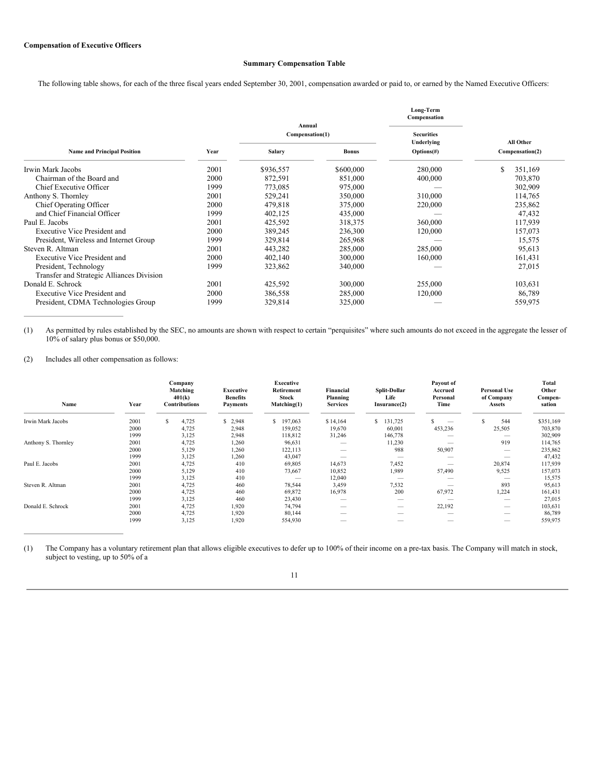# **Summary Compensation Table**

The following table shows, for each of the three fiscal years ended September 30, 2001, compensation awarded or paid to, or earned by the Named Executive Officers:

|                                           |      |                           |              | Long-Term<br>Compensation |                 |
|-------------------------------------------|------|---------------------------|--------------|---------------------------|-----------------|
|                                           |      | Annual<br>Compensation(1) |              | <b>Securities</b>         |                 |
|                                           |      |                           |              | Underlying                | All Other       |
| <b>Name and Principal Position</b>        | Year | <b>Salary</b>             | <b>Bonus</b> | Options(f)                | Compensation(2) |
| Irwin Mark Jacobs                         | 2001 | \$936,557                 | \$600,000    | 280,000                   | \$<br>351,169   |
| Chairman of the Board and                 | 2000 | 872,591                   | 851,000      | 400,000                   | 703,870         |
| Chief Executive Officer                   | 1999 | 773,085                   | 975,000      |                           | 302,909         |
| Anthony S. Thornley                       | 2001 | 529,241                   | 350,000      | 310,000                   | 114,765         |
| Chief Operating Officer                   | 2000 | 479,818                   | 375,000      | 220,000                   | 235,862         |
| and Chief Financial Officer               | 1999 | 402,125                   | 435,000      |                           | 47,432          |
| Paul E. Jacobs                            | 2001 | 425,592                   | 318,375      | 360,000                   | 117,939         |
| <b>Executive Vice President and</b>       | 2000 | 389,245                   | 236,300      | 120,000                   | 157,073         |
| President, Wireless and Internet Group    | 1999 | 329,814                   | 265,968      |                           | 15,575          |
| Steven R. Altman                          | 2001 | 443,282                   | 285,000      | 285,000                   | 95,613          |
| <b>Executive Vice President and</b>       | 2000 | 402,140                   | 300,000      | 160,000                   | 161,431         |
| President, Technology                     | 1999 | 323,862                   | 340,000      |                           | 27,015          |
| Transfer and Strategic Alliances Division |      |                           |              |                           |                 |
| Donald E. Schrock                         | 2001 | 425,592                   | 300,000      | 255,000                   | 103,631         |
| <b>Executive Vice President and</b>       | 2000 | 386,558                   | 285,000      | 120,000                   | 86,789          |
| President, CDMA Technologies Group        | 1999 | 329,814                   | 325,000      |                           | 559,975         |

(1) As permitted by rules established by the SEC, no amounts are shown with respect to certain "perquisites" where such amounts do not exceed in the aggregate the lesser of 10% of salary plus bonus or \$50,000.

(2) Includes all other compensation as follows:

| Name                | Year         | Company<br>Matching<br>401(k)<br><b>Contributions</b> | <b>Executive</b><br><b>Benefits</b><br><b>Payments</b> | Executive<br>Retirement<br><b>Stock</b><br>Matching(1) | Financial<br>Planning<br><b>Services</b> | Split-Dollar<br>Life<br>Insurance(2) | Payout of<br>Accrued<br>Personal<br>Time | <b>Personal Use</b><br>of Company<br>Assets | <b>Total</b><br>Other<br>Compen-<br>sation |
|---------------------|--------------|-------------------------------------------------------|--------------------------------------------------------|--------------------------------------------------------|------------------------------------------|--------------------------------------|------------------------------------------|---------------------------------------------|--------------------------------------------|
| Irwin Mark Jacobs   | 2001         | 4,725                                                 | \$2,948                                                | S<br>197,063                                           | \$14,164                                 | \$131,725                            | $\hspace{0.05cm}$                        | 544                                         | \$351,169<br>703,870                       |
|                     | 2000<br>1999 | 4,725                                                 | 2,948                                                  | 159,052                                                | 19,670                                   | 60,001                               | 453,236                                  | 25,505                                      |                                            |
|                     |              | 3,125                                                 | 2,948                                                  | 118,812                                                | 31,246                                   | 146,778                              |                                          | 919                                         | 302,909                                    |
| Anthony S. Thornley | 2001         | 4,725                                                 | 1,260                                                  | 96,631                                                 | $\overbrace{\qquad \qquad }^{}$          | 11,230                               |                                          |                                             | 114,765                                    |
|                     | 2000         | 5,129                                                 | 1,260                                                  | 122,113                                                | $\qquad \qquad$                          | 988                                  | 50,907                                   |                                             | 235,862                                    |
|                     | 1999         | 3,125                                                 | 1,260                                                  | 43,047                                                 |                                          |                                      |                                          |                                             | 47,432                                     |
| Paul E. Jacobs      | 2001         | 4,725                                                 | 410                                                    | 69,805                                                 | 14,673                                   | 7,452                                |                                          | 20,874                                      | 117,939                                    |
|                     | 2000         | 5,129                                                 | 410                                                    | 73,667                                                 | 10,852                                   | 1,989                                | 57,490                                   | 9,525                                       | 157,073                                    |
|                     | 1999         | 3,125                                                 | 410                                                    |                                                        | 12,040                                   |                                      |                                          |                                             | 15,575                                     |
| Steven R. Altman    | 2001         | 4,725                                                 | 460                                                    | 78,544                                                 | 3,459                                    | 7,532                                |                                          | 893                                         | 95,613                                     |
|                     | 2000         | 4,725                                                 | 460                                                    | 69,872                                                 | 16,978                                   | 200                                  | 67,972                                   | 1,224                                       | 161,431                                    |
|                     | 1999         | 3,125                                                 | 460                                                    | 23,430                                                 | $\overbrace{\qquad \qquad }^{}$          |                                      |                                          |                                             | 27,015                                     |
| Donald E. Schrock   | 2001         | 4,725                                                 | 1,920                                                  | 74,794                                                 | $\hspace{0.05cm}$                        |                                      | 22,192                                   |                                             | 103,631                                    |
|                     | 2000         | 4,725                                                 | 1,920                                                  | 80,144                                                 | $\qquad \qquad$                          |                                      |                                          |                                             | 86,789                                     |
|                     | 1999         | 3,125                                                 | 1,920                                                  | 554,930                                                |                                          |                                      |                                          |                                             | 559,975                                    |

(1) The Company has a voluntary retirement plan that allows eligible executives to defer up to 100% of their income on a pre-tax basis. The Company will match in stock, subject to vesting, up to 50% of a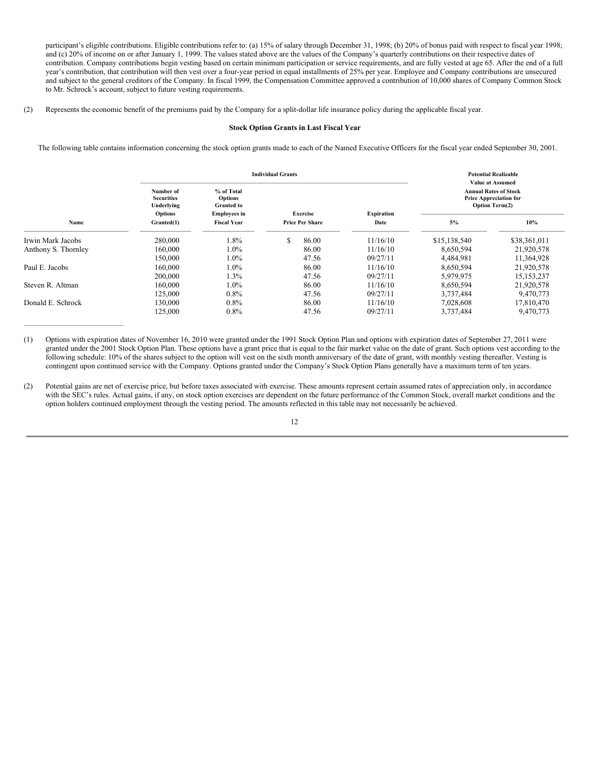participant's eligible contributions. Eligible contributions refer to: (a) 15% of salary through December 31, 1998; (b) 20% of bonus paid with respect to fiscal year 1998; and (c) 20% of income on or after January 1, 1999. The values stated above are the values of the Company's quarterly contributions on their respective dates of contribution. Company contributions begin vesting based on certain minimum participation or service requirements, and are fully vested at age 65. After the end of a full year's contribution, that contribution will then vest over a four-year period in equal installments of 25% per year. Employee and Company contributions are unsecured and subject to the general creditors of the Company. In fiscal 1999, the Compensation Committee approved a contribution of 10,000 shares of Company Common Stock to Mr. Schrock's account, subject to future vesting requirements.

(2) Represents the economic benefit of the premiums paid by the Company for a split-dollar life insurance policy during the applicable fiscal year.

### **Stock Option Grants in Last Fiscal Year**

The following table contains information concerning the stock option grants made to each of the Named Executive Officers for the fiscal year ended September 30, 2001.

|                     |                                                         |                                                                   | <b>Individual Grants</b> |                        |                   | <b>Potential Realizable</b><br><b>Value at Assumed</b>                                 |              |  |  |
|---------------------|---------------------------------------------------------|-------------------------------------------------------------------|--------------------------|------------------------|-------------------|----------------------------------------------------------------------------------------|--------------|--|--|
|                     | Number of<br><b>Securities</b><br>Underlying<br>Options | % of Total<br>Options<br><b>Granted to</b><br><b>Employees in</b> | <b>Exercise</b>          |                        | <b>Expiration</b> | <b>Annual Rates of Stock</b><br><b>Price Appreciation for</b><br><b>Option Term(2)</b> |              |  |  |
| Name                | Granted(1)                                              | <b>Fiscal Year</b>                                                |                          | <b>Price Per Share</b> | Date              | 5%                                                                                     | 10%          |  |  |
| Irwin Mark Jacobs   | 280,000                                                 | $1.8\%$                                                           | S                        | 86.00                  | 11/16/10          | \$15,138,540                                                                           | \$38,361,011 |  |  |
| Anthony S. Thornley | 160,000                                                 | $1.0\%$                                                           |                          | 86.00                  | 11/16/10          | 8,650,594                                                                              | 21,920,578   |  |  |
|                     | 150,000                                                 | $1.0\%$                                                           |                          | 47.56                  | 09/27/11          | 4,484,981                                                                              | 11,364,928   |  |  |
| Paul E. Jacobs      | 160,000                                                 | $1.0\%$                                                           |                          | 86.00                  | 11/16/10          | 8,650,594                                                                              | 21,920,578   |  |  |
|                     | 200,000                                                 | 1.3%                                                              |                          | 47.56                  | 09/27/11          | 5,979,975                                                                              | 15, 153, 237 |  |  |
| Steven R. Altman    | 160,000                                                 | $1.0\%$                                                           |                          | 86.00                  | 11/16/10          | 8,650,594                                                                              | 21,920,578   |  |  |
|                     | 125,000                                                 | $0.8\%$                                                           |                          | 47.56                  | 09/27/11          | 3,737,484                                                                              | 9,470,773    |  |  |
| Donald E. Schrock   | 130,000                                                 | $0.8\%$                                                           |                          | 86.00                  | 11/16/10          | 7,028,608                                                                              | 17,810,470   |  |  |
|                     | 125,000                                                 | $0.8\%$                                                           |                          | 47.56                  | 09/27/11          | 3,737,484                                                                              | 9,470,773    |  |  |

(1) Options with expiration dates of November 16, 2010 were granted under the 1991 Stock Option Plan and options with expiration dates of September 27, 2011 were granted under the 2001 Stock Option Plan. These options have a grant price that is equal to the fair market value on the date of grant. Such options vest according to the following schedule: 10% of the shares subject to the option will vest on the sixth month anniversary of the date of grant, with monthly vesting thereafter. Vesting is contingent upon continued service with the Company. Options granted under the Company's Stock Option Plans generally have a maximum term of ten years.

(2) Potential gains are net of exercise price, but before taxes associated with exercise. These amounts represent certain assumed rates of appreciation only, in accordance with the SEC's rules. Actual gains, if any, on stock option exercises are dependent on the future performance of the Common Stock, overall market conditions and the option holders continued employment through the vesting period. The amounts reflected in this table may not necessarily be achieved.

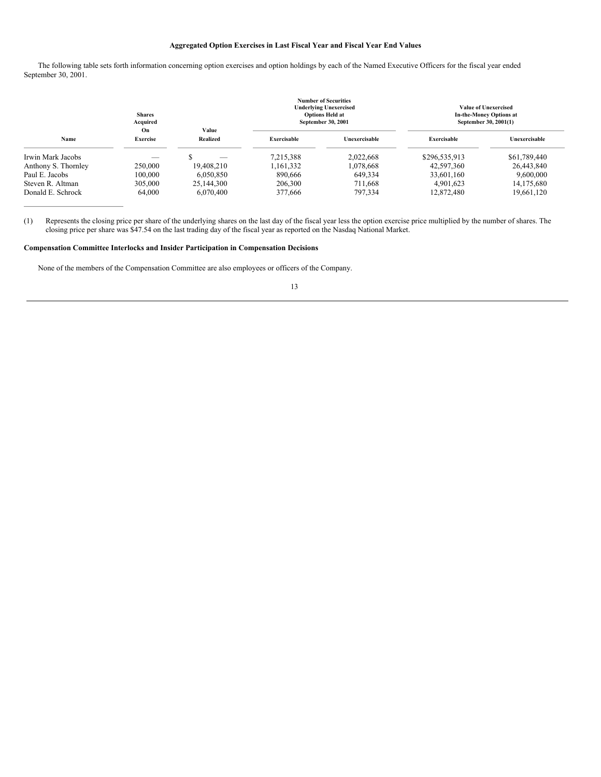# **Aggregated Option Exercises in Last Fiscal Year and Fiscal Year End Values**

The following table sets forth information concerning option exercises and option holdings by each of the Named Executive Officers for the fiscal year ended September 30, 2001.

|                     | <b>Shares</b><br>Acquired<br>On | Value      |                    | <b>Number of Securities</b><br><b>Underlying Unexercised</b><br><b>Options Held at</b><br>September 30, 2001 | <b>Value of Unexercised</b><br><b>In-the-Money Options at</b><br>September 30, 2001(1) |               |  |
|---------------------|---------------------------------|------------|--------------------|--------------------------------------------------------------------------------------------------------------|----------------------------------------------------------------------------------------|---------------|--|
| Name                | <b>Exercise</b>                 | Realized   | <b>Exercisable</b> | Unexercisable                                                                                                | <b>Exercisable</b>                                                                     | Unexercisable |  |
| Irwin Mark Jacobs   | --                              |            | 7,215,388          | 2.022.668                                                                                                    | \$296,535,913                                                                          | \$61,789,440  |  |
| Anthony S. Thornley | 250,000                         | 19.408.210 | 1,161,332          | 1.078.668                                                                                                    | 42,597,360                                                                             | 26,443,840    |  |
| Paul E. Jacobs      | 100,000                         | 6.050.850  | 890,666            | 649,334                                                                                                      | 33,601,160                                                                             | 9.600.000     |  |
| Steven R. Altman    | 305,000                         | 25,144,300 | 206,300            | 711.668                                                                                                      | 4.901.623                                                                              | 14, 175, 680  |  |
| Donald E. Schrock   | 64,000                          | 6.070.400  | 377,666            | 797,334                                                                                                      | 12,872,480                                                                             | 19,661,120    |  |

(1) Represents the closing price per share of the underlying shares on the last day of the fiscal year less the option exercise price multiplied by the number of shares. The closing price per share was \$47.54 on the last trading day of the fiscal year as reported on the Nasdaq National Market.

# **Compensation Committee Interlocks and Insider Participation in Compensation Decisions**

None of the members of the Compensation Committee are also employees or officers of the Company.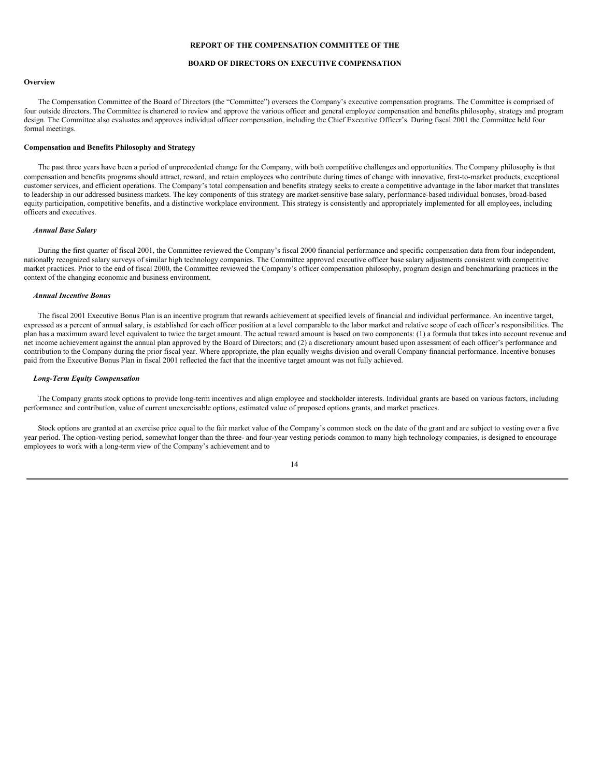### **REPORT OF THE COMPENSATION COMMITTEE OF THE**

### **BOARD OF DIRECTORS ON EXECUTIVE COMPENSATION**

#### **Overview**

The Compensation Committee of the Board of Directors (the "Committee") oversees the Company's executive compensation programs. The Committee is comprised of four outside directors. The Committee is chartered to review and approve the various officer and general employee compensation and benefits philosophy, strategy and program design. The Committee also evaluates and approves individual officer compensation, including the Chief Executive Officer's. During fiscal 2001 the Committee held four formal meetings.

### **Compensation and Benefits Philosophy and Strategy**

The past three years have been a period of unprecedented change for the Company, with both competitive challenges and opportunities. The Company philosophy is that compensation and benefits programs should attract, reward, and retain employees who contribute during times of change with innovative, first-to-market products, exceptional customer services, and efficient operations. The Company's total compensation and benefits strategy seeks to create a competitive advantage in the labor market that translates to leadership in our addressed business markets. The key components of this strategy are market-sensitive base salary, performance-based individual bonuses, broad-based equity participation, competitive benefits, and a distinctive workplace environment. This strategy is consistently and appropriately implemented for all employees, including officers and executives.

### *Annual Base Salary*

During the first quarter of fiscal 2001, the Committee reviewed the Company's fiscal 2000 financial performance and specific compensation data from four independent, nationally recognized salary surveys of similar high technology companies. The Committee approved executive officer base salary adjustments consistent with competitive market practices. Prior to the end of fiscal 2000, the Committee reviewed the Company's officer compensation philosophy, program design and benchmarking practices in the context of the changing economic and business environment.

### *Annual Incentive Bonus*

The fiscal 2001 Executive Bonus Plan is an incentive program that rewards achievement at specified levels of financial and individual performance. An incentive target, expressed as a percent of annual salary, is established for each officer position at a level comparable to the labor market and relative scope of each officer's responsibilities. The plan has a maximum award level equivalent to twice the target amount. The actual reward amount is based on two components: (1) a formula that takes into account revenue and net income achievement against the annual plan approved by the Board of Directors; and (2) a discretionary amount based upon assessment of each officer's performance and contribution to the Company during the prior fiscal year. Where appropriate, the plan equally weighs division and overall Company financial performance. Incentive bonuses paid from the Executive Bonus Plan in fiscal 2001 reflected the fact that the incentive target amount was not fully achieved.

### *Long-Term Equity Compensation*

The Company grants stock options to provide long-term incentives and align employee and stockholder interests. Individual grants are based on various factors, including performance and contribution, value of current unexercisable options, estimated value of proposed options grants, and market practices.

Stock options are granted at an exercise price equal to the fair market value of the Company's common stock on the date of the grant and are subject to vesting over a five year period. The option-vesting period, somewhat longer than the three- and four-year vesting periods common to many high technology companies, is designed to encourage employees to work with a long-term view of the Company's achievement and to

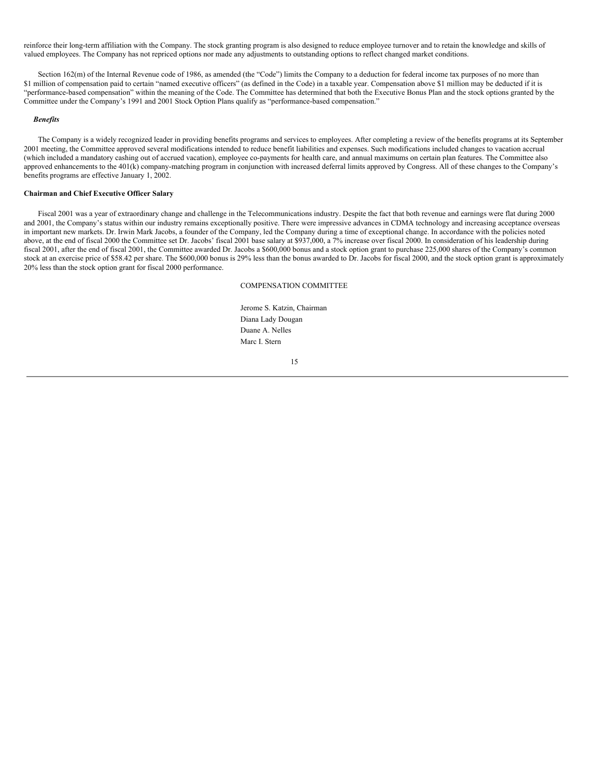reinforce their long-term affiliation with the Company. The stock granting program is also designed to reduce employee turnover and to retain the knowledge and skills of valued employees. The Company has not repriced options nor made any adjustments to outstanding options to reflect changed market conditions.

Section 162(m) of the Internal Revenue code of 1986, as amended (the "Code") limits the Company to a deduction for federal income tax purposes of no more than \$1 million of compensation paid to certain "named executive officers" (as defined in the Code) in a taxable year. Compensation above \$1 million may be deducted if it is "performance-based compensation" within the meaning of the Code. The Committee has determined that both the Executive Bonus Plan and the stock options granted by the Committee under the Company's 1991 and 2001 Stock Option Plans qualify as "performance-based compensation."

### *Benefits*

The Company is a widely recognized leader in providing benefits programs and services to employees. After completing a review of the benefits programs at its September 2001 meeting, the Committee approved several modifications intended to reduce benefit liabilities and expenses. Such modifications included changes to vacation accrual (which included a mandatory cashing out of accrued vacation), employee co-payments for health care, and annual maximums on certain plan features. The Committee also approved enhancements to the 401(k) company-matching program in conjunction with increased deferral limits approved by Congress. All of these changes to the Company's benefits programs are effective January 1, 2002.

### **Chairman and Chief Executive Officer Salary**

Fiscal 2001 was a year of extraordinary change and challenge in the Telecommunications industry. Despite the fact that both revenue and earnings were flat during 2000 and 2001, the Company's status within our industry remains exceptionally positive. There were impressive advances in CDMA technology and increasing acceptance overseas in important new markets. Dr. Irwin Mark Jacobs, a founder of the Company, led the Company during a time of exceptional change. In accordance with the policies noted above, at the end of fiscal 2000 the Committee set Dr. Jacobs' fiscal 2001 base salary at \$937,000, a 7% increase over fiscal 2000. In consideration of his leadership during fiscal 2001, after the end of fiscal 2001, the Committee awarded Dr. Jacobs a \$600,000 bonus and a stock option grant to purchase 225,000 shares of the Company's common stock at an exercise price of \$58.42 per share. The \$600,000 bonus is 29% less than the bonus awarded to Dr. Jacobs for fiscal 2000, and the stock option grant is approximately 20% less than the stock option grant for fiscal 2000 performance.

COMPENSATION COMMITTEE

Jerome S. Katzin, Chairman Diana Lady Dougan Duane A. Nelles Marc I. Stern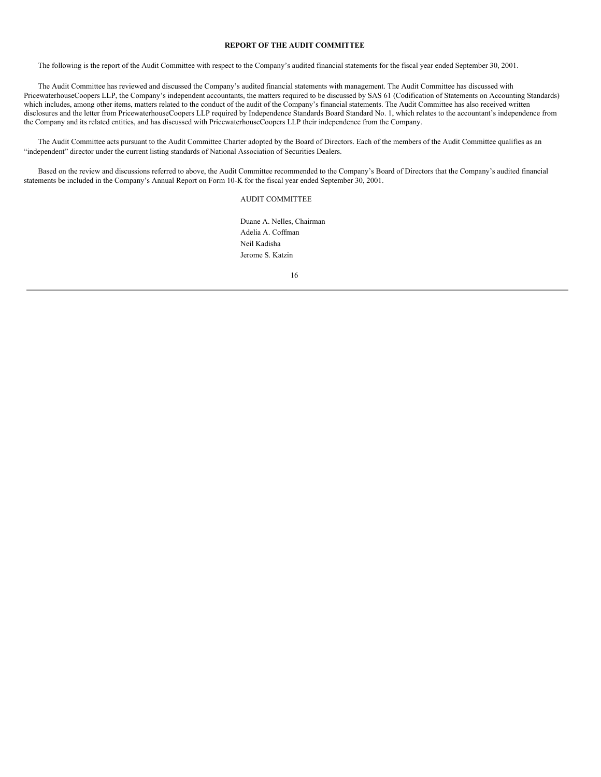### **REPORT OF THE AUDIT COMMITTEE**

The following is the report of the Audit Committee with respect to the Company's audited financial statements for the fiscal year ended September 30, 2001.

The Audit Committee has reviewed and discussed the Company's audited financial statements with management. The Audit Committee has discussed with PricewaterhouseCoopers LLP, the Company's independent accountants, the matters required to be discussed by SAS 61 (Codification of Statements on Accounting Standards) which includes, among other items, matters related to the conduct of the audit of the Company's financial statements. The Audit Committee has also received written disclosures and the letter from PricewaterhouseCoopers LLP required by Independence Standards Board Standard No. 1, which relates to the accountant's independence from the Company and its related entities, and has discussed with PricewaterhouseCoopers LLP their independence from the Company.

The Audit Committee acts pursuant to the Audit Committee Charter adopted by the Board of Directors. Each of the members of the Audit Committee qualifies as an "independent" director under the current listing standards of National Association of Securities Dealers.

Based on the review and discussions referred to above, the Audit Committee recommended to the Company's Board of Directors that the Company's audited financial statements be included in the Company's Annual Report on Form 10-K for the fiscal year ended September 30, 2001.

### AUDIT COMMITTEE

Duane A. Nelles, Chairman Adelia A. Coffman Neil Kadisha Jerome S. Katzin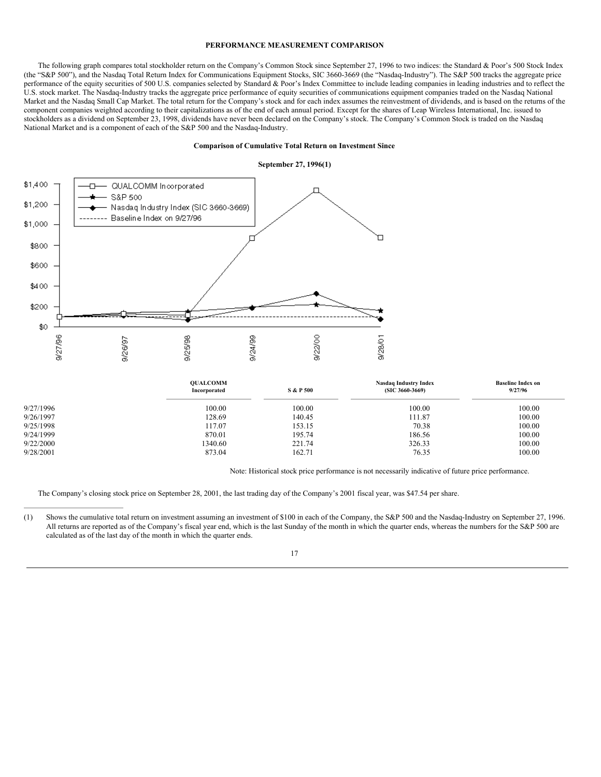#### **PERFORMANCE MEASUREMENT COMPARISON**

The following graph compares total stockholder return on the Company's Common Stock since September 27, 1996 to two indices: the Standard & Poor's 500 Stock Index (the "S&P 500"), and the Nasdaq Total Return Index for Communications Equipment Stocks, SIC 3660-3669 (the "Nasdaq-Industry"). The S&P 500 tracks the aggregate price performance of the equity securities of 500 U.S. companies selected by Standard & Poor's Index Committee to include leading companies in leading industries and to reflect the U.S. stock market. The Nasdaq-Industry tracks the aggregate price performance of equity securities of communications equipment companies traded on the Nasdaq National Market and the Nasdaq Small Cap Market. The total return for the Company's stock and for each index assumes the reinvestment of dividends, and is based on the returns of the component companies weighted according to their capitalizations as of the end of each annual period. Except for the shares of Leap Wireless International, Inc. issued to stockholders as a dividend on September 23, 1998, dividends have never been declared on the Company's stock. The Company's Common Stock is traded on the Nasdaq National Market and is a component of each of the S&P 500 and the Nasdaq-Industry.

### **Comparison of Cumulative Total Return on Investment Since**



|           | <b>OUALCOMM</b><br>Incorporated | <b>Nasdaq Industry Index</b><br><b>S &amp; P 500</b><br>$(SIC 3660-3669)$ |        | <b>Baseline Index on</b><br>9/27/96 |
|-----------|---------------------------------|---------------------------------------------------------------------------|--------|-------------------------------------|
| 9/27/1996 | 100.00                          | 100.00                                                                    | 100.00 | 100.00                              |
| 9/26/1997 | 128.69                          | 140.45                                                                    | 111.87 | 100.00                              |
| 9/25/1998 | 117.07                          | 153.15                                                                    | 70.38  | 100.00                              |
| 9/24/1999 | 870.01                          | 195.74                                                                    | 186.56 | 100.00                              |
| 9/22/2000 | 1340.60                         | 221.74                                                                    | 326.33 | 100.00                              |
| 9/28/2001 | 873.04                          | 162.71                                                                    | 76.35  | 100.00                              |

Note: Historical stock price performance is not necessarily indicative of future price performance.

The Company's closing stock price on September 28, 2001, the last trading day of the Company's 2001 fiscal year, was \$47.54 per share.

<sup>(1)</sup> Shows the cumulative total return on investment assuming an investment of \$100 in each of the Company, the S&P 500 and the Nasdaq-Industry on September 27, 1996. All returns are reported as of the Company's fiscal year end, which is the last Sunday of the month in which the quarter ends, whereas the numbers for the S&P 500 are calculated as of the last day of the month in which the quarter ends.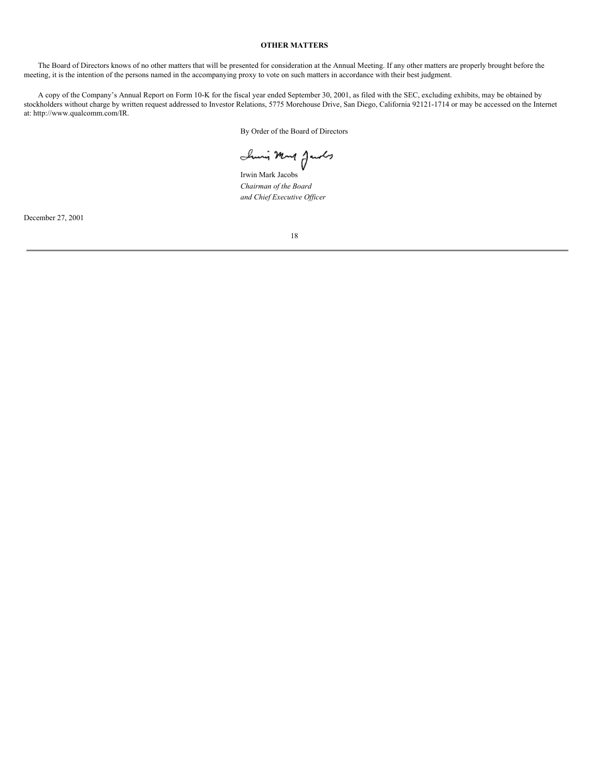# **OTHER MATTERS**

The Board of Directors knows of no other matters that will be presented for consideration at the Annual Meeting. If any other matters are properly brought before the meeting, it is the intention of the persons named in the accompanying proxy to vote on such matters in accordance with their best judgment.

A copy of the Company's Annual Report on Form 10-K for the fiscal year ended September 30, 2001, as filed with the SEC, excluding exhibits, may be obtained by stockholders without charge by written request addressed to Investor Relations, 5775 Morehouse Drive, San Diego, California 92121-1714 or may be accessed on the Internet at: http://www.qualcomm.com/IR.

By Order of the Board of Directors

Irwin Mark Jacobs

*Chairman of the Board and Chief Executive Of icer*

December 27, 2001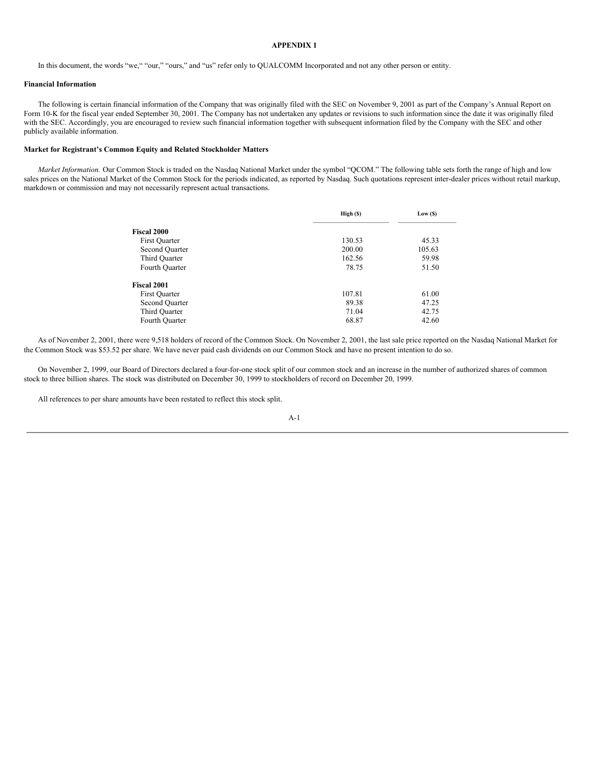### **APPENDIX 1**

In this document, the words "we," "our," "ours," and "us" refer only to QUALCOMM Incorporated and not any other person or entity.

### **Financial Information**

The following is certain financial information of the Company that was originally filed with the SEC on November 9, 2001 as part of the Company's Annual Report on Form 10-K for the fiscal year ended September 30, 2001. The Company has not undertaken any updates or revisions to such information since the date it was originally filed with the SEC. Accordingly, you are encouraged to review such financial information together with subsequent information filed by the Company with the SEC and other publicly available information.

### **Market for Registrant's Common Equity and Related Stockholder Matters**

*Market Information.* Our Common Stock is traded on the Nasdaq National Market under the symbol "QCOM." The following table sets forth the range of high and low sales prices on the National Market of the Common Stock for the periods indicated, as reported by Nasdaq. Such quotations represent inter-dealer prices without retail markup, markdown or commission and may not necessarily represent actual transactions.

|                | High(S) | Low( <sub>S</sub> ) |
|----------------|---------|---------------------|
| Fiscal 2000    |         |                     |
| First Quarter  | 130.53  | 45.33               |
| Second Quarter | 200.00  | 105.63              |
| Third Quarter  | 162.56  | 59.98               |
| Fourth Quarter | 78.75   | 51.50               |
| Fiscal 2001    |         |                     |
| First Quarter  | 107.81  | 61.00               |
| Second Quarter | 89.38   | 47.25               |
| Third Quarter  | 71.04   | 42.75               |
| Fourth Quarter | 68.87   | 42.60               |

As of November 2, 2001, there were 9,518 holders of record of the Common Stock. On November 2, 2001, the last sale price reported on the Nasdaq National Market for the Common Stock was \$53.52 per share. We have never paid cash dividends on our Common Stock and have no present intention to do so.

On November 2, 1999, our Board of Directors declared a four-for-one stock split of our common stock and an increase in the number of authorized shares of common stock to three billion shares. The stock was distributed on December 30, 1999 to stockholders of record on December 20, 1999.

All references to per share amounts have been restated to reflect this stock split.

$$
A-1
$$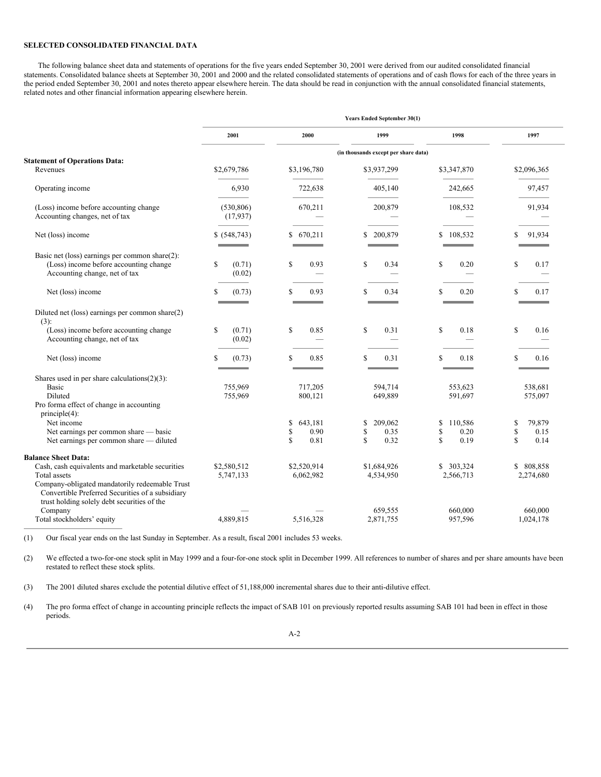### **SELECTED CONSOLIDATED FINANCIAL DATA**

The following balance sheet data and statements of operations for the five years ended September 30, 2001 were derived from our audited consolidated financial statements. Consolidated balance sheets at September 30, 2001 and 2000 and the related consolidated statements of operations and of cash flows for each of the three years in the period ended September 30, 2001 and notes thereto appear elsewhere herein. The data should be read in conjunction with the annual consolidated financial statements, related notes and other financial information appearing elsewhere herein.

|                                                                                                                                                   | <b>Years Ended September 30(1)</b> |                             |                                      |                             |                            |  |  |  |
|---------------------------------------------------------------------------------------------------------------------------------------------------|------------------------------------|-----------------------------|--------------------------------------|-----------------------------|----------------------------|--|--|--|
|                                                                                                                                                   | 2001                               | 2000                        | 1999                                 | 1998                        | 1997                       |  |  |  |
|                                                                                                                                                   |                                    |                             | (in thousands except per share data) |                             |                            |  |  |  |
| <b>Statement of Operations Data:</b>                                                                                                              |                                    |                             |                                      |                             |                            |  |  |  |
| Revenues                                                                                                                                          | \$2,679,786                        | \$3,196,780                 | \$3,937,299                          | \$3,347,870                 | \$2,096,365                |  |  |  |
| Operating income                                                                                                                                  | 6,930                              | 722,638                     | 405,140                              | 242,665                     | 97,457                     |  |  |  |
| (Loss) income before accounting change<br>Accounting changes, net of tax                                                                          | (530, 806)<br>(17, 937)            | 670.211                     | 200,879                              | 108.532                     | 91,934                     |  |  |  |
| Net (loss) income                                                                                                                                 | \$ (548,743)                       | \$670,211                   | 200,879<br>S                         | 108,532<br>S                | 91,934                     |  |  |  |
| Basic net (loss) earnings per common share(2):                                                                                                    |                                    |                             |                                      |                             |                            |  |  |  |
| (Loss) income before accounting change                                                                                                            | $\mathbb{S}$<br>(0.71)             | S<br>0.93                   | S<br>0.34                            | \$<br>0.20                  | \$<br>0.17                 |  |  |  |
| Accounting change, net of tax                                                                                                                     | (0.02)                             |                             |                                      |                             |                            |  |  |  |
| Net (loss) income                                                                                                                                 | $\mathbb{S}$<br>(0.73)             | S<br>0.93                   | \$.<br>0.34                          | S<br>0.20                   | \$<br>0.17                 |  |  |  |
| Diluted net (loss) earnings per common share(2)                                                                                                   |                                    |                             |                                      |                             |                            |  |  |  |
| $(3)$ :                                                                                                                                           |                                    |                             |                                      |                             |                            |  |  |  |
| (Loss) income before accounting change                                                                                                            | <sup>\$</sup><br>(0.71)            | S<br>0.85                   | S<br>0.31                            | \$<br>0.18                  | S<br>0.16                  |  |  |  |
| Accounting change, net of tax                                                                                                                     | (0.02)                             |                             |                                      |                             |                            |  |  |  |
| Net (loss) income                                                                                                                                 | \$<br>(0.73)                       | S<br>0.85                   | <b>S</b><br>0.31                     | S<br>0.18                   | \$<br>0.16                 |  |  |  |
| Shares used in per share calculations $(2)(3)$ :                                                                                                  |                                    |                             |                                      |                             |                            |  |  |  |
| Basic                                                                                                                                             | 755,969                            | 717,205                     | 594,714                              | 553,623                     | 538,681                    |  |  |  |
| Diluted                                                                                                                                           | 755,969                            | 800,121                     | 649,889                              | 591,697                     | 575,097                    |  |  |  |
| Pro forma effect of change in accounting                                                                                                          |                                    |                             |                                      |                             |                            |  |  |  |
| $principle(4)$ :                                                                                                                                  |                                    |                             |                                      |                             |                            |  |  |  |
| Net income<br>Net earnings per common share - basic                                                                                               |                                    | \$<br>643,181<br>\$<br>0.90 | 209,062<br>\$<br>\$<br>0.35          | \$<br>110,586<br>\$<br>0.20 | 79,879<br>\$<br>\$<br>0.15 |  |  |  |
| Net earnings per common share - diluted                                                                                                           |                                    | \$<br>0.81                  | <b>S</b><br>0.32                     | $\mathbf S$<br>0.19         | $\mathbf{\hat{S}}$<br>0.14 |  |  |  |
| <b>Balance Sheet Data:</b>                                                                                                                        |                                    |                             |                                      |                             |                            |  |  |  |
| Cash, cash equivalents and marketable securities                                                                                                  | \$2,580,512                        | \$2,520,914                 | \$1,684,926                          | 303,324<br>S                | \$ 808,858                 |  |  |  |
| Total assets                                                                                                                                      | 5,747,133                          | 6,062,982                   | 4,534,950                            | 2,566,713                   | 2,274,680                  |  |  |  |
| Company-obligated mandatorily redeemable Trust<br>Convertible Preferred Securities of a subsidiary<br>trust holding solely debt securities of the |                                    |                             |                                      |                             |                            |  |  |  |
| Company                                                                                                                                           |                                    |                             | 659,555                              | 660,000                     | 660,000                    |  |  |  |
| Total stockholders' equity                                                                                                                        | 4.889.815                          | 5,516,328                   | 2,871,755                            | 957,596                     | 1,024,178                  |  |  |  |

(1) Our fiscal year ends on the last Sunday in September. As a result, fiscal 2001 includes 53 weeks.

(2) We effected a two-for-one stock split in May 1999 and a four-for-one stock split in December 1999. All references to number of shares and per share amounts have been restated to reflect these stock splits.

(3) The 2001 diluted shares exclude the potential dilutive effect of 51,188,000 incremental shares due to their anti-dilutive effect.

(4) The pro forma effect of change in accounting principle reflects the impact of SAB 101 on previously reported results assuming SAB 101 had been in effect in those periods.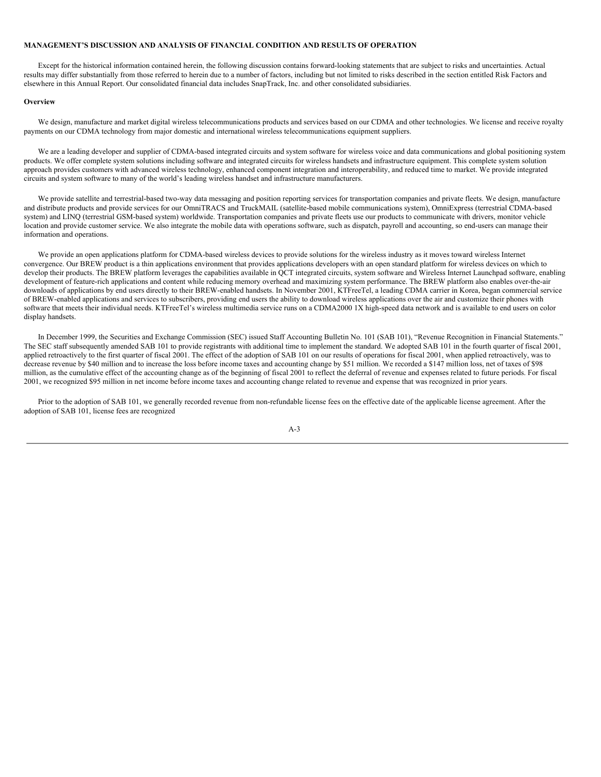### **MANAGEMENT'S DISCUSSION AND ANALYSIS OF FINANCIAL CONDITION AND RESULTS OF OPERATION**

Except for the historical information contained herein, the following discussion contains forward-looking statements that are subject to risks and uncertainties. Actual results may differ substantially from those referred to herein due to a number of factors, including but not limited to risks described in the section entitled Risk Factors and elsewhere in this Annual Report. Our consolidated financial data includes SnapTrack, Inc. and other consolidated subsidiaries.

#### **Overview**

We design, manufacture and market digital wireless telecommunications products and services based on our CDMA and other technologies. We license and receive royalty payments on our CDMA technology from major domestic and international wireless telecommunications equipment suppliers.

We are a leading developer and supplier of CDMA-based integrated circuits and system software for wireless voice and data communications and global positioning system products. We offer complete system solutions including software and integrated circuits for wireless handsets and infrastructure equipment. This complete system solution approach provides customers with advanced wireless technology, enhanced component integration and interoperability, and reduced time to market. We provide integrated circuits and system software to many of the world's leading wireless handset and infrastructure manufacturers.

We provide satellite and terrestrial-based two-way data messaging and position reporting services for transportation companies and private fleets. We design, manufacture and distribute products and provide services for our OmniTRACS and TruckMAIL (satellite-based mobile communications system), OmniExpress (terrestrial CDMA-based system) and LINQ (terrestrial GSM-based system) worldwide. Transportation companies and private fleets use our products to communicate with drivers, monitor vehicle location and provide customer service. We also integrate the mobile data with operations software, such as dispatch, payroll and accounting, so end-users can manage their information and operations.

We provide an open applications platform for CDMA-based wireless devices to provide solutions for the wireless industry as it moves toward wireless Internet convergence. Our BREW product is a thin applications environment that provides applications developers with an open standard platform for wireless devices on which to develop their products. The BREW platform leverages the capabilities available in OCT integrated circuits, system software and Wireless Internet Launchpad software, enabling development of feature-rich applications and content while reducing memory overhead and maximizing system performance. The BREW platform also enables over-the-air downloads of applications by end users directly to their BREW-enabled handsets. In November 2001, KTFreeTel, a leading CDMA carrier in Korea, began commercial service of BREW-enabled applications and services to subscribers, providing end users the ability to download wireless applications over the air and customize their phones with software that meets their individual needs. KTFreeTel's wireless multimedia service runs on a CDMA2000 1X high-speed data network and is available to end users on color display handsets.

In December 1999, the Securities and Exchange Commission (SEC) issued Staff Accounting Bulletin No. 101 (SAB 101), "Revenue Recognition in Financial Statements." The SEC staff subsequently amended SAB 101 to provide registrants with additional time to implement the standard. We adopted SAB 101 in the fourth quarter of fiscal 2001, applied retroactively to the first quarter of fiscal 2001. The effect of the adoption of SAB 101 on our results of operations for fiscal 2001, when applied retroactively, was to decrease revenue by \$40 million and to increase the loss before income taxes and accounting change by \$51 million. We recorded a \$147 million loss, net of taxes of \$98 million, as the cumulative effect of the accounting change as of the beginning of fiscal 2001 to reflect the deferral of revenue and expenses related to future periods. For fiscal 2001, we recognized \$95 million in net income before income taxes and accounting change related to revenue and expense that was recognized in prior years.

Prior to the adoption of SAB 101, we generally recorded revenue from non-refundable license fees on the effective date of the applicable license agreement. After the adoption of SAB 101, license fees are recognized

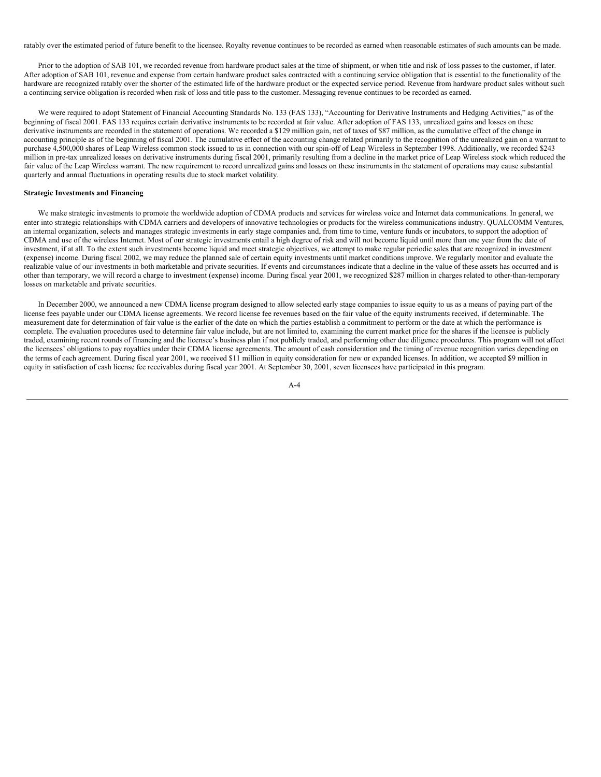ratably over the estimated period of future benefit to the licensee. Royalty revenue continues to be recorded as earned when reasonable estimates of such amounts can be made.

Prior to the adoption of SAB 101, we recorded revenue from hardware product sales at the time of shipment, or when title and risk of loss passes to the customer, if later. After adoption of SAB 101, revenue and expense from certain hardware product sales contracted with a continuing service obligation that is essential to the functionality of the hardware are recognized ratably over the shorter of the estimated life of the hardware product or the expected service period. Revenue from hardware product sales without such a continuing service obligation is recorded when risk of loss and title pass to the customer. Messaging revenue continues to be recorded as earned.

We were required to adopt Statement of Financial Accounting Standards No. 133 (FAS 133), "Accounting for Derivative Instruments and Hedging Activities," as of the beginning of fiscal 2001. FAS 133 requires certain derivative instruments to be recorded at fair value. After adoption of FAS 133, unrealized gains and losses on these derivative instruments are recorded in the statement of operations. We recorded a \$129 million gain, net of taxes of \$87 million, as the cumulative effect of the change in accounting principle as of the beginning of fiscal 2001. The cumulative effect of the accounting change related primarily to the recognition of the unrealized gain on a warrant to purchase 4,500,000 shares of Leap Wireless common stock issued to us in connection with our spin-off of Leap Wireless in September 1998. Additionally, we recorded \$243 million in pre-tax unrealized losses on derivative instruments during fiscal 2001, primarily resulting from a decline in the market price of Leap Wireless stock which reduced the fair value of the Leap Wireless warrant. The new requirement to record unrealized gains and losses on these instruments in the statement of operations may cause substantial quarterly and annual fluctuations in operating results due to stock market volatility.

### **Strategic Investments and Financing**

We make strategic investments to promote the worldwide adoption of CDMA products and services for wireless voice and Internet data communications. In general, we enter into strategic relationships with CDMA carriers and developers of innovative technologies or products for the wireless communications industry. QUALCOMM Ventures, an internal organization, selects and manages strategic investments in early stage companies and, from time to time, venture funds or incubators, to support the adoption of CDMA and use of the wireless Internet. Most of our strategic investments entail a high degree of risk and will not become liquid until more than one year from the date of investment, if at all. To the extent such investments become liquid and meet strategic objectives, we attempt to make regular periodic sales that are recognized in investment (expense) income. During fiscal 2002, we may reduce the planned sale of certain equity investments until market conditions improve. We regularly monitor and evaluate the realizable value of our investments in both marketable and private securities. If events and circumstances indicate that a decline in the value of these assets has occurred and is other than temporary, we will record a charge to investment (expense) income. During fiscal year 2001, we recognized \$287 million in charges related to other-than-temporary losses on marketable and private securities.

In December 2000, we announced a new CDMA license program designed to allow selected early stage companies to issue equity to us as a means of paying part of the license fees payable under our CDMA license agreements. We record license fee revenues based on the fair value of the equity instruments received, if determinable. The measurement date for determination of fair value is the earlier of the date on which the parties establish a commitment to perform or the date at which the performance is complete. The evaluation procedures used to determine fair value include, but are not limited to, examining the current market price for the shares if the licensee is publicly traded, examining recent rounds of financing and the licensee's business plan if not publicly traded, and performing other due diligence procedures. This program will not affect the licensees' obligations to pay royalties under their CDMA license agreements. The amount of cash consideration and the timing of revenue recognition varies depending on the terms of each agreement. During fiscal year 2001, we received \$11 million in equity consideration for new or expanded licenses. In addition, we accepted \$9 million in equity in satisfaction of cash license fee receivables during fiscal year 2001. At September 30, 2001, seven licensees have participated in this program.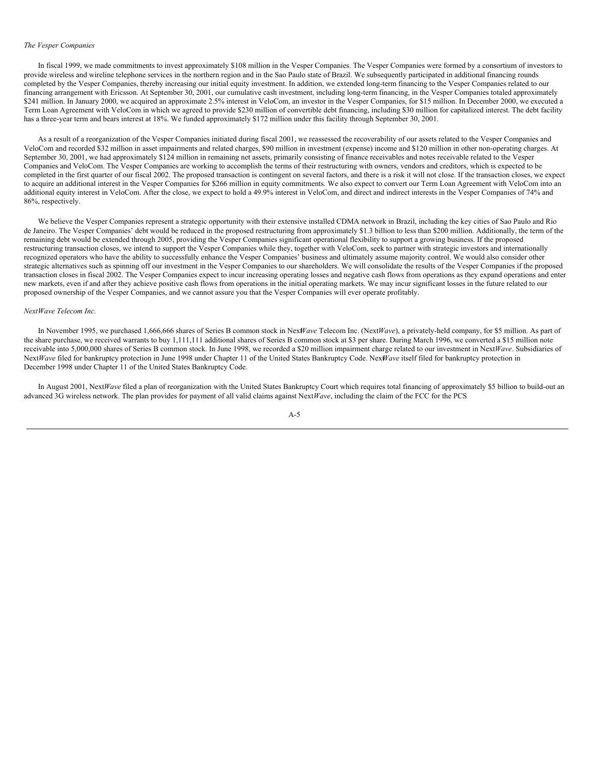#### *The Vesper Companies*

In fiscal 1999, we made commitments to invest approximately \$108 million in the Vesper Companies. The Vesper Companies were formed by a consortium of investors to provide wireless and wireline telephone services in the northern region and in the Sao Paulo state of Brazil. We subsequently participated in additional financing rounds completed by the Vesper Companies, thereby increasing our initial equity investment. In addition, we extended long-term financing to the Vesper Companies related to our financing arrangement with Ericsson. At September 30, 2001, our cumulative cash investment, including long-term financing, in the Vesper Companies totaled approximately \$241 million. In January 2000, we acquired an approximate 2.5% interest in VeloCom, an investor in the Vesper Companies, for \$15 million. In December 2000, we executed a Term Loan Agreement with VeloCom in which we agreed to provide \$230 million of convertible debt financing, including \$30 million for capitalized interest. The debt facility has a three-year term and bears interest at 18%. We funded approximately \$172 million under this facility through September 30, 2001.

As a result of a reorganization of the Vesper Companies initiated during fiscal 2001, we reassessed the recoverability of our assets related to the Vesper Companies and VeloCom and recorded \$32 million in asset impairments and related charges, \$90 million in investment (expense) income and \$120 million in other non-operating charges. At September 30, 2001, we had approximately \$124 million in remaining net assets, primarily consisting of finance receivables and notes receivable related to the Vesper Companies and VeloCom. The Vesper Companies are working to accomplish the terms of their restructuring with owners, vendors and creditors, which is expected to be completed in the first quarter of our fiscal 2002. The proposed transaction is contingent on several factors, and there is a risk it will not close. If the transaction closes, we expect to acquire an additional interest in the Vesper Companies for \$266 million in equity commitments. We also expect to convert our Term Loan Agreement with VeloCom into an additional equity interest in VeloCom. After the close, we expect to hold a 49.9% interest in VeloCom, and direct and indirect interests in the Vesper Companies of 74% and 86%, respectively.

We believe the Vesper Companies represent a strategic opportunity with their extensive installed CDMA network in Brazil, including the key cities of Sao Paulo and Rio de Janeiro. The Vesper Companies' debt would be reduced in the proposed restructuring from approximately \$1.3 billion to less than \$200 million. Additionally, the term of the remaining debt would be extended through 2005, providing the Vesper Companies significant operational flexibility to support a growing business. If the proposed restructuring transaction closes, we intend to support the Vesper Companies while they, together with VeloCom, seek to partner with strategic investors and internationally recognized operators who have the ability to successfully enhance the Vesper Companies' business and ultimately assume majority control. We would also consider other strategic alternatives such as spinning off our investment in the Vesper Companies to our shareholders. We will consolidate the results of the Vesper Companies if the proposed transaction closes in fiscal 2002. The Vesper Companies expect to incur increasing operating losses and negative cash flows from operations as they expand operations and enter new markets, even if and after they achieve positive cash flows from operations in the initial operating markets. We may incur significant losses in the future related to our proposed ownership of the Vesper Companies, and we cannot assure you that the Vesper Companies will ever operate profitably.

#### *NextWave Telecom Inc.*

In November 1995, we purchased 1,666,666 shares of Series B common stock in Nex*Wave* Telecom Inc. (Next*Wave*), a privately-held company, for \$5 million. As part of the share purchase, we received warrants to buy 1,111,111 additional shares of Series B common stock at \$3 per share. During March 1996, we converted a \$15 million note receivable into 5,000,000 shares of Series B common stock. In June 1998, we recorded a \$20 million impairment charge related to our investment in Next*Wave*. Subsidiaries of Next*Wave* filed for bankruptcy protection in June 1998 under Chapter 11 of the United States Bankruptcy Code. Nex*Wave* itself filed for bankruptcy protection in December 1998 under Chapter 11 of the United States Bankruptcy Code.

In August 2001, Next*Wave* filed a plan of reorganization with the United States Bankruptcy Court which requires total financing of approximately \$5 billion to build-out an advanced 3G wireless network. The plan provides for payment of all valid claims against Next*Wave*, including the claim of the FCC for the PCS

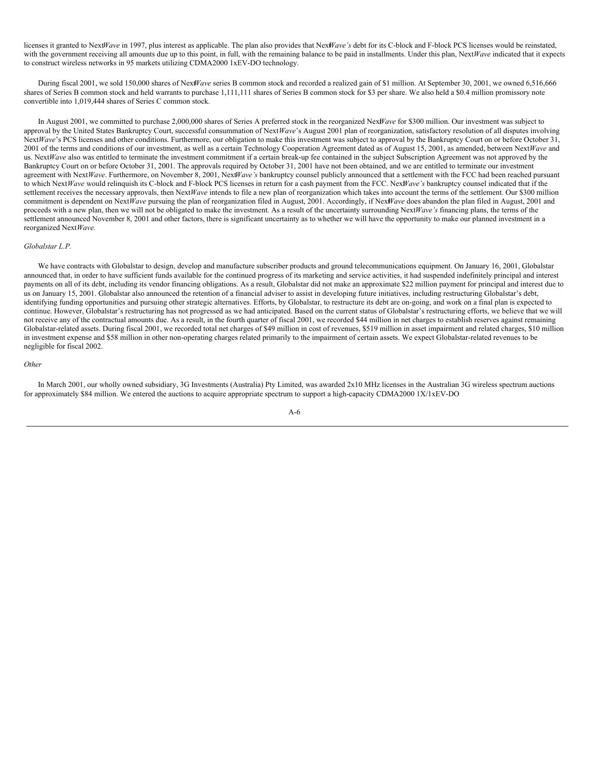licenses it granted to Next*Wave* in 1997, plus interest as applicable. The plan also provides that Nex*Wave's* debt for its C-block and F-block PCS licenses would be reinstated, with the government receiving all amounts due up to this point, in full, with the remaining balance to be paid in installments. Under this plan, Next*Wave* indicated that it expects to construct wireless networks in 95 markets utilizing CDMA2000 1xEV-DO technology.

During fiscal 2001, we sold 150,000 shares of Next*Wave* series B common stock and recorded a realized gain of \$1 million. At September 30, 2001, we owned 6,516,666 shares of Series B common stock and held warrants to purchase 1,111,111 shares of Series B common stock for \$3 per share. We also held a \$0.4 million promissory note convertible into 1,019,444 shares of Series C common stock.

In August 2001, we committed to purchase 2,000,000 shares of Series A preferred stock in the reorganized Nex*Wave* for \$300 million. Our investment was subject to approval by the United States Bankruptcy Court, successful consummation of Next*Wave*'s August 2001 plan of reorganization, satisfactory resolution of all disputes involving Next*Wave*'s PCS licenses and other conditions. Furthermore, our obligation to make this investment was subject to approval by the Bankruptcy Court on or before October 31, 2001 of the terms and conditions of our investment, as well as a certain Technology Cooperation Agreement dated as of August 15, 2001, as amended, between Next*Wave* and us. Next*Wave* also was entitled to terminate the investment commitment if a certain break-up fee contained in the subject Subscription Agreement was not approved by the Bankruptcy Court on or before October 31, 2001. The approvals required by October 31, 2001 have not been obtained, and we are entitled to terminate our investment agreement with NextWave. Furthermore, on November 8, 2001, NextWave's bankruptcy counsel publicly announced that a settlement with the FCC had been reached pursuant to which NextWave would relinquish its C-block and F-block PCS licenses in return for a cash payment from the FCC. NexWave's bankruptcy counsel indicated that if the settlement receives the necessary approvals, then Next*Wave* intends to file a new plan of reorganization which takes into account the terms of the settlement. Our \$300 million commitment is dependent on Next*Wave* pursuing the plan of reorganization filed in August, 2001. Accordingly, if Nex*Wave* does abandon the plan filed in August, 2001 and proceeds with a new plan, then we will not be obligated to make the investment. As a result of the uncertainty surrounding Next*Wave's* financing plans, the terms of the settlement announced November 8, 2001 and other factors, there is significant uncertainty as to whether we will have the opportunity to make our planned investment in a reorganized Next*Wave.*

#### *Globalstar L.P.*

We have contracts with Globalstar to design, develop and manufacture subscriber products and ground telecommunications equipment. On January 16, 2001, Globalstar announced that, in order to have sufficient funds available for the continued progress of its marketing and service activities, it had suspended indefinitely principal and interest payments on all of its debt, including its vendor financing obligations. As a result, Globalstar did not make an approximate \$22 million payment for principal and interest due to us on January 15, 2001. Globalstar also announced the retention of a financial adviser to assist in developing future initiatives, including restructuring Globalstar's debt, identifying funding opportunities and pursuing other strategic alternatives. Efforts, by Globalstar, to restructure its debt are on-going, and work on a final plan is expected to continue. However, Globalstar's restructuring has not progressed as we had anticipated. Based on the current status of Globalstar's restructuring efforts, we believe that we will not receive any of the contractual amounts due. As a result, in the fourth quarter of fiscal 2001, we recorded \$44 million in net charges to establish reserves against remaining Globalstar-related assets. During fiscal 2001, we recorded total net charges of \$49 million in cost of revenues, \$519 million in asset impairment and related charges, \$10 million in investment expense and \$58 million in other non-operating charges related primarily to the impairment of certain assets. We expect Globalstar-related revenues to be negligible for fiscal 2002.

#### *Other*

In March 2001, our wholly owned subsidiary, 3G Investments (Australia) Pty Limited, was awarded 2x10 MHz licenses in the Australian 3G wireless spectrum auctions for approximately \$84 million. We entered the auctions to acquire appropriate spectrum to support a high-capacity CDMA2000 1X/1xEV-DO

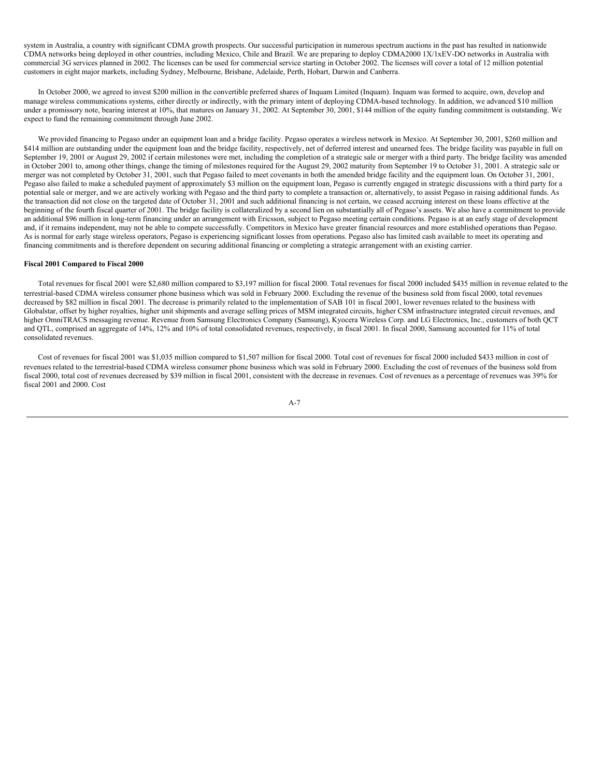system in Australia, a country with significant CDMA growth prospects. Our successful participation in numerous spectrum auctions in the past has resulted in nationwide CDMA networks being deployed in other countries, including Mexico, Chile and Brazil. We are preparing to deploy CDMA2000 1X/1xEV-DO networks in Australia with commercial 3G services planned in 2002. The licenses can be used for commercial service starting in October 2002. The licenses will cover a total of 12 million potential customers in eight major markets, including Sydney, Melbourne, Brisbane, Adelaide, Perth, Hobart, Darwin and Canberra.

In October 2000, we agreed to invest \$200 million in the convertible preferred shares of Inquam Limited (Inquam). Inquam was formed to acquire, own, develop and manage wireless communications systems, either directly or indirectly, with the primary intent of deploying CDMA-based technology. In addition, we advanced \$10 million under a promissory note, bearing interest at 10%, that matures on January 31, 2002. At September 30, 2001, \$144 million of the equity funding commitment is outstanding. We expect to fund the remaining commitment through June 2002.

We provided financing to Pegaso under an equipment loan and a bridge facility. Pegaso operates a wireless network in Mexico. At September 30, 2001, \$260 million and \$414 million are outstanding under the equipment loan and the bridge facility, respectively, net of deferred interest and unearned fees. The bridge facility was payable in full on September 19, 2001 or August 29, 2002 if certain milestones were met, including the completion of a strategic sale or merger with a third party. The bridge facility was amended in October 2001 to, among other things, change the timing of milestones required for the August 29, 2002 maturity from September 19 to October 31, 2001. A strategic sale or merger was not completed by October 31, 2001, such that Pegaso failed to meet covenants in both the amended bridge facility and the equipment loan. On October 31, 2001, Pegaso also failed to make a scheduled payment of approximately \$3 million on the equipment loan, Pegaso is currently engaged in strategic discussions with a third party for a potential sale or merger, and we are actively working with Pegaso and the third party to complete a transaction or, alternatively, to assist Pegaso in raising additional funds. As the transaction did not close on the targeted date of October 31, 2001 and such additional financing is not certain, we ceased accruing interest on these loans effective at the beginning of the fourth fiscal quarter of 2001. The bridge facility is collateralized by a second lien on substantially all of Pegaso's assets. We also have a commitment to provide an additional \$96 million in long-term financing under an arrangement with Ericsson, subject to Pegaso meeting certain conditions. Pegaso is at an early stage of development and, if it remains independent, may not be able to compete successfully. Competitors in Mexico have greater financial resources and more established operations than Pegaso. As is normal for early stage wireless operators, Pegaso is experiencing significant losses from operations. Pegaso also has limited cash available to meet its operating and financing commitments and is therefore dependent on securing additional financing or completing a strategic arrangement with an existing carrier.

### **Fiscal 2001 Compared to Fiscal 2000**

Total revenues for fiscal 2001 were \$2,680 million compared to \$3,197 million for fiscal 2000. Total revenues for fiscal 2000 included \$435 million in revenue related to the terrestrial-based CDMA wireless consumer phone business which was sold in February 2000. Excluding the revenue of the business sold from fiscal 2000, total revenues decreased by \$82 million in fiscal 2001. The decrease is primarily related to the implementation of SAB 101 in fiscal 2001, lower revenues related to the business with Globalstar, offset by higher royalties, higher unit shipments and average selling prices of MSM integrated circuits, higher CSM infrastructure integrated circuit revenues, and higher OmniTRACS messaging revenue. Revenue from Samsung Electronics Company (Samsung), Kyocera Wireless Corp. and LG Electronics, Inc., customers of both QCT and QTL, comprised an aggregate of 14%, 12% and 10% of total consolidated revenues, respectively, in fiscal 2001. In fiscal 2000, Samsung accounted for 11% of total consolidated revenues.

Cost of revenues for fiscal 2001 was \$1,035 million compared to \$1,507 million for fiscal 2000. Total cost of revenues for fiscal 2000 included \$433 million in cost of revenues related to the terrestrial-based CDMA wireless consumer phone business which was sold in February 2000. Excluding the cost of revenues of the business sold from fiscal 2000, total cost of revenues decreased by \$39 million in fiscal 2001, consistent with the decrease in revenues. Cost of revenues as a percentage of revenues was 39% for fiscal 2001 and 2000. Cost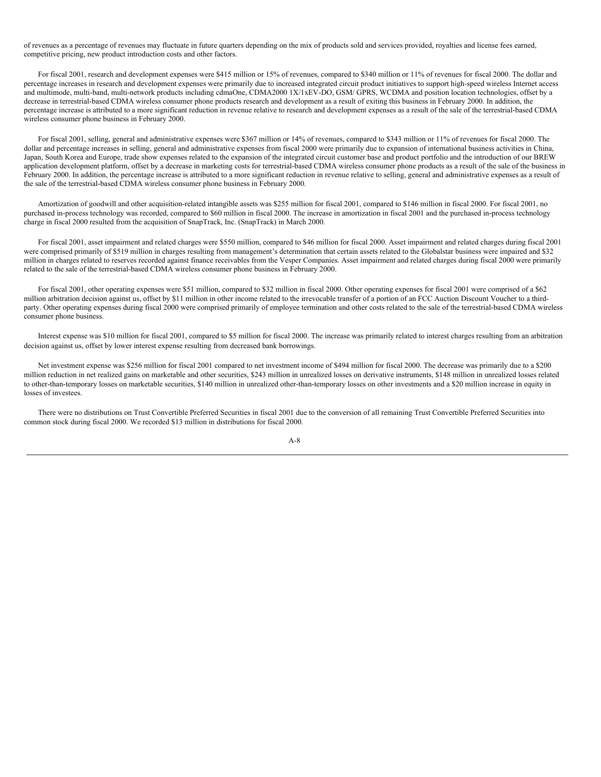of revenues as a percentage of revenues may fluctuate in future quarters depending on the mix of products sold and services provided, royalties and license fees earned, competitive pricing, new product introduction costs and other factors.

For fiscal 2001, research and development expenses were \$415 million or 15% of revenues, compared to \$340 million or 11% of revenues for fiscal 2000. The dollar and percentage increases in research and development expenses were primarily due to increased integrated circuit product initiatives to support high-speed wireless Internet access and multimode, multi-band, multi-network products including cdmaOne, CDMA2000 1X/1xEV-DO, GSM/ GPRS, WCDMA and position location technologies, offset by a decrease in terrestrial-based CDMA wireless consumer phone products research and development as a result of exiting this business in February 2000. In addition, the percentage increase is attributed to a more significant reduction in revenue relative to research and development expenses as a result of the sale of the terrestrial-based CDMA wireless consumer phone business in February 2000.

For fiscal 2001, selling, general and administrative expenses were \$367 million or 14% of revenues, compared to \$343 million or 11% of revenues for fiscal 2000. The dollar and percentage increases in selling, general and administrative expenses from fiscal 2000 were primarily due to expansion of international business activities in China, Japan, South Korea and Europe, trade show expenses related to the expansion of the integrated circuit customer base and product portfolio and the introduction of our BREW application development platform, offset by a decrease in marketing costs for terrestrial-based CDMA wireless consumer phone products as a result of the sale of the business in February 2000. In addition, the percentage increase is attributed to a more significant reduction in revenue relative to selling, general and administrative expenses as a result of the sale of the terrestrial-based CDMA wireless consumer phone business in February 2000.

Amortization of goodwill and other acquisition-related intangible assets was \$255 million for fiscal 2001, compared to \$146 million in fiscal 2000. For fiscal 2001, no purchased in-process technology was recorded, compared to \$60 million in fiscal 2000. The increase in amortization in fiscal 2001 and the purchased in-process technology charge in fiscal 2000 resulted from the acquisition of SnapTrack, Inc. (SnapTrack) in March 2000.

For fiscal 2001, asset impairment and related charges were \$550 million, compared to \$46 million for fiscal 2000. Asset impairment and related charges during fiscal 2001 were comprised primarily of \$519 million in charges resulting from management's determination that certain assets related to the Globalstar business were impaired and \$32 million in charges related to reserves recorded against finance receivables from the Vesper Companies. Asset impairment and related charges during fiscal 2000 were primarily related to the sale of the terrestrial-based CDMA wireless consumer phone business in February 2000.

For fiscal 2001, other operating expenses were \$51 million, compared to \$32 million in fiscal 2000. Other operating expenses for fiscal 2001 were comprised of a \$62 million arbitration decision against us, offset by \$11 million in other income related to the irrevocable transfer of a portion of an FCC Auction Discount Voucher to a thirdparty. Other operating expenses during fiscal 2000 were comprised primarily of employee termination and other costs related to the sale of the terrestrial-based CDMA wireless consumer phone business.

Interest expense was \$10 million for fiscal 2001, compared to \$5 million for fiscal 2000. The increase was primarily related to interest charges resulting from an arbitration decision against us, offset by lower interest expense resulting from decreased bank borrowings.

Net investment expense was \$256 million for fiscal 2001 compared to net investment income of \$494 million for fiscal 2000. The decrease was primarily due to a \$200 million reduction in net realized gains on marketable and other securities, \$243 million in unrealized losses on derivative instruments, \$148 million in unrealized losses related to other-than-temporary losses on marketable securities, \$140 million in unrealized other-than-temporary losses on other investments and a \$20 million increase in equity in losses of investees.

There were no distributions on Trust Convertible Preferred Securities in fiscal 2001 due to the conversion of all remaining Trust Convertible Preferred Securities into common stock during fiscal 2000. We recorded \$13 million in distributions for fiscal 2000.

#### $A - R$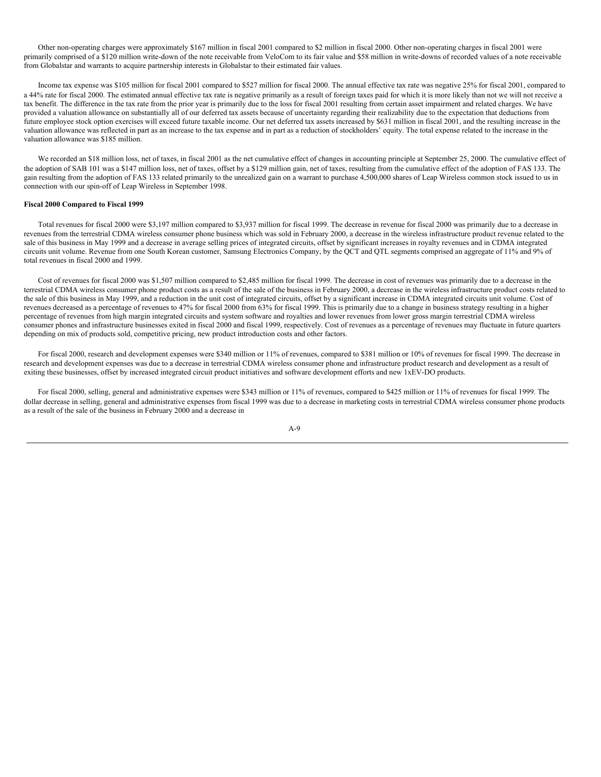Other non-operating charges were approximately \$167 million in fiscal 2001 compared to \$2 million in fiscal 2000. Other non-operating charges in fiscal 2001 were primarily comprised of a \$120 million write-down of the note receivable from VeloCom to its fair value and \$58 million in write-downs of recorded values of a note receivable from Globalstar and warrants to acquire partnership interests in Globalstar to their estimated fair values.

Income tax expense was \$105 million for fiscal 2001 compared to \$527 million for fiscal 2000. The annual effective tax rate was negative 25% for fiscal 2001, compared to a 44% rate for fiscal 2000. The estimated annual effective tax rate is negative primarily as a result of foreign taxes paid for which it is more likely than not we will not receive a tax benefit. The difference in the tax rate from the prior year is primarily due to the loss for fiscal 2001 resulting from certain asset impairment and related charges. We have provided a valuation allowance on substantially all of our deferred tax assets because of uncertainty regarding their realizability due to the expectation that deductions from future employee stock option exercises will exceed future taxable income. Our net deferred tax assets increased by \$631 million in fiscal 2001, and the resulting increase in the valuation allowance was reflected in part as an increase to the tax expense and in part as a reduction of stockholders' equity. The total expense related to the increase in the valuation allowance was \$185 million.

We recorded an \$18 million loss, net of taxes, in fiscal 2001 as the net cumulative effect of changes in accounting principle at September 25, 2000. The cumulative effect of the adoption of SAB 101 was a \$147 million loss, net of taxes, offset by a \$129 million gain, net of taxes, resulting from the cumulative effect of the adoption of FAS 133. The gain resulting from the adoption of FAS 133 related primarily to the unrealized gain on a warrant to purchase 4,500,000 shares of Leap Wireless common stock issued to us in connection with our spin-off of Leap Wireless in September 1998.

### **Fiscal 2000 Compared to Fiscal 1999**

Total revenues for fiscal 2000 were \$3,197 million compared to \$3,937 million for fiscal 1999. The decrease in revenue for fiscal 2000 was primarily due to a decrease in revenues from the terrestrial CDMA wireless consumer phone business which was sold in February 2000, a decrease in the wireless infrastructure product revenue related to the sale of this business in May 1999 and a decrease in average selling prices of integrated circuits, offset by significant increases in royalty revenues and in CDMA integrated circuits unit volume. Revenue from one South Korean customer, Samsung Electronics Company, by the QCT and QTL segments comprised an aggregate of 11% and 9% of total revenues in fiscal 2000 and 1999.

Cost of revenues for fiscal 2000 was \$1,507 million compared to \$2,485 million for fiscal 1999. The decrease in cost of revenues was primarily due to a decrease in the terrestrial CDMA wireless consumer phone product costs as a result of the sale of the business in February 2000, a decrease in the wireless infrastructure product costs related to the sale of this business in May 1999, and a reduction in the unit cost of integrated circuits, offset by a significant increase in CDMA integrated circuits unit volume. Cost of revenues decreased as a percentage of revenues to 47% for fiscal 2000 from 63% for fiscal 1999. This is primarily due to a change in business strategy resulting in a higher percentage of revenues from high margin integrated circuits and system software and royalties and lower revenues from lower gross margin terrestrial CDMA wireless consumer phones and infrastructure businesses exited in fiscal 2000 and fiscal 1999, respectively. Cost of revenues as a percentage of revenues may fluctuate in future quarters depending on mix of products sold, competitive pricing, new product introduction costs and other factors.

For fiscal 2000, research and development expenses were \$340 million or 11% of revenues, compared to \$381 million or 10% of revenues for fiscal 1999. The decrease in research and development expenses was due to a decrease in terrestrial CDMA wireless consumer phone and infrastructure product research and development as a result of exiting these businesses, offset by increased integrated circuit product initiatives and software development efforts and new 1xEV-DO products.

For fiscal 2000, selling, general and administrative expenses were \$343 million or 11% of revenues, compared to \$425 million or 11% of revenues for fiscal 1999. The dollar decrease in selling, general and administrative expenses from fiscal 1999 was due to a decrease in marketing costs in terrestrial CDMA wireless consumer phone products as a result of the sale of the business in February 2000 and a decrease in

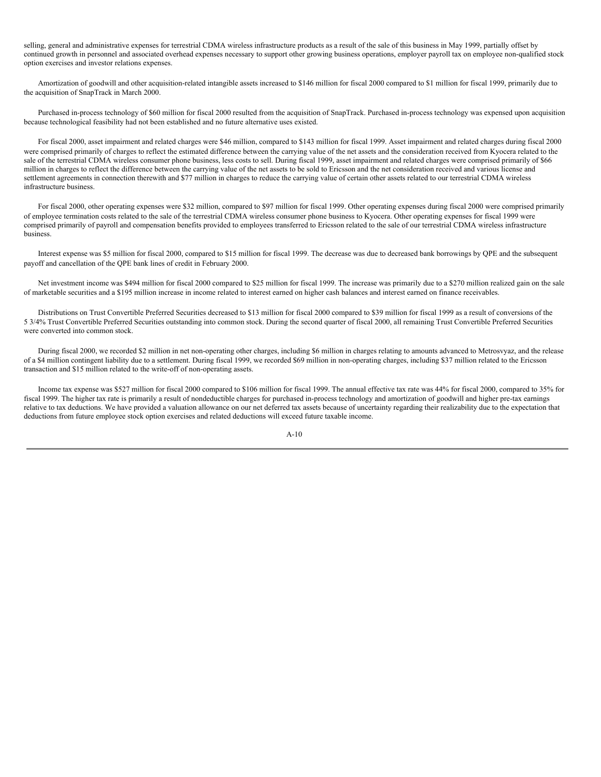selling, general and administrative expenses for terrestrial CDMA wireless infrastructure products as a result of the sale of this business in May 1999, partially offset by continued growth in personnel and associated overhead expenses necessary to support other growing business operations, employer payroll tax on employee non-qualified stock option exercises and investor relations expenses.

Amortization of goodwill and other acquisition-related intangible assets increased to \$146 million for fiscal 2000 compared to \$1 million for fiscal 1999, primarily due to the acquisition of SnapTrack in March 2000.

Purchased in-process technology of \$60 million for fiscal 2000 resulted from the acquisition of SnapTrack. Purchased in-process technology was expensed upon acquisition because technological feasibility had not been established and no future alternative uses existed.

For fiscal 2000, asset impairment and related charges were \$46 million, compared to \$143 million for fiscal 1999. Asset impairment and related charges during fiscal 2000 were comprised primarily of charges to reflect the estimated difference between the carrying value of the net assets and the consideration received from Kyocera related to the sale of the terrestrial CDMA wireless consumer phone business, less costs to sell. During fiscal 1999, asset impairment and related charges were comprised primarily of \$66 million in charges to reflect the difference between the carrying value of the net assets to be sold to Ericsson and the net consideration received and various license and settlement agreements in connection therewith and \$77 million in charges to reduce the carrying value of certain other assets related to our terrestrial CDMA wireless infrastructure business.

For fiscal 2000, other operating expenses were \$32 million, compared to \$97 million for fiscal 1999. Other operating expenses during fiscal 2000 were comprised primarily of employee termination costs related to the sale of the terrestrial CDMA wireless consumer phone business to Kyocera. Other operating expenses for fiscal 1999 were comprised primarily of payroll and compensation benefits provided to employees transferred to Ericsson related to the sale of our terrestrial CDMA wireless infrastructure business.

Interest expense was \$5 million for fiscal 2000, compared to \$15 million for fiscal 1999. The decrease was due to decreased bank borrowings by QPE and the subsequent payoff and cancellation of the QPE bank lines of credit in February 2000.

Net investment income was \$494 million for fiscal 2000 compared to \$25 million for fiscal 1999. The increase was primarily due to a \$270 million realized gain on the sale of marketable securities and a \$195 million increase in income related to interest earned on higher cash balances and interest earned on finance receivables.

Distributions on Trust Convertible Preferred Securities decreased to \$13 million for fiscal 2000 compared to \$39 million for fiscal 1999 as a result of conversions of the 5 3/4% Trust Convertible Preferred Securities outstanding into common stock. During the second quarter of fiscal 2000, all remaining Trust Convertible Preferred Securities were converted into common stock.

During fiscal 2000, we recorded \$2 million in net non-operating other charges, including \$6 million in charges relating to amounts advanced to Metrosvyaz, and the release of a \$4 million contingent liability due to a settlement. During fiscal 1999, we recorded \$69 million in non-operating charges, including \$37 million related to the Ericsson transaction and \$15 million related to the write-off of non-operating assets.

Income tax expense was \$527 million for fiscal 2000 compared to \$106 million for fiscal 1999. The annual effective tax rate was 44% for fiscal 2000, compared to 35% for fiscal 1999. The higher tax rate is primarily a result of nondeductible charges for purchased in-process technology and amortization of goodwill and higher pre-tax earnings relative to tax deductions. We have provided a valuation allowance on our net deferred tax assets because of uncertainty regarding their realizability due to the expectation that deductions from future employee stock option exercises and related deductions will exceed future taxable income.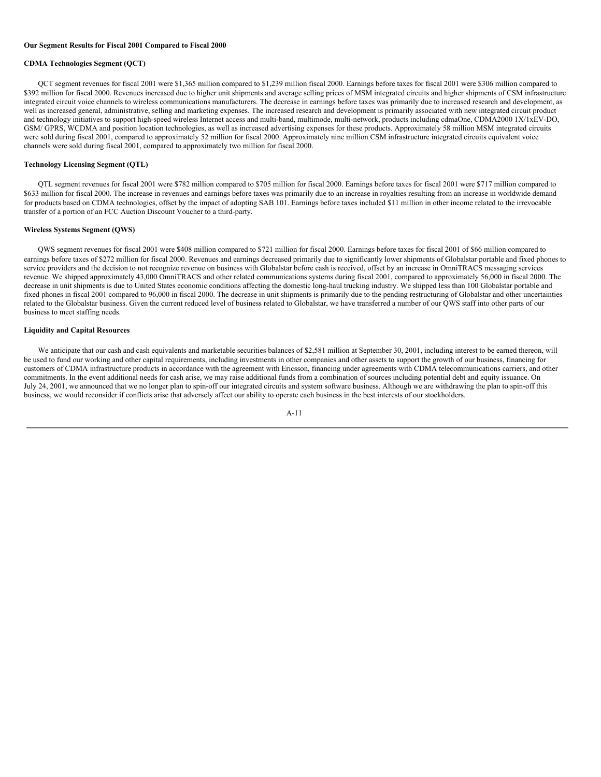#### **Our Segment Results for Fiscal 2001 Compared to Fiscal 2000**

#### **CDMA Technologies Segment (QCT)**

QCT segment revenues for fiscal 2001 were \$1,365 million compared to \$1,239 million fiscal 2000. Earnings before taxes for fiscal 2001 were \$306 million compared to \$392 million for fiscal 2000. Revenues increased due to higher unit shipments and average selling prices of MSM integrated circuits and higher shipments of CSM infrastructure integrated circuit voice channels to wireless communications manufacturers. The decrease in earnings before taxes was primarily due to increased research and development, as well as increased general, administrative, selling and marketing expenses. The increased research and development is primarily associated with new integrated circuit product and technology initiatives to support high-speed wireless Internet access and multi-band, multimode, multi-network, products including cdmaOne, CDMA2000 1X/1xEV-DO, GSM/ GPRS, WCDMA and position location technologies, as well as increased advertising expenses for these products. Approximately 58 million MSM integrated circuits were sold during fiscal 2001, compared to approximately 52 million for fiscal 2000. Approximately nine million CSM infrastructure integrated circuits equivalent voice channels were sold during fiscal 2001, compared to approximately two million for fiscal 2000.

#### **Technology Licensing Segment (QTL)**

QTL segment revenues for fiscal 2001 were \$782 million compared to \$705 million for fiscal 2000. Earnings before taxes for fiscal 2001 were \$717 million compared to \$633 million for fiscal 2000. The increase in revenues and earnings before taxes was primarily due to an increase in royalties resulting from an increase in worldwide demand for products based on CDMA technologies, offset by the impact of adopting SAB 101. Earnings before taxes included \$11 million in other income related to the irrevocable transfer of a portion of an FCC Auction Discount Voucher to a third-party.

#### **Wireless Systems Segment (QWS)**

QWS segment revenues for fiscal 2001 were \$408 million compared to \$721 million for fiscal 2000. Earnings before taxes for fiscal 2001 of \$66 million compared to earnings before taxes of \$272 million for fiscal 2000. Revenues and earnings decreased primarily due to significantly lower shipments of Globalstar portable and fixed phones to service providers and the decision to not recognize revenue on business with Globalstar before cash is received, offset by an increase in OmniTRACS messaging services revenue. We shipped approximately 43,000 OmniTRACS and other related communications systems during fiscal 2001, compared to approximately 56,000 in fiscal 2000. The decrease in unit shipments is due to United States economic conditions affecting the domestic long-haul trucking industry. We shipped less than 100 Globalstar portable and fixed phones in fiscal 2001 compared to 96,000 in fiscal 2000. The decrease in unit shipments is primarily due to the pending restructuring of Globalstar and other uncertainties related to the Globalstar business. Given the current reduced level of business related to Globalstar, we have transferred a number of our QWS staff into other parts of our business to meet staffing needs.

#### **Liquidity and Capital Resources**

We anticipate that our cash and cash equivalents and marketable securities balances of \$2,581 million at September 30, 2001, including interest to be earned thereon, will be used to fund our working and other capital requirements, including investments in other companies and other assets to support the growth of our business, financing for customers of CDMA infrastructure products in accordance with the agreement with Ericsson, financing under agreements with CDMA telecommunications carriers, and other commitments. In the event additional needs for cash arise, we may raise additional funds from a combination of sources including potential debt and equity issuance. On July 24, 2001, we announced that we no longer plan to spin-off our integrated circuits and system software business. Although we are withdrawing the plan to spin-off this business, we would reconsider if conflicts arise that adversely affect our ability to operate each business in the best interests of our stockholders.

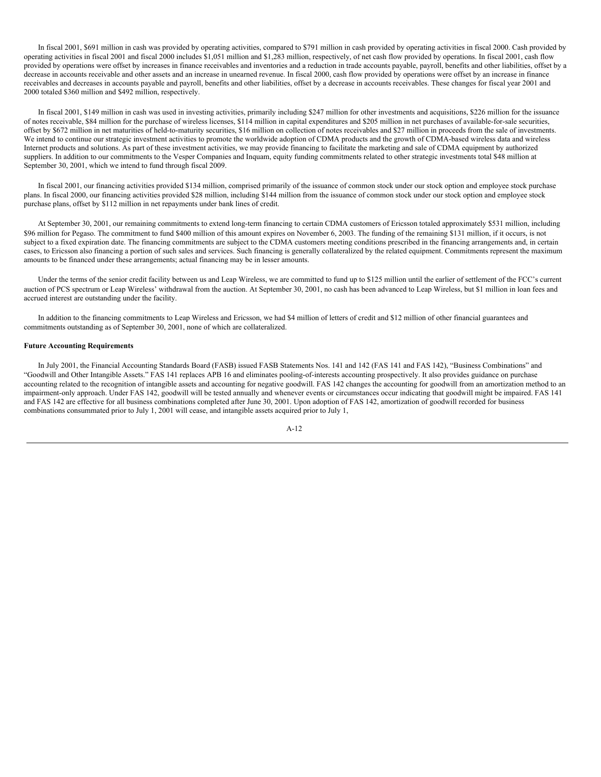In fiscal 2001, \$691 million in cash was provided by operating activities, compared to \$791 million in cash provided by operating activities in fiscal 2000. Cash provided by operating activities in fiscal 2001 and fiscal 2000 includes \$1,051 million and \$1,283 million, respectively, of net cash flow provided by operations. In fiscal 2001, cash flow provided by operations were offset by increases in finance receivables and inventories and a reduction in trade accounts payable, payroll, benefits and other liabilities, offset by a decrease in accounts receivable and other assets and an increase in unearned revenue. In fiscal 2000, cash flow provided by operations were offset by an increase in finance receivables and decreases in accounts payable and payroll, benefits and other liabilities, offset by a decrease in accounts receivables. These changes for fiscal year 2001 and 2000 totaled \$360 million and \$492 million, respectively.

In fiscal 2001, \$149 million in cash was used in investing activities, primarily including \$247 million for other investments and acquisitions, \$226 million for the issuance of notes receivable, \$84 million for the purchase of wireless licenses, \$114 million in capital expenditures and \$205 million in net purchases of available-for-sale securities, offset by \$672 million in net maturities of held-to-maturity securities, \$16 million on collection of notes receivables and \$27 million in proceeds from the sale of investments. We intend to continue our strategic investment activities to promote the worldwide adoption of CDMA products and the growth of CDMA-based wireless data and wireless Internet products and solutions. As part of these investment activities, we may provide financing to facilitate the marketing and sale of CDMA equipment by authorized suppliers. In addition to our commitments to the Vesper Companies and Inquam, equity funding commitments related to other strategic investments total \$48 million at September 30, 2001, which we intend to fund through fiscal 2009.

In fiscal 2001, our financing activities provided \$134 million, comprised primarily of the issuance of common stock under our stock option and employee stock purchase plans. In fiscal 2000, our financing activities provided \$28 million, including \$144 million from the issuance of common stock under our stock option and employee stock purchase plans, offset by \$112 million in net repayments under bank lines of credit.

At September 30, 2001, our remaining commitments to extend long-term financing to certain CDMA customers of Ericsson totaled approximately \$531 million, including \$96 million for Pegaso. The commitment to fund \$400 million of this amount expires on November 6, 2003. The funding of the remaining \$131 million, if it occurs, is not subject to a fixed expiration date. The financing commitments are subject to the CDMA customers meeting conditions prescribed in the financing arrangements and, in certain cases, to Ericsson also financing a portion of such sales and services. Such financing is generally collateralized by the related equipment. Commitments represent the maximum amounts to be financed under these arrangements; actual financing may be in lesser amounts.

Under the terms of the senior credit facility between us and Leap Wireless, we are committed to fund up to \$125 million until the earlier of settlement of the FCC's current auction of PCS spectrum or Leap Wireless' withdrawal from the auction. At September 30, 2001, no cash has been advanced to Leap Wireless, but \$1 million in loan fees and accrued interest are outstanding under the facility.

In addition to the financing commitments to Leap Wireless and Ericsson, we had \$4 million of letters of credit and \$12 million of other financial guarantees and commitments outstanding as of September 30, 2001, none of which are collateralized.

### **Future Accounting Requirements**

In July 2001, the Financial Accounting Standards Board (FASB) issued FASB Statements Nos. 141 and 142 (FAS 141 and FAS 142), "Business Combinations" and "Goodwill and Other Intangible Assets." FAS 141 replaces APB 16 and eliminates pooling-of-interests accounting prospectively. It also provides guidance on purchase accounting related to the recognition of intangible assets and accounting for negative goodwill. FAS 142 changes the accounting for goodwill from an amortization method to an impairment-only approach. Under FAS 142, goodwill will be tested annually and whenever events or circumstances occur indicating that goodwill might be impaired. FAS 141 and FAS 142 are effective for all business combinations completed after June 30, 2001. Upon adoption of FAS 142, amortization of goodwill recorded for business combinations consummated prior to July 1, 2001 will cease, and intangible assets acquired prior to July 1,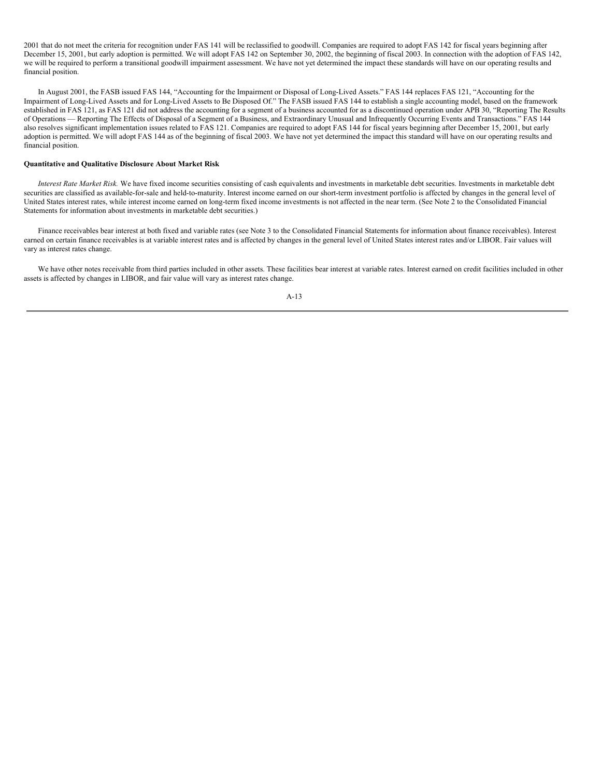2001 that do not meet the criteria for recognition under FAS 141 will be reclassified to goodwill. Companies are required to adopt FAS 142 for fiscal years beginning after December 15, 2001, but early adoption is permitted. We will adopt FAS 142 on September 30, 2002, the beginning of fiscal 2003. In connection with the adoption of FAS 142, we will be required to perform a transitional goodwill impairment assessment. We have not yet determined the impact these standards will have on our operating results and financial position.

In August 2001, the FASB issued FAS 144, "Accounting for the Impairment or Disposal of Long-Lived Assets." FAS 144 replaces FAS 121, "Accounting for the Impairment of Long-Lived Assets and for Long-Lived Assets to Be Disposed Of." The FASB issued FAS 144 to establish a single accounting model, based on the framework established in FAS 121, as FAS 121 did not address the accounting for a segment of a business accounted for as a discontinued operation under APB 30, "Reporting The Results of Operations — Reporting The Effects of Disposal of a Segment of a Business, and Extraordinary Unusual and Infrequently Occurring Events and Transactions." FAS 144 also resolves significant implementation issues related to FAS 121. Companies are required to adopt FAS 144 for fiscal years beginning after December 15, 2001, but early adoption is permitted. We will adopt FAS 144 as of the beginning of fiscal 2003. We have not yet determined the impact this standard will have on our operating results and financial position.

### **Quantitative and Qualitative Disclosure About Market Risk**

*Interest Rate Market Risk.* We have fixed income securities consisting of cash equivalents and investments in marketable debt securities. Investments in marketable debt securities are classified as available-for-sale and held-to-maturity. Interest income earned on our short-term investment portfolio is affected by changes in the general level of United States interest rates, while interest income earned on long-term fixed income investments is not affected in the near term. (See Note 2 to the Consolidated Financial Statements for information about investments in marketable debt securities.)

Finance receivables bear interest at both fixed and variable rates (see Note 3 to the Consolidated Financial Statements for information about finance receivables). Interest earned on certain finance receivables is at variable interest rates and is affected by changes in the general level of United States interest rates and/or LIBOR. Fair values will vary as interest rates change.

We have other notes receivable from third parties included in other assets. These facilities bear interest at variable rates. Interest earned on credit facilities included in other assets is affected by changes in LIBOR, and fair value will vary as interest rates change.

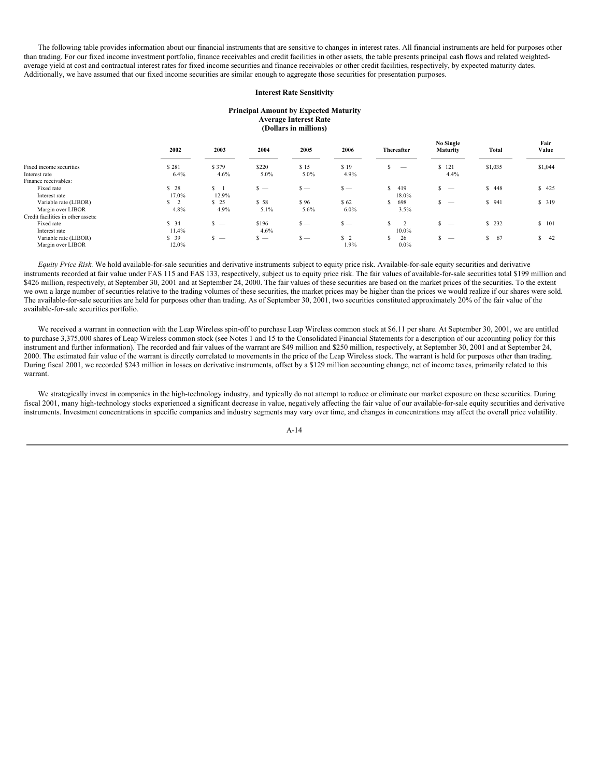The following table provides information about our financial instruments that are sensitive to changes in interest rates. All financial instruments are held for purposes other than trading. For our fixed income investment portfolio, finance receivables and credit facilities in other assets, the table presents principal cash flows and related weightedaverage yield at cost and contractual interest rates for fixed income securities and finance receivables or other credit facilities, respectively, by expected maturity dates. Additionally, we have assumed that our fixed income securities are similar enough to aggregate those securities for presentation purposes.

#### **Interest Rate Sensitivity**

#### **Principal Amount by Expected Maturity Average Interest Rate (Dollars in millions)**

|                                    | 2002           | 2003    | 2004                            | 2005    | 2006           | Thereafter           | No Single<br>Maturity         | Total   | Fair<br>Value |
|------------------------------------|----------------|---------|---------------------------------|---------|----------------|----------------------|-------------------------------|---------|---------------|
| Fixed income securities            | \$281          | \$379   | \$220                           | \$15    | \$19           | $\hspace{0.05cm}$    | \$121                         | \$1,035 | \$1,044       |
| Interest rate                      | $6.4\%$        | $4.6\%$ | 5.0%                            | $5.0\%$ | 4.9%           |                      | 4.4%                          |         |               |
| Finance receivables:               |                |         |                                 |         |                |                      |                               |         |               |
| Fixed rate                         | \$28           | $S \t1$ | $s -$                           | $s -$   | $s -$          | 419<br>S             | ς<br>$\overline{\phantom{a}}$ | \$448   | \$425         |
| Interest rate                      | 17.0%          | 12.9%   |                                 |         |                | 18.0%                |                               |         |               |
| Variable rate (LIBOR)              | S <sub>2</sub> | \$25    | \$58                            | \$96    | \$62           | 698<br>S             |                               | \$941   | \$ 319        |
| Margin over LIBOR                  | 4.8%           | 4.9%    | 5.1%                            | $5.6\%$ | $6.0\%$        | 3.5%                 |                               |         |               |
| Credit facilities in other assets: |                |         |                                 |         |                |                      |                               |         |               |
| Fixed rate                         | \$34           | $s -$   | \$196                           | $s -$   | $s -$          | S.<br>$\overline{2}$ | $\overline{\phantom{a}}$      | \$232   | \$101         |
| Interest rate                      | 11.4%          |         | 4.6%                            |         |                | 10.0%                |                               |         |               |
| Variable rate (LIBOR)              | \$39           | $s -$   | \$.<br>$\overline{\phantom{a}}$ | $s -$   | S <sub>2</sub> | 26<br>S              | $\overline{\phantom{a}}$      | \$67    | S<br>42       |
| Margin over LIBOR                  | 12.0%          |         |                                 |         | 1.9%           | $0.0\%$              |                               |         |               |

*Equity Price Risk.* We hold available-for-sale securities and derivative instruments subject to equity price risk. Available-for-sale equity securities and derivative instruments recorded at fair value under FAS 115 and FAS 133, respectively, subject us to equity price risk. The fair values of available-for-sale securities total \$199 million and \$426 million, respectively, at September 30, 2001 and at September 24, 2000. The fair values of these securities are based on the market prices of the securities. To the extent we own a large number of securities relative to the trading volumes of these securities, the market prices may be higher than the prices we would realize if our shares were sold. The available-for-sale securities are held for purposes other than trading. As of September 30, 2001, two securities constituted approximately 20% of the fair value of the available-for-sale securities portfolio.

We received a warrant in connection with the Leap Wireless spin-off to purchase Leap Wireless common stock at \$6.11 per share. At September 30, 2001, we are entitled to purchase 3,375,000 shares of Leap Wireless common stock (see Notes 1 and 15 to the Consolidated Financial Statements for a description of our accounting policy for this instrument and further information). The recorded and fair values of the warrant are \$49 million and \$250 million, respectively, at September 30, 2001 and at September 24, 2000. The estimated fair value of the warrant is directly correlated to movements in the price of the Leap Wireless stock. The warrant is held for purposes other than trading. During fiscal 2001, we recorded \$243 million in losses on derivative instruments, offset by a \$129 million accounting change, net of income taxes, primarily related to this warrant.

We strategically invest in companies in the high-technology industry, and typically do not attempt to reduce or eliminate our market exposure on these securities. During fiscal 2001, many high-technology stocks experienced a significant decrease in value, negatively affecting the fair value of our available-for-sale equity securities and derivative instruments. Investment concentrations in specific companies and industry segments may vary over time, and changes in concentrations may affect the overall price volatility.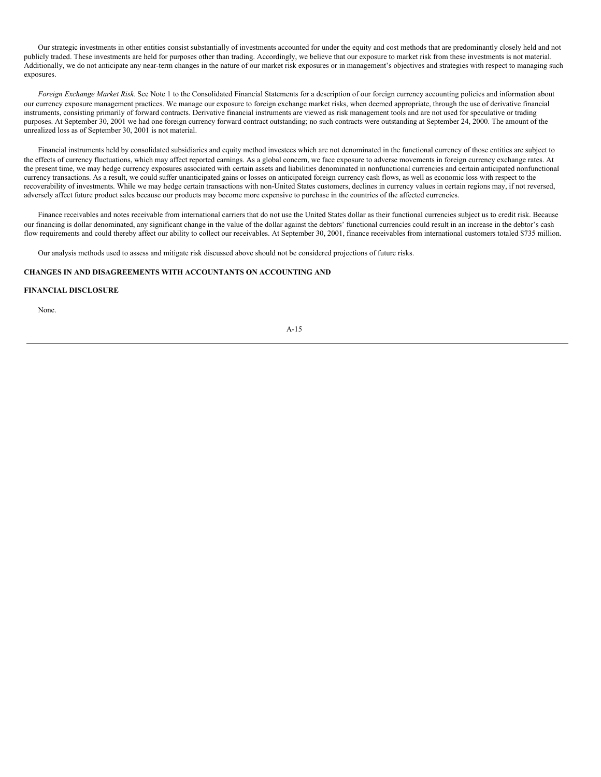Our strategic investments in other entities consist substantially of investments accounted for under the equity and cost methods that are predominantly closely held and not publicly traded. These investments are held for purposes other than trading. Accordingly, we believe that our exposure to market risk from these investments is not material. Additionally, we do not anticipate any near-term changes in the nature of our market risk exposures or in management's objectives and strategies with respect to managing such exposures.

*Foreign Exchange Market Risk.* See Note 1 to the Consolidated Financial Statements for a description of our foreign currency accounting policies and information about our currency exposure management practices. We manage our exposure to foreign exchange market risks, when deemed appropriate, through the use of derivative financial instruments, consisting primarily of forward contracts. Derivative financial instruments are viewed as risk management tools and are not used for speculative or trading purposes. At September 30, 2001 we had one foreign currency forward contract outstanding; no such contracts were outstanding at September 24, 2000. The amount of the unrealized loss as of September 30, 2001 is not material.

Financial instruments held by consolidated subsidiaries and equity method investees which are not denominated in the functional currency of those entities are subject to the effects of currency fluctuations, which may affect reported earnings. As a global concern, we face exposure to adverse movements in foreign currency exchange rates. At the present time, we may hedge currency exposures associated with certain assets and liabilities denominated in nonfunctional currencies and certain anticipated nonfunctional currency transactions. As a result, we could suffer unanticipated gains or losses on anticipated foreign currency cash flows, as well as economic loss with respect to the recoverability of investments. While we may hedge certain transactions with non-United States customers, declines in currency values in certain regions may, if not reversed, adversely affect future product sales because our products may become more expensive to purchase in the countries of the affected currencies.

Finance receivables and notes receivable from international carriers that do not use the United States dollar as their functional currencies subject us to credit risk. Because our financing is dollar denominated, any significant change in the value of the dollar against the debtors' functional currencies could result in an increase in the debtor's cash flow requirements and could thereby affect our ability to collect our receivables. At September 30, 2001, finance receivables from international customers totaled \$735 million.

Our analysis methods used to assess and mitigate risk discussed above should not be considered projections of future risks.

### **CHANGES IN AND DISAGREEMENTS WITH ACCOUNTANTS ON ACCOUNTING AND**

### **FINANCIAL DISCLOSURE**

None.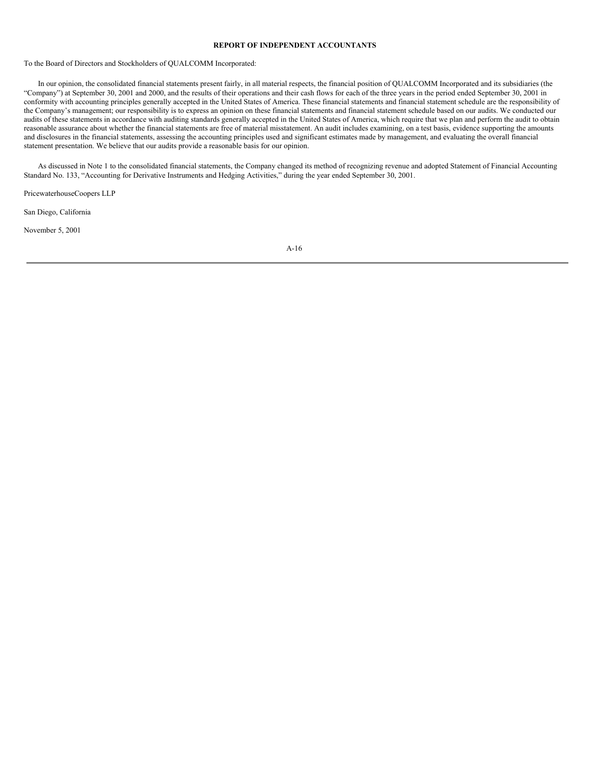### **REPORT OF INDEPENDENT ACCOUNTANTS**

To the Board of Directors and Stockholders of QUALCOMM Incorporated:

In our opinion, the consolidated financial statements present fairly, in all material respects, the financial position of QUALCOMM Incorporated and its subsidiaries (the "Company") at September 30, 2001 and 2000, and the results of their operations and their cash flows for each of the three years in the period ended September 30, 2001 in conformity with accounting principles generally accepted in the United States of America. These financial statements and financial statement schedule are the responsibility of the Company's management; our responsibility is to express an opinion on these financial statements and financial statement schedule based on our audits. We conducted our audits of these statements in accordance with auditing standards generally accepted in the United States of America, which require that we plan and perform the audit to obtain reasonable assurance about whether the financial statements are free of material misstatement. An audit includes examining, on a test basis, evidence supporting the amounts and disclosures in the financial statements, assessing the accounting principles used and significant estimates made by management, and evaluating the overall financial statement presentation. We believe that our audits provide a reasonable basis for our opinion.

As discussed in Note 1 to the consolidated financial statements, the Company changed its method of recognizing revenue and adopted Statement of Financial Accounting Standard No. 133, "Accounting for Derivative Instruments and Hedging Activities," during the year ended September 30, 2001.

PricewaterhouseCoopers LLP

San Diego, California

November 5, 2001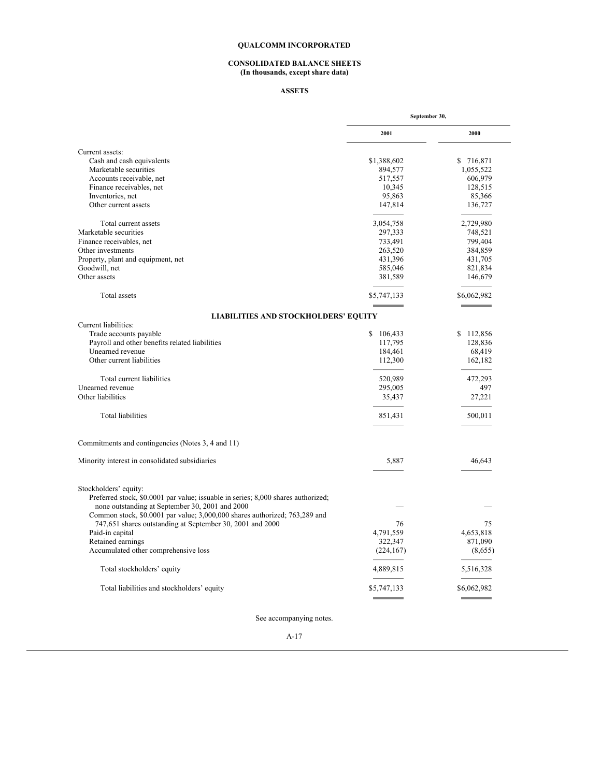#### **CONSOLIDATED BALANCE SHEETS (In thousands, except share data)**

## **ASSETS**

| Current assets:<br>Cash and cash equivalents<br>Marketable securities<br>Accounts receivable, net<br>Finance receivables, net<br>Inventories, net<br>Other current assets<br>Total current assets<br>Marketable securities<br>Finance receivables, net<br>Other investments<br>Property, plant and equipment, net<br>Goodwill, net<br><b>Total</b> assets<br><b>LIABILITIES AND STOCKHOLDERS' EQUITY</b><br>Trade accounts payable<br>Payroll and other benefits related liabilities<br>Unearned revenue | 2001<br>\$1,388,602<br>894,577<br>517,557<br>10,345<br>95,863<br>147,814<br>3,054,758<br>297,333<br>733,491<br>263,520<br>431,396<br>585,046<br>381,589<br>\$5,747,133 | 2000<br>\$716,871<br>1,055,522<br>606,979<br>128,515<br>85,366<br>136,727<br>2,729,980<br>748,521<br>799,404<br>384,859<br>431,705<br>821,834<br>146,679<br>\$6,062,982 |
|----------------------------------------------------------------------------------------------------------------------------------------------------------------------------------------------------------------------------------------------------------------------------------------------------------------------------------------------------------------------------------------------------------------------------------------------------------------------------------------------------------|------------------------------------------------------------------------------------------------------------------------------------------------------------------------|-------------------------------------------------------------------------------------------------------------------------------------------------------------------------|
|                                                                                                                                                                                                                                                                                                                                                                                                                                                                                                          |                                                                                                                                                                        |                                                                                                                                                                         |
|                                                                                                                                                                                                                                                                                                                                                                                                                                                                                                          |                                                                                                                                                                        |                                                                                                                                                                         |
|                                                                                                                                                                                                                                                                                                                                                                                                                                                                                                          |                                                                                                                                                                        |                                                                                                                                                                         |
|                                                                                                                                                                                                                                                                                                                                                                                                                                                                                                          |                                                                                                                                                                        |                                                                                                                                                                         |
|                                                                                                                                                                                                                                                                                                                                                                                                                                                                                                          |                                                                                                                                                                        |                                                                                                                                                                         |
|                                                                                                                                                                                                                                                                                                                                                                                                                                                                                                          |                                                                                                                                                                        |                                                                                                                                                                         |
|                                                                                                                                                                                                                                                                                                                                                                                                                                                                                                          |                                                                                                                                                                        |                                                                                                                                                                         |
|                                                                                                                                                                                                                                                                                                                                                                                                                                                                                                          |                                                                                                                                                                        |                                                                                                                                                                         |
|                                                                                                                                                                                                                                                                                                                                                                                                                                                                                                          |                                                                                                                                                                        |                                                                                                                                                                         |
|                                                                                                                                                                                                                                                                                                                                                                                                                                                                                                          |                                                                                                                                                                        |                                                                                                                                                                         |
|                                                                                                                                                                                                                                                                                                                                                                                                                                                                                                          |                                                                                                                                                                        |                                                                                                                                                                         |
|                                                                                                                                                                                                                                                                                                                                                                                                                                                                                                          |                                                                                                                                                                        |                                                                                                                                                                         |
|                                                                                                                                                                                                                                                                                                                                                                                                                                                                                                          |                                                                                                                                                                        |                                                                                                                                                                         |
| Other assets                                                                                                                                                                                                                                                                                                                                                                                                                                                                                             |                                                                                                                                                                        |                                                                                                                                                                         |
| Current liabilities:                                                                                                                                                                                                                                                                                                                                                                                                                                                                                     |                                                                                                                                                                        |                                                                                                                                                                         |
|                                                                                                                                                                                                                                                                                                                                                                                                                                                                                                          |                                                                                                                                                                        |                                                                                                                                                                         |
|                                                                                                                                                                                                                                                                                                                                                                                                                                                                                                          |                                                                                                                                                                        |                                                                                                                                                                         |
|                                                                                                                                                                                                                                                                                                                                                                                                                                                                                                          |                                                                                                                                                                        |                                                                                                                                                                         |
|                                                                                                                                                                                                                                                                                                                                                                                                                                                                                                          | \$106,433                                                                                                                                                              | \$112,856                                                                                                                                                               |
|                                                                                                                                                                                                                                                                                                                                                                                                                                                                                                          | 117,795                                                                                                                                                                | 128,836                                                                                                                                                                 |
|                                                                                                                                                                                                                                                                                                                                                                                                                                                                                                          | 184,461                                                                                                                                                                | 68,419                                                                                                                                                                  |
| Other current liabilities                                                                                                                                                                                                                                                                                                                                                                                                                                                                                | 112,300                                                                                                                                                                | 162,182                                                                                                                                                                 |
| Total current liabilities                                                                                                                                                                                                                                                                                                                                                                                                                                                                                | 520,989                                                                                                                                                                | 472,293                                                                                                                                                                 |
| Unearned revenue                                                                                                                                                                                                                                                                                                                                                                                                                                                                                         | 295,005                                                                                                                                                                | 497                                                                                                                                                                     |
| Other liabilities                                                                                                                                                                                                                                                                                                                                                                                                                                                                                        | 35,437                                                                                                                                                                 | 27,221                                                                                                                                                                  |
| <b>Total liabilities</b>                                                                                                                                                                                                                                                                                                                                                                                                                                                                                 | 851,431                                                                                                                                                                | 500,011                                                                                                                                                                 |
| Commitments and contingencies (Notes 3, 4 and 11)                                                                                                                                                                                                                                                                                                                                                                                                                                                        |                                                                                                                                                                        |                                                                                                                                                                         |
| Minority interest in consolidated subsidiaries                                                                                                                                                                                                                                                                                                                                                                                                                                                           | 5,887                                                                                                                                                                  | 46,643                                                                                                                                                                  |
|                                                                                                                                                                                                                                                                                                                                                                                                                                                                                                          |                                                                                                                                                                        |                                                                                                                                                                         |
| Stockholders' equity:                                                                                                                                                                                                                                                                                                                                                                                                                                                                                    |                                                                                                                                                                        |                                                                                                                                                                         |
| Preferred stock, \$0.0001 par value; issuable in series; 8,000 shares authorized;                                                                                                                                                                                                                                                                                                                                                                                                                        |                                                                                                                                                                        |                                                                                                                                                                         |
| none outstanding at September 30, 2001 and 2000                                                                                                                                                                                                                                                                                                                                                                                                                                                          |                                                                                                                                                                        |                                                                                                                                                                         |
| Common stock, \$0.0001 par value; 3,000,000 shares authorized; 763,289 and                                                                                                                                                                                                                                                                                                                                                                                                                               |                                                                                                                                                                        |                                                                                                                                                                         |
| 747,651 shares outstanding at September 30, 2001 and 2000                                                                                                                                                                                                                                                                                                                                                                                                                                                | 76                                                                                                                                                                     | 75                                                                                                                                                                      |
| Paid-in capital                                                                                                                                                                                                                                                                                                                                                                                                                                                                                          | 4,791,559                                                                                                                                                              | 4,653,818                                                                                                                                                               |
| Retained earnings                                                                                                                                                                                                                                                                                                                                                                                                                                                                                        | 322,347                                                                                                                                                                | 871,090                                                                                                                                                                 |
| Accumulated other comprehensive loss                                                                                                                                                                                                                                                                                                                                                                                                                                                                     | (224, 167)                                                                                                                                                             | (8,655)                                                                                                                                                                 |
| Total stockholders' equity                                                                                                                                                                                                                                                                                                                                                                                                                                                                               | 4,889,815                                                                                                                                                              | 5,516,328                                                                                                                                                               |
| Total liabilities and stockholders' equity                                                                                                                                                                                                                                                                                                                                                                                                                                                               | \$5,747,133                                                                                                                                                            | \$6,062,982                                                                                                                                                             |

See accompanying notes.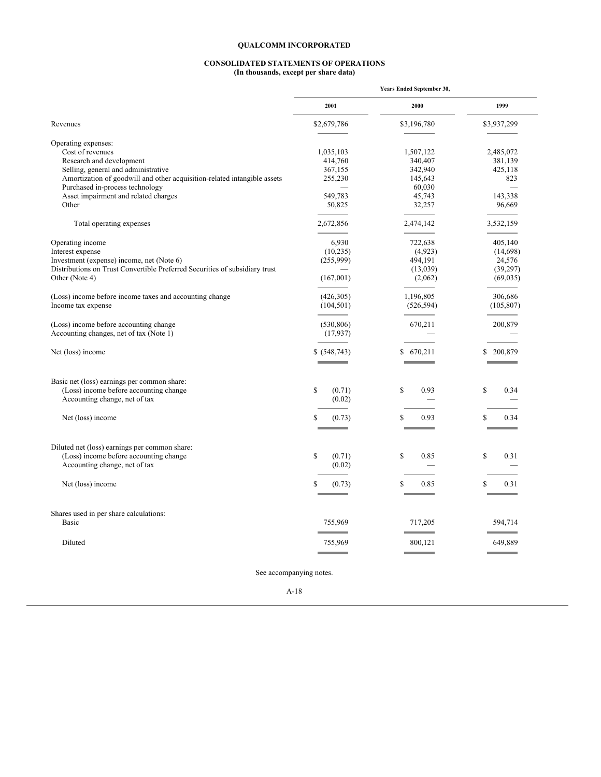#### **CONSOLIDATED STATEMENTS OF OPERATIONS (In thousands, except per share data)**

|                                                                             | <b>Years Ended September 30,</b> |             |             |
|-----------------------------------------------------------------------------|----------------------------------|-------------|-------------|
|                                                                             | 2001                             | 2000        | 1999        |
| Revenues                                                                    | \$2,679,786                      | \$3,196,780 | \$3,937,299 |
| Operating expenses:                                                         |                                  |             |             |
| Cost of revenues                                                            | 1,035,103                        | 1,507,122   | 2,485,072   |
| Research and development                                                    | 414,760                          | 340,407     | 381,139     |
| Selling, general and administrative                                         | 367,155                          | 342,940     | 425,118     |
| Amortization of goodwill and other acquisition-related intangible assets    | 255,230                          | 145,643     | 823         |
| Purchased in-process technology                                             |                                  | 60,030      |             |
| Asset impairment and related charges                                        | 549,783                          | 45,743      | 143,338     |
| Other                                                                       |                                  |             |             |
|                                                                             | 50,825                           | 32,257      | 96,669      |
| Total operating expenses                                                    | 2,672,856                        | 2,474,142   | 3,532,159   |
| Operating income                                                            | 6,930                            | 722,638     | 405,140     |
| Interest expense                                                            | (10, 235)                        | (4,923)     | (14,698)    |
| Investment (expense) income, net (Note 6)                                   | (255,999)                        | 494,191     | 24,576      |
| Distributions on Trust Convertible Preferred Securities of subsidiary trust |                                  | (13,039)    | (39, 297)   |
| Other (Note 4)                                                              | (167,001)                        | (2,062)     | (69, 035)   |
|                                                                             |                                  |             |             |
| (Loss) income before income taxes and accounting change                     | (426,305)                        | 1,196,805   | 306,686     |
| Income tax expense                                                          | (104, 501)                       | (526, 594)  | (105, 807)  |
|                                                                             |                                  |             |             |
| (Loss) income before accounting change                                      | (530, 806)                       | 670,211     | 200,879     |
| Accounting changes, net of tax (Note 1)                                     | (17,937)                         |             |             |
| Net (loss) income                                                           | \$ (548, 743)                    | \$670,211   | \$ 200,879  |
|                                                                             |                                  |             |             |
| Basic net (loss) earnings per common share:                                 |                                  |             |             |
| (Loss) income before accounting change                                      | \$<br>(0.71)                     | \$<br>0.93  | \$<br>0.34  |
| Accounting change, net of tax                                               | (0.02)                           |             |             |
| Net (loss) income                                                           | S<br>(0.73)                      | S<br>0.93   | \$<br>0.34  |
|                                                                             |                                  |             |             |
| Diluted net (loss) earnings per common share:                               |                                  |             |             |
| (Loss) income before accounting change                                      | \$<br>(0.71)                     | S<br>0.85   | \$<br>0.31  |
| Accounting change, net of tax                                               | (0.02)                           |             |             |
|                                                                             |                                  |             |             |
| Net (loss) income                                                           | S<br>(0.73)                      | \$<br>0.85  | 0.31<br>S   |
| Shares used in per share calculations:                                      |                                  |             |             |
| <b>Basic</b>                                                                | 755,969                          | 717,205     | 594,714     |
|                                                                             |                                  |             |             |
| Diluted                                                                     | 755,969                          | 800,121     | 649,889     |
|                                                                             |                                  |             |             |

See accompanying notes.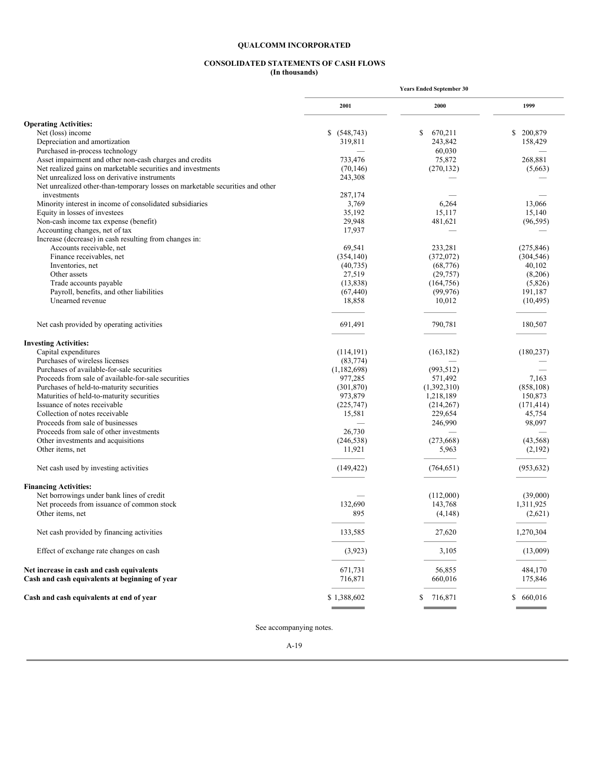#### **CONSOLIDATED STATEMENTS OF CASH FLOWS (In thousands)**

|                                                                               | <b>Years Ended September 30</b> |                   |            |
|-------------------------------------------------------------------------------|---------------------------------|-------------------|------------|
|                                                                               | 2001                            | 2000              | 1999       |
| <b>Operating Activities:</b>                                                  |                                 |                   |            |
| Net (loss) income                                                             | \$ (548,743)                    | 670,211<br>\$     | \$ 200,879 |
| Depreciation and amortization                                                 | 319,811                         | 243,842           | 158,429    |
| Purchased in-process technology                                               |                                 | 60,030            |            |
| Asset impairment and other non-cash charges and credits                       | 733,476                         | 75,872            | 268,881    |
| Net realized gains on marketable securities and investments                   | (70, 146)                       | (270, 132)        | (5,663)    |
| Net unrealized loss on derivative instruments                                 | 243,308                         |                   |            |
| Net unrealized other-than-temporary losses on marketable securities and other |                                 |                   |            |
| investments                                                                   | 287,174                         |                   |            |
| Minority interest in income of consolidated subsidiaries                      | 3,769                           | 6,264             | 13,066     |
| Equity in losses of investees                                                 | 35,192                          | 15,117            | 15,140     |
| Non-cash income tax expense (benefit)                                         | 29,948                          | 481,621           | (96, 595)  |
| Accounting changes, net of tax                                                | 17,937                          |                   |            |
| Increase (decrease) in cash resulting from changes in:                        |                                 |                   |            |
| Accounts receivable, net                                                      | 69,541                          | 233,281           | (275, 846) |
| Finance receivables, net                                                      | (354, 140)                      | (372,072)         | (304, 546) |
| Inventories, net                                                              |                                 |                   |            |
|                                                                               | (40, 735)                       | (68, 776)         | 40,102     |
| Other assets                                                                  | 27,519                          | (29, 757)         | (8,206)    |
| Trade accounts payable                                                        | (13, 838)                       | (164, 756)        | (5,826)    |
| Payroll, benefits, and other liabilities                                      | (67, 440)                       | (99, 976)         | 191,187    |
| Unearned revenue                                                              | 18,858                          | 10,012            | (10, 495)  |
| Net cash provided by operating activities                                     | 691,491                         | 790,781           | 180,507    |
| <b>Investing Activities:</b>                                                  |                                 |                   |            |
| Capital expenditures                                                          | (114, 191)                      | (163, 182)        | (180, 237) |
| Purchases of wireless licenses                                                | (83, 774)                       |                   |            |
| Purchases of available-for-sale securities                                    | (1,182,698)                     | (993, 512)        |            |
| Proceeds from sale of available-for-sale securities                           | 977,285                         | 571,492           | 7,163      |
| Purchases of held-to-maturity securities                                      | (301, 870)                      | (1,392,310)       | (858, 108) |
| Maturities of held-to-maturity securities                                     | 973,879                         | 1,218,189         | 150,873    |
| Issuance of notes receivable                                                  | (225,747)                       | (214, 267)        | (171, 414) |
| Collection of notes receivable                                                | 15,581                          | 229,654           | 45,754     |
| Proceeds from sale of businesses                                              |                                 | 246,990           | 98,097     |
| Proceeds from sale of other investments                                       | 26,730                          |                   |            |
| Other investments and acquisitions                                            | (246, 538)                      | (273, 668)        | (43, 568)  |
| Other items, net                                                              | 11,921                          | 5,963             | (2,192)    |
| Net cash used by investing activities                                         | (149, 422)                      | (764, 651)        | (953, 632) |
| <b>Financing Activities:</b>                                                  |                                 |                   |            |
| Net borrowings under bank lines of credit                                     |                                 | (112,000)         | (39,000)   |
| Net proceeds from issuance of common stock                                    | 132,690                         | 143,768           | 1,311,925  |
| Other items, net                                                              | 895                             | (4,148)           | (2,621)    |
| Net cash provided by financing activities                                     | 133,585                         | 27,620            | 1,270,304  |
| Effect of exchange rate changes on cash                                       | (3,923)                         | 3,105             | (13,009)   |
| Net increase in cash and cash equivalents                                     |                                 |                   | 484,170    |
| Cash and cash equivalents at beginning of year                                | 671,731<br>716,871              | 56,855<br>660,016 | 175,846    |
| Cash and cash equivalents at end of year                                      | \$1,388,602                     | \$<br>716,871     | \$ 660,016 |
|                                                                               |                                 |                   |            |

See accompanying notes.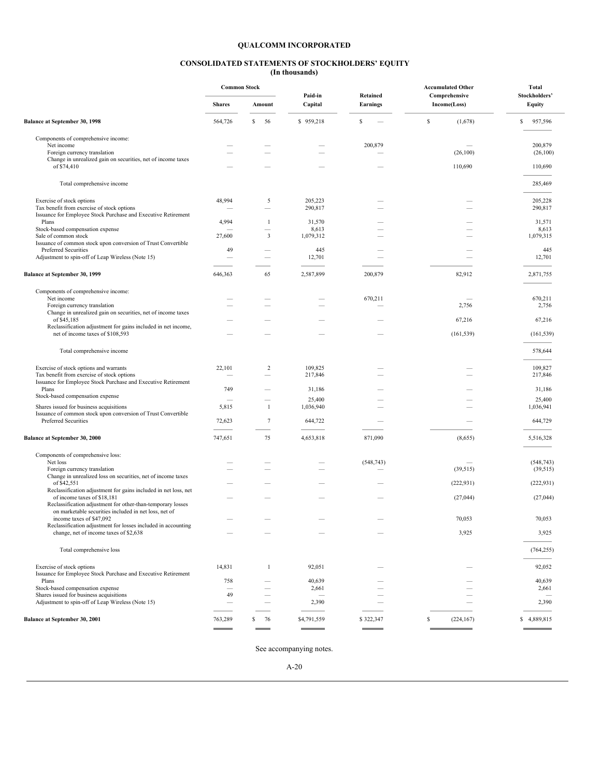#### **CONSOLIDATED STATEMENTS OF STOCKHOLDERS' EQUITY (In thousands)**

|                                                                                                             | <b>Common Stock</b> |                 |                    |                                    | <b>Accumulated Other</b>      | Total                   |
|-------------------------------------------------------------------------------------------------------------|---------------------|-----------------|--------------------|------------------------------------|-------------------------------|-------------------------|
|                                                                                                             | <b>Shares</b>       | Amount          | Paid-in<br>Capital | <b>Retained</b><br><b>Earnings</b> | Comprehensive<br>Income(Loss) | Stockholders'<br>Equity |
| <b>Balance at September 30, 1998</b>                                                                        | 564,726             | s<br>56         | \$959,218          | \$                                 | \$<br>(1,678)                 | S<br>957,596            |
| Components of comprehensive income:                                                                         |                     |                 |                    |                                    |                               |                         |
| Net income<br>Foreign currency translation                                                                  |                     |                 |                    | 200,879                            | (26, 100)                     | 200,879<br>(26, 100)    |
| Change in unrealized gain on securities, net of income taxes                                                |                     |                 |                    |                                    |                               |                         |
| of \$74,410                                                                                                 |                     |                 |                    |                                    | 110,690                       | 110,690                 |
| Total comprehensive income                                                                                  |                     |                 |                    |                                    |                               | 285,469                 |
| Exercise of stock options                                                                                   | 48,994              | 5               | 205,223            |                                    |                               | 205,228                 |
| Tax benefit from exercise of stock options                                                                  |                     |                 | 290,817            |                                    |                               | 290,817                 |
| Issuance for Employee Stock Purchase and Executive Retirement                                               |                     |                 |                    |                                    |                               |                         |
| Plans                                                                                                       | 4,994               | -1              | 31,570             |                                    |                               | 31,571                  |
| Stock-based compensation expense<br>Sale of common stock                                                    | 27,600              | 3               | 8,613<br>1,079,312 |                                    |                               | 8,613<br>1,079,315      |
| Issuance of common stock upon conversion of Trust Convertible                                               |                     |                 |                    |                                    |                               |                         |
| Preferred Securities                                                                                        | 49                  |                 | 445                |                                    |                               | 445                     |
| Adjustment to spin-off of Leap Wireless (Note 15)                                                           |                     |                 | 12,701             |                                    |                               | 12,701                  |
| <b>Balance at September 30, 1999</b>                                                                        | 646,363             | 65              | 2,587,899          | 200,879                            | 82,912                        | 2,871,755               |
|                                                                                                             |                     |                 |                    |                                    |                               |                         |
| Components of comprehensive income:                                                                         |                     |                 |                    |                                    |                               |                         |
| Net income<br>Foreign currency translation                                                                  |                     |                 |                    | 670,211                            | 2,756                         | 670,211<br>2,756        |
| Change in unrealized gain on securities, net of income taxes                                                |                     |                 |                    |                                    |                               |                         |
| of \$45,185                                                                                                 |                     |                 |                    |                                    | 67,216                        | 67,216                  |
| Reclassification adjustment for gains included in net income,<br>net of income taxes of \$108,593           |                     |                 |                    |                                    | (161, 539)                    | (161, 539)              |
| Total comprehensive income                                                                                  |                     |                 |                    |                                    |                               | 578,644                 |
|                                                                                                             |                     |                 |                    |                                    |                               |                         |
| Exercise of stock options and warrants                                                                      | 22,101              | $\overline{c}$  | 109,825            |                                    |                               | 109,827                 |
| Tax benefit from exercise of stock options<br>Issuance for Employee Stock Purchase and Executive Retirement |                     |                 | 217,846            |                                    |                               | 217,846                 |
| Plans                                                                                                       | 749                 |                 | 31,186             |                                    |                               | 31,186                  |
| Stock-based compensation expense                                                                            |                     |                 | 25,400             |                                    |                               | 25,400                  |
| Shares issued for business acquisitions                                                                     | 5,815               | $\mathbf{1}$    | 1,036,940          |                                    |                               | 1,036,941               |
| Issuance of common stock upon conversion of Trust Convertible                                               |                     |                 |                    |                                    |                               |                         |
| Preferred Securities                                                                                        | 72,623              | $7\phantom{.0}$ | 644,722            |                                    |                               | 644,729                 |
| <b>Balance at September 30, 2000</b>                                                                        | 747,651             | 75              | 4,653,818          | 871,090                            | (8,655)                       | 5,516,328               |
| Components of comprehensive loss:                                                                           |                     |                 |                    |                                    |                               |                         |
| Net loss                                                                                                    |                     |                 |                    | (548, 743)                         |                               | (548, 743)              |
| Foreign currency translation                                                                                |                     |                 |                    |                                    | (39, 515)                     | (39, 515)               |
| Change in unrealized loss on securities, net of income taxes<br>of \$42,551                                 |                     |                 |                    |                                    |                               |                         |
| Reclassification adjustment for gains included in net loss, net                                             |                     |                 |                    |                                    | (222, 931)                    | (222, 931)              |
| of income taxes of \$18,181                                                                                 |                     |                 |                    |                                    | (27, 044)                     | (27, 044)               |
| Reclassification adjustment for other-than-temporary losses                                                 |                     |                 |                    |                                    |                               |                         |
| on marketable securities included in net loss, net of                                                       |                     |                 |                    |                                    |                               |                         |
| income taxes of \$47,092                                                                                    |                     |                 |                    |                                    | 70,053                        | 70,053                  |
| Reclassification adjustment for losses included in accounting<br>change, net of income taxes of \$2,638     |                     |                 |                    |                                    | 3,925                         | 3,925                   |
|                                                                                                             |                     |                 |                    |                                    |                               |                         |
| Total comprehensive loss                                                                                    |                     |                 |                    |                                    |                               | (764, 255)              |
| Exercise of stock options                                                                                   | 14,831              | -1              | 92,051             |                                    |                               | 92,052                  |
| Issuance for Employee Stock Purchase and Executive Retirement                                               |                     |                 |                    |                                    |                               |                         |
| Plans                                                                                                       | 758                 |                 | 40,639             |                                    |                               | 40,639                  |
| Stock-based compensation expense<br>Shares issued for business acquisitions                                 | 49                  |                 | 2,661              |                                    |                               | 2,661                   |
| Adjustment to spin-off of Leap Wireless (Note 15)                                                           |                     |                 | 2,390              |                                    |                               | 2,390                   |
| <b>Balance at September 30, 2001</b>                                                                        | 763,289             | s<br>76         | \$4,791,559        | \$322,347                          | \$<br>(224, 167)              | \$4,889,815             |
|                                                                                                             |                     |                 |                    |                                    |                               |                         |
|                                                                                                             |                     |                 |                    |                                    |                               |                         |

See accompanying notes.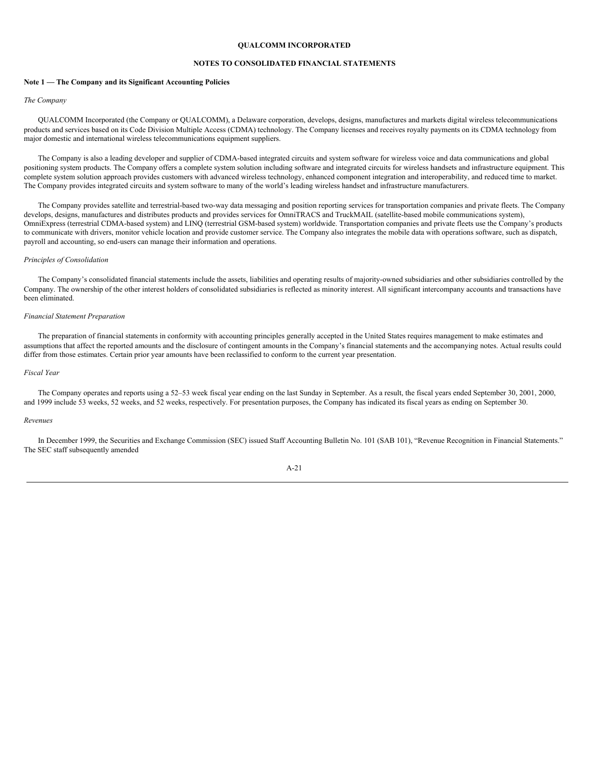## **NOTES TO CONSOLIDATED FINANCIAL STATEMENTS**

#### **Note 1 — The Company and its Significant Accounting Policies**

#### *The Company*

QUALCOMM Incorporated (the Company or QUALCOMM), a Delaware corporation, develops, designs, manufactures and markets digital wireless telecommunications products and services based on its Code Division Multiple Access (CDMA) technology. The Company licenses and receives royalty payments on its CDMA technology from major domestic and international wireless telecommunications equipment suppliers.

The Company is also a leading developer and supplier of CDMA-based integrated circuits and system software for wireless voice and data communications and global positioning system products. The Company offers a complete system solution including software and integrated circuits for wireless handsets and infrastructure equipment. This complete system solution approach provides customers with advanced wireless technology, enhanced component integration and interoperability, and reduced time to market. The Company provides integrated circuits and system software to many of the world's leading wireless handset and infrastructure manufacturers.

The Company provides satellite and terrestrial-based two-way data messaging and position reporting services for transportation companies and private fleets. The Company develops, designs, manufactures and distributes products and provides services for OmniTRACS and TruckMAIL (satellite-based mobile communications system), OmniExpress (terrestrial CDMA-based system) and LINQ (terrestrial GSM-based system) worldwide. Transportation companies and private fleets use the Company's products to communicate with drivers, monitor vehicle location and provide customer service. The Company also integrates the mobile data with operations software, such as dispatch, payroll and accounting, so end-users can manage their information and operations.

## *Principles of Consolidation*

The Company's consolidated financial statements include the assets, liabilities and operating results of majority-owned subsidiaries and other subsidiaries controlled by the Company. The ownership of the other interest holders of consolidated subsidiaries is reflected as minority interest. All significant intercompany accounts and transactions have been eliminated.

#### *Financial Statement Preparation*

The preparation of financial statements in conformity with accounting principles generally accepted in the United States requires management to make estimates and assumptions that affect the reported amounts and the disclosure of contingent amounts in the Company's financial statements and the accompanying notes. Actual results could differ from those estimates. Certain prior year amounts have been reclassified to conform to the current year presentation.

## *Fiscal Year*

The Company operates and reports using a 52–53 week fiscal year ending on the last Sunday in September. As a result, the fiscal years ended September 30, 2001, 2000, and 1999 include 53 weeks, 52 weeks, and 52 weeks, respectively. For presentation purposes, the Company has indicated its fiscal years as ending on September 30.

## *Revenues*

In December 1999, the Securities and Exchange Commission (SEC) issued Staff Accounting Bulletin No. 101 (SAB 101), "Revenue Recognition in Financial Statements." The SEC staff subsequently amended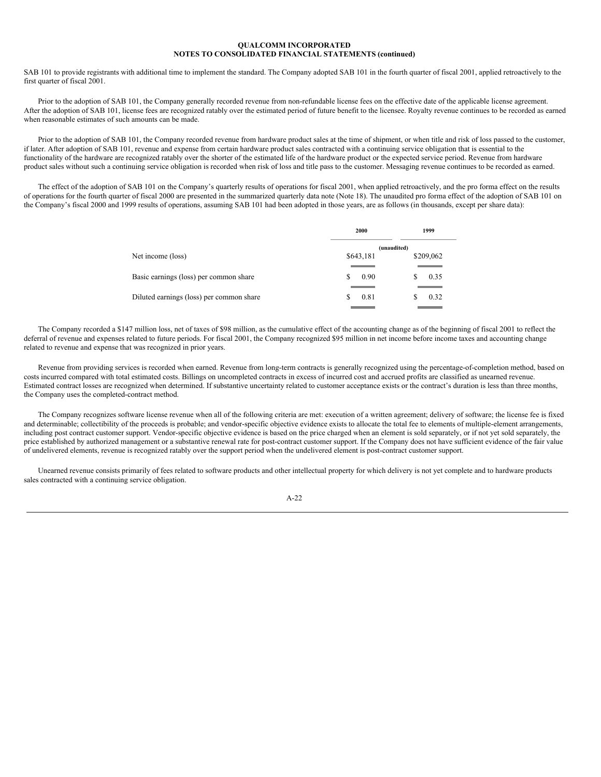SAB 101 to provide registrants with additional time to implement the standard. The Company adopted SAB 101 in the fourth quarter of fiscal 2001, applied retroactively to the first quarter of fiscal 2001.

Prior to the adoption of SAB 101, the Company generally recorded revenue from non-refundable license fees on the effective date of the applicable license agreement. After the adoption of SAB 101, license fees are recognized ratably over the estimated period of future benefit to the licensee. Royalty revenue continues to be recorded as earned when reasonable estimates of such amounts can be made.

Prior to the adoption of SAB 101, the Company recorded revenue from hardware product sales at the time of shipment, or when title and risk of loss passed to the customer, if later. After adoption of SAB 101, revenue and expense from certain hardware product sales contracted with a continuing service obligation that is essential to the functionality of the hardware are recognized ratably over the shorter of the estimated life of the hardware product or the expected service period. Revenue from hardware product sales without such a continuing service obligation is recorded when risk of loss and title pass to the customer. Messaging revenue continues to be recorded as earned.

The effect of the adoption of SAB 101 on the Company's quarterly results of operations for fiscal 2001, when applied retroactively, and the pro forma effect on the results of operations for the fourth quarter of fiscal 2000 are presented in the summarized quarterly data note (Note 18). The unaudited pro forma effect of the adoption of SAB 101 on the Company's fiscal 2000 and 1999 results of operations, assuming SAB 101 had been adopted in those years, are as follows (in thousands, except per share data):

| \$209,062    |
|--------------|
|              |
|              |
|              |
|              |
| 0.35<br>0.32 |

The Company recorded a \$147 million loss, net of taxes of \$98 million, as the cumulative effect of the accounting change as of the beginning of fiscal 2001 to reflect the deferral of revenue and expenses related to future periods. For fiscal 2001, the Company recognized \$95 million in net income before income taxes and accounting change related to revenue and expense that was recognized in prior years.

Revenue from providing services is recorded when earned. Revenue from long-term contracts is generally recognized using the percentage-of-completion method, based on costs incurred compared with total estimated costs. Billings on uncompleted contracts in excess of incurred cost and accrued profits are classified as unearned revenue. Estimated contract losses are recognized when determined. If substantive uncertainty related to customer acceptance exists or the contract's duration is less than three months, the Company uses the completed-contract method.

The Company recognizes software license revenue when all of the following criteria are met: execution of a written agreement; delivery of software; the license fee is fixed and determinable; collectibility of the proceeds is probable; and vendor-specific objective evidence exists to allocate the total fee to elements of multiple-element arrangements, including post contract customer support. Vendor-specific objective evidence is based on the price charged when an element is sold separately, or if not yet sold separately, the price established by authorized management or a substantive renewal rate for post-contract customer support. If the Company does not have sufficient evidence of the fair value of undelivered elements, revenue is recognized ratably over the support period when the undelivered element is post-contract customer support.

Unearned revenue consists primarily of fees related to software products and other intellectual property for which delivery is not yet complete and to hardware products sales contracted with a continuing service obligation.

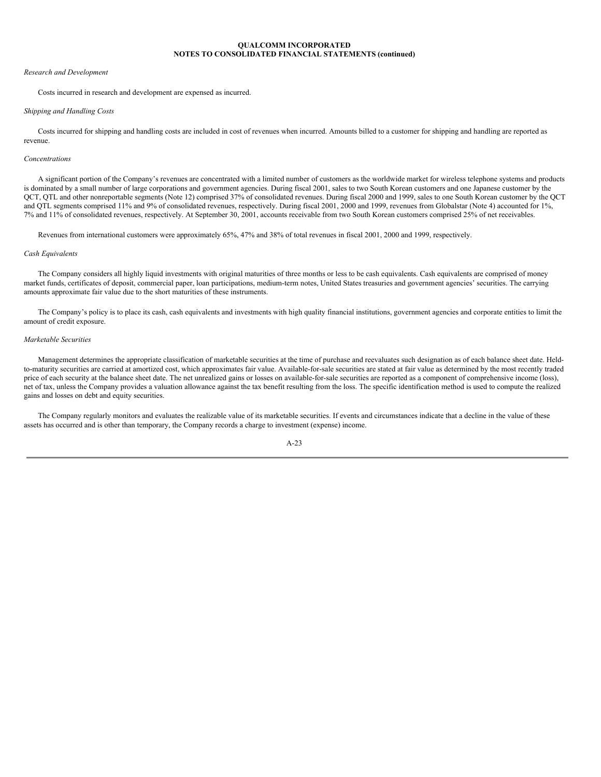#### *Research and Development*

Costs incurred in research and development are expensed as incurred.

## *Shipping and Handling Costs*

Costs incurred for shipping and handling costs are included in cost of revenues when incurred. Amounts billed to a customer for shipping and handling are reported as revenue.

## *Concentrations*

A significant portion of the Company's revenues are concentrated with a limited number of customers as the worldwide market for wireless telephone systems and products is dominated by a small number of large corporations and government agencies. During fiscal 2001, sales to two South Korean customers and one Japanese customer by the QCT, QTL and other nonreportable segments (Note 12) comprised 37% of consolidated revenues. During fiscal 2000 and 1999, sales to one South Korean customer by the QCT and QTL segments comprised 11% and 9% of consolidated revenues, respectively. During fiscal 2001, 2000 and 1999, revenues from Globalstar (Note 4) accounted for 1%, 7% and 11% of consolidated revenues, respectively. At September 30, 2001, accounts receivable from two South Korean customers comprised 25% of net receivables.

Revenues from international customers were approximately 65%, 47% and 38% of total revenues in fiscal 2001, 2000 and 1999, respectively.

## *Cash Equivalents*

The Company considers all highly liquid investments with original maturities of three months or less to be cash equivalents. Cash equivalents are comprised of money market funds, certificates of deposit, commercial paper, loan participations, medium-term notes, United States treasuries and government agencies' securities. The carrying amounts approximate fair value due to the short maturities of these instruments.

The Company's policy is to place its cash, cash equivalents and investments with high quality financial institutions, government agencies and corporate entities to limit the amount of credit exposure.

## *Marketable Securities*

Management determines the appropriate classification of marketable securities at the time of purchase and reevaluates such designation as of each balance sheet date. Heldto-maturity securities are carried at amortized cost, which approximates fair value. Available-for-sale securities are stated at fair value as determined by the most recently traded price of each security at the balance sheet date. The net unrealized gains or losses on available-for-sale securities are reported as a component of comprehensive income (loss), net of tax, unless the Company provides a valuation allowance against the tax benefit resulting from the loss. The specific identification method is used to compute the realized gains and losses on debt and equity securities.

The Company regularly monitors and evaluates the realizable value of its marketable securities. If events and circumstances indicate that a decline in the value of these assets has occurred and is other than temporary, the Company records a charge to investment (expense) income.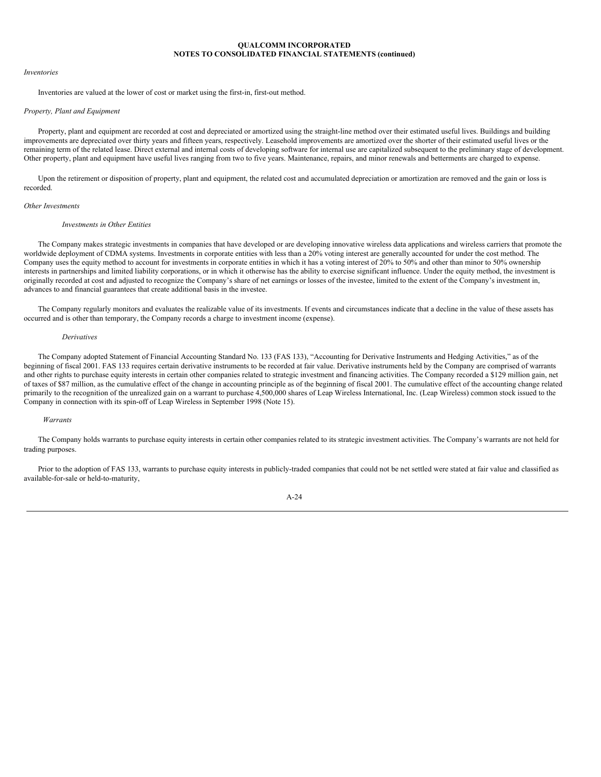#### *Inventories*

Inventories are valued at the lower of cost or market using the first-in, first-out method.

## *Property, Plant and Equipment*

Property, plant and equipment are recorded at cost and depreciated or amortized using the straight-line method over their estimated useful lives. Buildings and building improvements are depreciated over thirty years and fifteen years, respectively. Leasehold improvements are amortized over the shorter of their estimated useful lives or the remaining term of the related lease. Direct external and internal costs of developing software for internal use are capitalized subsequent to the preliminary stage of development. Other property, plant and equipment have useful lives ranging from two to five years. Maintenance, repairs, and minor renewals and betterments are charged to expense.

Upon the retirement or disposition of property, plant and equipment, the related cost and accumulated depreciation or amortization are removed and the gain or loss is recorded.

#### *Other Investments*

#### *Investments in Other Entities*

The Company makes strategic investments in companies that have developed or are developing innovative wireless data applications and wireless carriers that promote the worldwide deployment of CDMA systems. Investments in corporate entities with less than a 20% voting interest are generally accounted for under the cost method. The Company uses the equity method to account for investments in corporate entities in which it has a voting interest of 20% to 50% and other than minor to 50% ownership interests in partnerships and limited liability corporations, or in which it otherwise has the ability to exercise significant influence. Under the equity method, the investment is originally recorded at cost and adjusted to recognize the Company's share of net earnings or losses of the investee, limited to the extent of the Company's investment in, advances to and financial guarantees that create additional basis in the investee.

The Company regularly monitors and evaluates the realizable value of its investments. If events and circumstances indicate that a decline in the value of these assets has occurred and is other than temporary, the Company records a charge to investment income (expense).

#### *Derivatives*

The Company adopted Statement of Financial Accounting Standard No. 133 (FAS 133), "Accounting for Derivative Instruments and Hedging Activities," as of the beginning of fiscal 2001. FAS 133 requires certain derivative instruments to be recorded at fair value. Derivative instruments held by the Company are comprised of warrants and other rights to purchase equity interests in certain other companies related to strategic investment and financing activities. The Company recorded a \$129 million gain, net of taxes of \$87 million, as the cumulative effect of the change in accounting principle as of the beginning of fiscal 2001. The cumulative effect of the accounting change related primarily to the recognition of the unrealized gain on a warrant to purchase 4,500,000 shares of Leap Wireless International, Inc. (Leap Wireless) common stock issued to the Company in connection with its spin-off of Leap Wireless in September 1998 (Note 15).

## *Warrants*

The Company holds warrants to purchase equity interests in certain other companies related to its strategic investment activities. The Company's warrants are not held for trading purposes.

Prior to the adoption of FAS 133, warrants to purchase equity interests in publicly-traded companies that could not be net settled were stated at fair value and classified as available-for-sale or held-to-maturity,

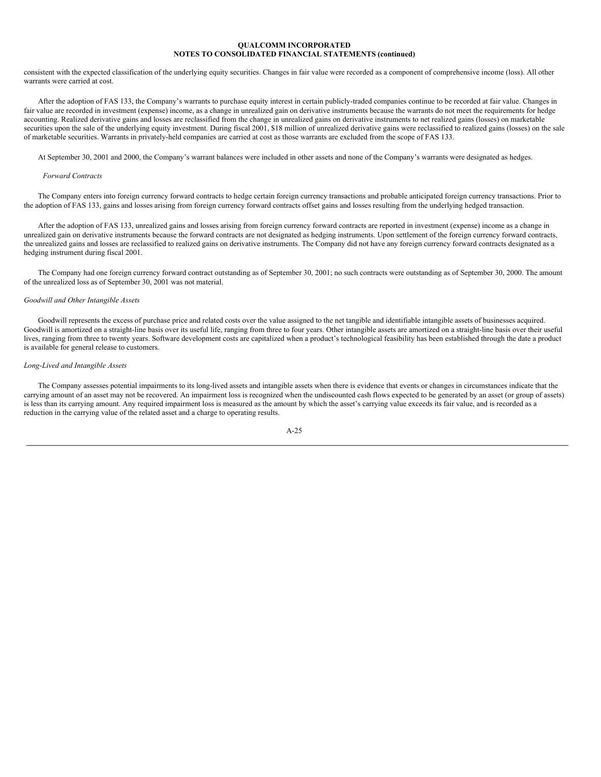consistent with the expected classification of the underlying equity securities. Changes in fair value were recorded as a component of comprehensive income (loss). All other warrants were carried at cost.

After the adoption of FAS 133, the Company's warrants to purchase equity interest in certain publicly-traded companies continue to be recorded at fair value. Changes in fair value are recorded in investment (expense) income, as a change in unrealized gain on derivative instruments because the warrants do not meet the requirements for hedge accounting. Realized derivative gains and losses are reclassified from the change in unrealized gains on derivative instruments to net realized gains (losses) on marketable securities upon the sale of the underlying equity investment. During fiscal 2001, \$18 million of unrealized derivative gains were reclassified to realized gains (losses) on the sale of marketable securities. Warrants in privately-held companies are carried at cost as those warrants are excluded from the scope of FAS 133.

At September 30, 2001 and 2000, the Company's warrant balances were included in other assets and none of the Company's warrants were designated as hedges.

### *Forward Contracts*

The Company enters into foreign currency forward contracts to hedge certain foreign currency transactions and probable anticipated foreign currency transactions. Prior to the adoption of FAS 133, gains and losses arising from foreign currency forward contracts offset gains and losses resulting from the underlying hedged transaction.

After the adoption of FAS 133, unrealized gains and losses arising from foreign currency forward contracts are reported in investment (expense) income as a change in unrealized gain on derivative instruments because the forward contracts are not designated as hedging instruments. Upon settlement of the foreign currency forward contracts, the unrealized gains and losses are reclassified to realized gains on derivative instruments. The Company did not have any foreign currency forward contracts designated as a hedging instrument during fiscal 2001.

The Company had one foreign currency forward contract outstanding as of September 30, 2001; no such contracts were outstanding as of September 30, 2000. The amount of the unrealized loss as of September 30, 2001 was not material.

## *Goodwill and Other Intangible Assets*

Goodwill represents the excess of purchase price and related costs over the value assigned to the net tangible and identifiable intangible assets of businesses acquired. Goodwill is amortized on a straight-line basis over its useful life, ranging from three to four years. Other intangible assets are amortized on a straight-line basis over their useful lives, ranging from three to twenty years. Software development costs are capitalized when a product's technological feasibility has been established through the date a product is available for general release to customers.

## *Long-Lived and Intangible Assets*

The Company assesses potential impairments to its long-lived assets and intangible assets when there is evidence that events or changes in circumstances indicate that the carrying amount of an asset may not be recovered. An impairment loss is recognized when the undiscounted cash flows expected to be generated by an asset (or group of assets) is less than its carrying amount. Any required impairment loss is measured as the amount by which the asset's carrying value exceeds its fair value, and is recorded as a reduction in the carrying value of the related asset and a charge to operating results.

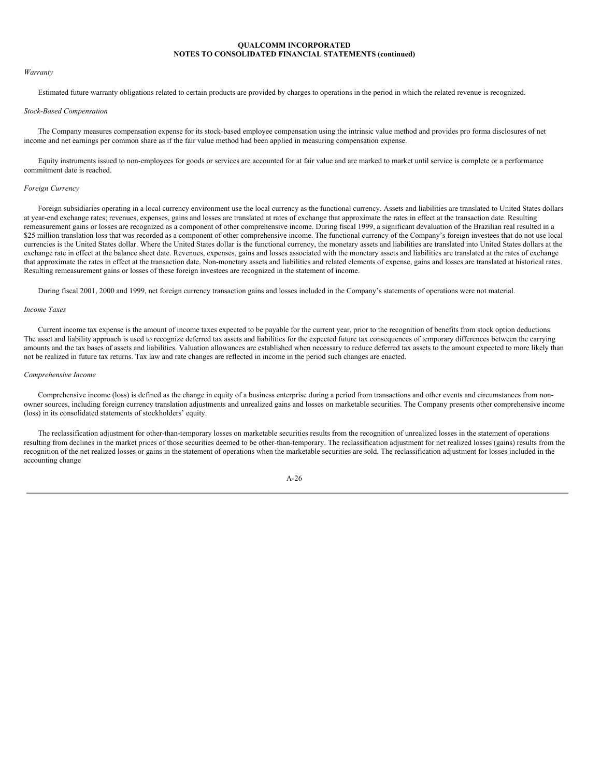#### *Warranty*

Estimated future warranty obligations related to certain products are provided by charges to operations in the period in which the related revenue is recognized.

## *Stock-Based Compensation*

The Company measures compensation expense for its stock-based employee compensation using the intrinsic value method and provides pro forma disclosures of net income and net earnings per common share as if the fair value method had been applied in measuring compensation expense.

Equity instruments issued to non-employees for goods or services are accounted for at fair value and are marked to market until service is complete or a performance commitment date is reached.

## *Foreign Currency*

Foreign subsidiaries operating in a local currency environment use the local currency as the functional currency. Assets and liabilities are translated to United States dollars at year-end exchange rates; revenues, expenses, gains and losses are translated at rates of exchange that approximate the rates in effect at the transaction date. Resulting remeasurement gains or losses are recognized as a component of other comprehensive income. During fiscal 1999, a significant devaluation of the Brazilian real resulted in a \$25 million translation loss that was recorded as a component of other comprehensive income. The functional currency of the Company's foreign investees that do not use local currencies is the United States dollar. Where the United States dollar is the functional currency, the monetary assets and liabilities are translated into United States dollars at the exchange rate in effect at the balance sheet date. Revenues, expenses, gains and losses associated with the monetary assets and liabilities are translated at the rates of exchange that approximate the rates in effect at the transaction date. Non-monetary assets and liabilities and related elements of expense, gains and losses are translated at historical rates. Resulting remeasurement gains or losses of these foreign investees are recognized in the statement of income.

During fiscal 2001, 2000 and 1999, net foreign currency transaction gains and losses included in the Company's statements of operations were not material.

### *Income Taxes*

Current income tax expense is the amount of income taxes expected to be payable for the current year, prior to the recognition of benefits from stock option deductions. The asset and liability approach is used to recognize deferred tax assets and liabilities for the expected future tax consequences of temporary differences between the carrying amounts and the tax bases of assets and liabilities. Valuation allowances are established when necessary to reduce deferred tax assets to the amount expected to more likely than not be realized in future tax returns. Tax law and rate changes are reflected in income in the period such changes are enacted.

#### *Comprehensive Income*

Comprehensive income (loss) is defined as the change in equity of a business enterprise during a period from transactions and other events and circumstances from nonowner sources, including foreign currency translation adjustments and unrealized gains and losses on marketable securities. The Company presents other comprehensive income (loss) in its consolidated statements of stockholders' equity.

The reclassification adjustment for other-than-temporary losses on marketable securities results from the recognition of unrealized losses in the statement of operations resulting from declines in the market prices of those securities deemed to be other-than-temporary. The reclassification adjustment for net realized losses (gains) results from the recognition of the net realized losses or gains in the statement of operations when the marketable securities are sold. The reclassification adjustment for losses included in the accounting change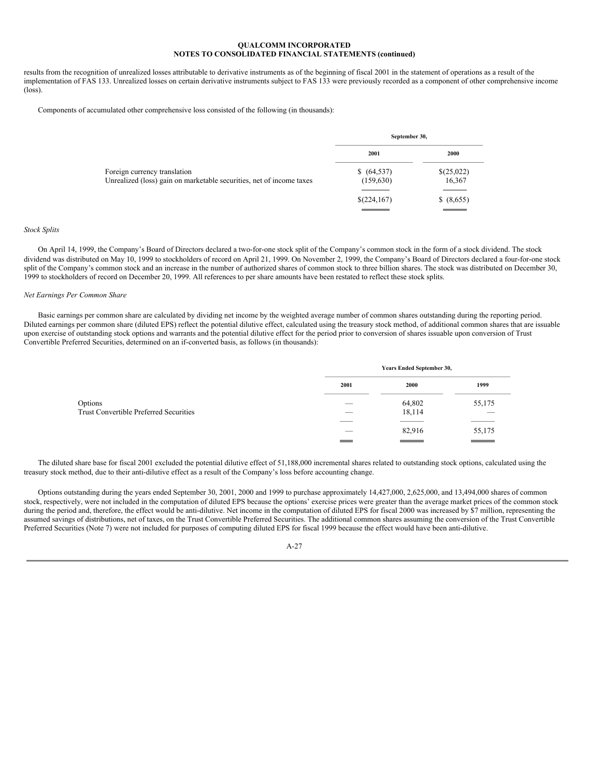results from the recognition of unrealized losses attributable to derivative instruments as of the beginning of fiscal 2001 in the statement of operations as a result of the implementation of FAS 133. Unrealized losses on certain derivative instruments subject to FAS 133 were previously recorded as a component of other comprehensive income (loss).

Components of accumulated other comprehensive loss consisted of the following (in thousands):

|                                                                      | September 30, |            |  |
|----------------------------------------------------------------------|---------------|------------|--|
|                                                                      | 2001          | 2000       |  |
| Foreign currency translation                                         | \$ (64, 537)  | \$(25,022) |  |
| Unrealized (loss) gain on marketable securities, net of income taxes | (159, 630)    | 16,367     |  |
|                                                                      | \$(224,167)   | \$ (8,655) |  |
|                                                                      |               |            |  |

## *Stock Splits*

On April 14, 1999, the Company's Board of Directors declared a two-for-one stock split of the Company's common stock in the form of a stock dividend. The stock dividend was distributed on May 10, 1999 to stockholders of record on April 21, 1999. On November 2, 1999, the Company's Board of Directors declared a four-for-one stock split of the Company's common stock and an increase in the number of authorized shares of common stock to three billion shares. The stock was distributed on December 30, 1999 to stockholders of record on December 20, 1999. All references to per share amounts have been restated to reflect these stock splits.

## *Net Earnings Per Common Share*

Basic earnings per common share are calculated by dividing net income by the weighted average number of common shares outstanding during the reporting period. Diluted earnings per common share (diluted EPS) reflect the potential dilutive effect, calculated using the treasury stock method, of additional common shares that are issuable upon exercise of outstanding stock options and warrants and the potential dilutive effect for the period prior to conversion of shares issuable upon conversion of Trust Convertible Preferred Securities, determined on an if-converted basis, as follows (in thousands):

|                                               | Years Ended September 30, |        |                          |
|-----------------------------------------------|---------------------------|--------|--------------------------|
|                                               | 2001                      | 2000   | 1999                     |
| Options                                       |                           | 64,802 | 55,175                   |
| <b>Trust Convertible Preferred Securities</b> | ___                       | 18,114 | $\overline{\phantom{a}}$ |
|                                               |                           |        |                          |
|                                               | ___                       | 82,916 | 55,175                   |
|                                               |                           |        | <b>STATISTICS</b>        |

The diluted share base for fiscal 2001 excluded the potential dilutive effect of 51,188,000 incremental shares related to outstanding stock options, calculated using the treasury stock method, due to their anti-dilutive effect as a result of the Company's loss before accounting change.

Options outstanding during the years ended September 30, 2001, 2000 and 1999 to purchase approximately 14,427,000, 2,625,000, and 13,494,000 shares of common stock, respectively, were not included in the computation of diluted EPS because the options' exercise prices were greater than the average market prices of the common stock during the period and, therefore, the effect would be anti-dilutive. Net income in the computation of diluted EPS for fiscal 2000 was increased by \$7 million, representing the assumed savings of distributions, net of taxes, on the Trust Convertible Preferred Securities. The additional common shares assuming the conversion of the Trust Convertible Preferred Securities (Note 7) were not included for purposes of computing diluted EPS for fiscal 1999 because the effect would have been anti-dilutive.

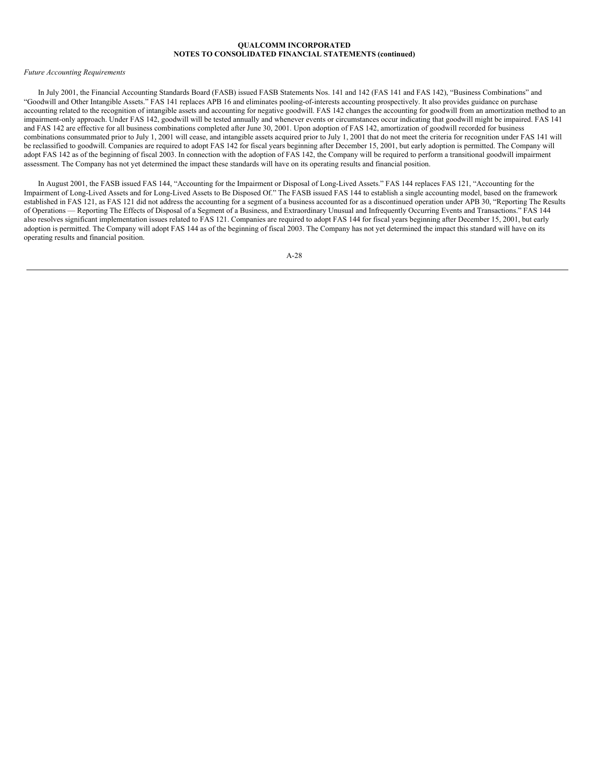#### *Future Accounting Requirements*

In July 2001, the Financial Accounting Standards Board (FASB) issued FASB Statements Nos. 141 and 142 (FAS 141 and FAS 142), "Business Combinations" and "Goodwill and Other Intangible Assets." FAS 141 replaces APB 16 and eliminates pooling-of-interests accounting prospectively. It also provides guidance on purchase accounting related to the recognition of intangible assets and accounting for negative goodwill. FAS 142 changes the accounting for goodwill from an amortization method to an impairment-only approach. Under FAS 142, goodwill will be tested annually and whenever events or circumstances occur indicating that goodwill might be impaired. FAS 141 and FAS 142 are effective for all business combinations completed after June 30, 2001. Upon adoption of FAS 142, amortization of goodwill recorded for business combinations consummated prior to July 1, 2001 will cease, and intangible assets acquired prior to July 1, 2001 that do not meet the criteria for recognition under FAS 141 will be reclassified to goodwill. Companies are required to adopt FAS 142 for fiscal years beginning after December 15, 2001, but early adoption is permitted. The Company will adopt FAS 142 as of the beginning of fiscal 2003. In connection with the adoption of FAS 142, the Company will be required to perform a transitional goodwill impairment assessment. The Company has not yet determined the impact these standards will have on its operating results and financial position.

In August 2001, the FASB issued FAS 144, "Accounting for the Impairment or Disposal of Long-Lived Assets." FAS 144 replaces FAS 121, "Accounting for the Impairment of Long-Lived Assets and for Long-Lived Assets to Be Disposed Of." The FASB issued FAS 144 to establish a single accounting model, based on the framework established in FAS 121, as FAS 121 did not address the accounting for a segment of a business accounted for as a discontinued operation under APB 30, "Reporting The Results of Operations — Reporting The Effects of Disposal of a Segment of a Business, and Extraordinary Unusual and Infrequently Occurring Events and Transactions." FAS 144 also resolves significant implementation issues related to FAS 121. Companies are required to adopt FAS 144 for fiscal years beginning after December 15, 2001, but early adoption is permitted. The Company will adopt FAS 144 as of the beginning of fiscal 2003. The Company has not yet determined the impact this standard will have on its operating results and financial position.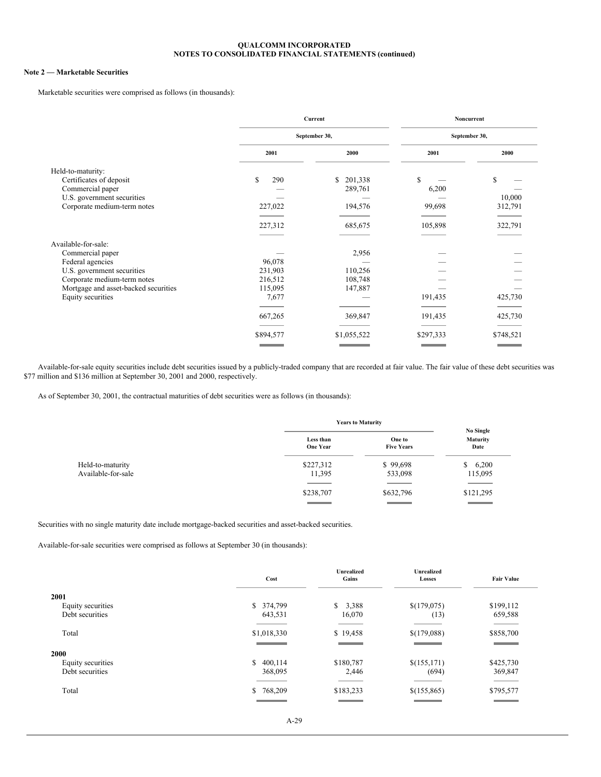## **Note 2 — Marketable Securities**

Marketable securities were comprised as follows (in thousands):

|                                      |           | Current       |           | Noncurrent    |
|--------------------------------------|-----------|---------------|-----------|---------------|
|                                      |           | September 30, |           | September 30, |
|                                      | 2001      | 2000          | 2001      | 2000          |
| Held-to-maturity:                    |           |               |           |               |
| Certificates of deposit              | \$<br>290 | \$201,338     | \$        | \$            |
| Commercial paper                     |           | 289,761       | 6,200     |               |
| U.S. government securities           |           |               |           | 10,000        |
| Corporate medium-term notes          | 227,022   | 194,576       | 99,698    | 312,791       |
|                                      |           |               |           |               |
|                                      | 227,312   | 685,675       | 105,898   | 322,791       |
|                                      |           |               |           |               |
| Available-for-sale:                  |           |               |           |               |
| Commercial paper                     |           | 2,956         |           |               |
| Federal agencies                     | 96,078    |               |           |               |
| U.S. government securities           | 231,903   | 110,256       |           |               |
| Corporate medium-term notes          | 216,512   | 108,748       |           |               |
| Mortgage and asset-backed securities | 115,095   | 147,887       |           |               |
| Equity securities                    | 7,677     |               | 191,435   | 425,730       |
|                                      |           |               |           |               |
|                                      | 667,265   | 369,847       | 191,435   | 425,730       |
|                                      |           |               |           |               |
|                                      | \$894,577 | \$1,055,522   | \$297,333 | \$748,521     |
|                                      |           |               |           |               |

Available-for-sale equity securities include debt securities issued by a publicly-traded company that are recorded at fair value. The fair value of these debt securities was \$77 million and \$136 million at September 30, 2001 and 2000, respectively.

As of September 30, 2001, the contractual maturities of debt securities were as follows (in thousands):

|                    | <b>Years to Maturity</b>                        |                                                 | No Single                                       |
|--------------------|-------------------------------------------------|-------------------------------------------------|-------------------------------------------------|
|                    | Less than<br><b>One Year</b>                    | One to<br><b>Five Years</b>                     | <b>Maturity</b><br>Date                         |
| Held-to-maturity   | \$227,312                                       | \$99,698                                        | \$6,200                                         |
| Available-for-sale | 11,395                                          | 533,098                                         | 115,095                                         |
|                    | \$238,707                                       | \$632,796                                       | \$121,295                                       |
|                    | the contract of the contract of the contract of | the contract of the contract of the contract of | the contract of the contract of the contract of |

Securities with no single maturity date include mortgage-backed securities and asset-backed securities.

Available-for-sale securities were comprised as follows at September 30 (in thousands):

|                                              | Cost                  | <b>Unrealized</b><br>Gains | <b>Unrealized</b><br>Losses | <b>Fair Value</b>                                        |
|----------------------------------------------|-----------------------|----------------------------|-----------------------------|----------------------------------------------------------|
| 2001<br>Equity securities<br>Debt securities | \$ 374,799<br>643,531 | \$<br>3,388<br>16,070      | \$(179,075)<br>(13)         | \$199,112<br>659,588                                     |
| Total                                        | \$1,018,330           | \$19,458                   | \$(179,088)                 | <b>STATISTICS</b><br>\$858,700<br><b>STATISTICS</b>      |
| 2000<br>Equity securities<br>Debt securities | \$400,114<br>368,095  | \$180,787                  | \$(155,171)                 | \$425,730                                                |
| Total                                        | \$768,209             | 2,446<br>\$183,233         | (694)<br>\$(155,865)        | 369,847<br>______<br>\$795,577<br><b>Service Service</b> |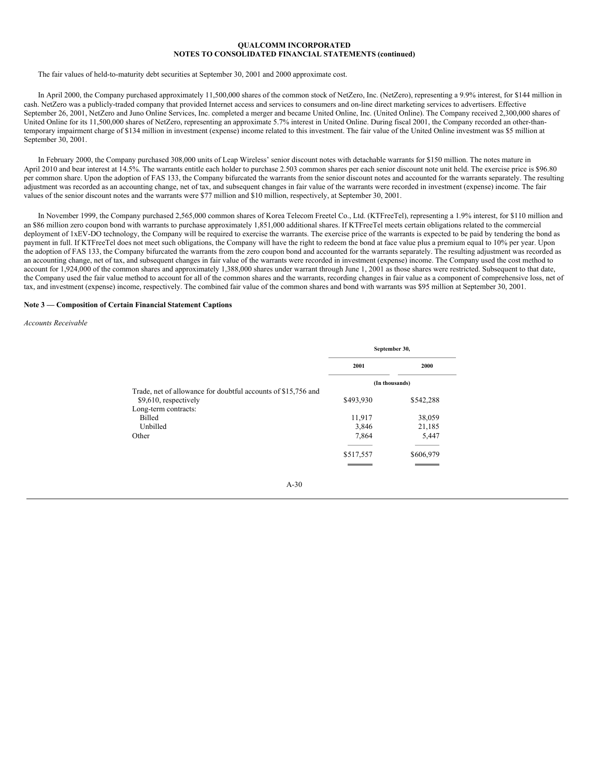The fair values of held-to-maturity debt securities at September 30, 2001 and 2000 approximate cost.

In April 2000, the Company purchased approximately 11,500,000 shares of the common stock of NetZero, Inc. (NetZero), representing a 9.9% interest, for \$144 million in cash. NetZero was a publicly-traded company that provided Internet access and services to consumers and on-line direct marketing services to advertisers. Effective September 26, 2001, NetZero and Juno Online Services, Inc. completed a merger and became United Online, Inc. (United Online). The Company received 2,300,000 shares of United Online for its 11,500,000 shares of NetZero, representing an approximate 5.7% interest in United Online. During fiscal 2001, the Company recorded an other-thantemporary impairment charge of \$134 million in investment (expense) income related to this investment. The fair value of the United Online investment was \$5 million at September 30, 2001.

In February 2000, the Company purchased 308,000 units of Leap Wireless' senior discount notes with detachable warrants for \$150 million. The notes mature in April 2010 and bear interest at 14.5%. The warrants entitle each holder to purchase 2.503 common shares per each senior discount note unit held. The exercise price is \$96.80 per common share. Upon the adoption of FAS 133, the Company bifurcated the warrants from the senior discount notes and accounted for the warrants separately. The resulting adjustment was recorded as an accounting change, net of tax, and subsequent changes in fair value of the warrants were recorded in investment (expense) income. The fair values of the senior discount notes and the warrants were \$77 million and \$10 million, respectively, at September 30, 2001.

In November 1999, the Company purchased 2,565,000 common shares of Korea Telecom Freetel Co., Ltd. (KTFreeTel), representing a 1.9% interest, for \$110 million and an \$86 million zero coupon bond with warrants to purchase approximately 1,851,000 additional shares. If KTFreeTel meets certain obligations related to the commercial deployment of 1xEV-DO technology, the Company will be required to exercise the warrants. The exercise price of the warrants is expected to be paid by tendering the bond as payment in full. If KTFreeTel does not meet such obligations, the Company will have the right to redeem the bond at face value plus a premium equal to 10% per year. Upon the adoption of FAS 133, the Company bifurcated the warrants from the zero coupon bond and accounted for the warrants separately. The resulting adjustment was recorded as an accounting change, net of tax, and subsequent changes in fair value of the warrants were recorded in investment (expense) income. The Company used the cost method to account for 1,924,000 of the common shares and approximately 1,388,000 shares under warrant through June 1, 2001 as those shares were restricted. Subsequent to that date, the Company used the fair value method to account for all of the common shares and the warrants, recording changes in fair value as a component of comprehensive loss, net of tax, and investment (expense) income, respectively. The combined fair value of the common shares and bond with warrants was \$95 million at September 30, 2001.

#### **Note 3 — Composition of Certain Financial Statement Captions**

## *Accounts Receivable*

|                                                               | September 30, |                |  |
|---------------------------------------------------------------|---------------|----------------|--|
|                                                               | 2001          | 2000           |  |
|                                                               |               | (In thousands) |  |
| Trade, net of allowance for doubtful accounts of \$15,756 and |               |                |  |
| \$9,610, respectively                                         | \$493,930     | \$542,288      |  |
| Long-term contracts:                                          |               |                |  |
| Billed                                                        | 11,917        | 38,059         |  |
| Unbilled                                                      | 3,846         | 21,185         |  |
| Other                                                         | 7,864         | 5,447          |  |
|                                                               |               |                |  |
|                                                               | \$517,557     | \$606,979      |  |
|                                                               |               |                |  |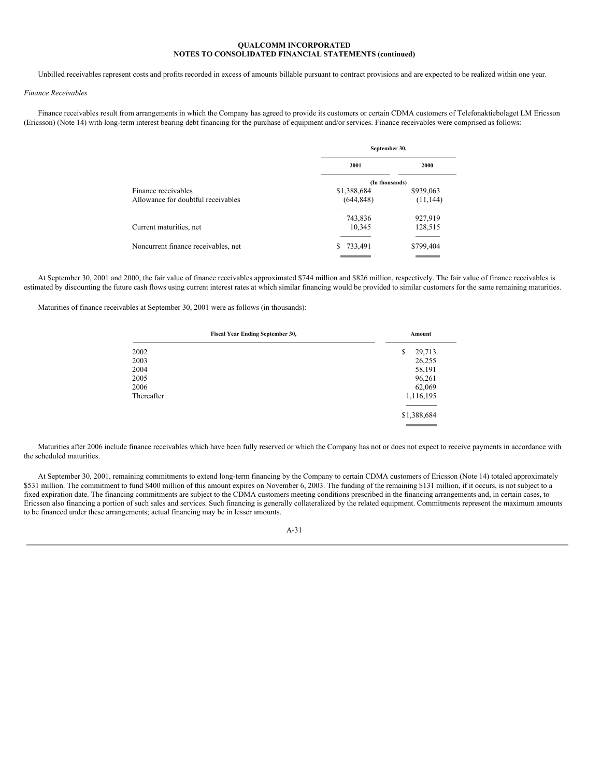Unbilled receivables represent costs and profits recorded in excess of amounts billable pursuant to contract provisions and are expected to be realized within one year.

## *Finance Receivables*

Finance receivables result from arrangements in which the Company has agreed to provide its customers or certain CDMA customers of Telefonaktiebolaget LM Ericsson (Ericsson) (Note 14) with long-term interest bearing debt financing for the purchase of equipment and/or services. Finance receivables were comprised as follows:

|                                     | September 30,  |           |  |
|-------------------------------------|----------------|-----------|--|
|                                     | 2001           | 2000      |  |
|                                     | (In thousands) |           |  |
| Finance receivables                 | \$1,388,684    | \$939,063 |  |
| Allowance for doubtful receivables  | (644, 848)     | (11, 144) |  |
|                                     | 743,836        | 927,919   |  |
| Current maturities, net             | 10,345         | 128,515   |  |
|                                     |                |           |  |
| Noncurrent finance receivables, net | 733,491<br>S   | \$799,404 |  |
|                                     |                |           |  |

At September 30, 2001 and 2000, the fair value of finance receivables approximated \$744 million and \$826 million, respectively. The fair value of finance receivables is estimated by discounting the future cash flows using current interest rates at which similar financing would be provided to similar customers for the same remaining maturities.

Maturities of finance receivables at September 30, 2001 were as follows (in thousands):

| <b>Fiscal Year Ending September 30,</b> | Amount       |
|-----------------------------------------|--------------|
| 2002                                    | 29,713<br>\$ |
| 2003                                    | 26,255       |
| 2004                                    | 58,191       |
| 2005                                    | 96,261       |
| 2006                                    | 62,069       |
| Thereafter                              | 1,116,195    |
|                                         | \$1,388,684  |
|                                         |              |

Maturities after 2006 include finance receivables which have been fully reserved or which the Company has not or does not expect to receive payments in accordance with the scheduled maturities.

At September 30, 2001, remaining commitments to extend long-term financing by the Company to certain CDMA customers of Ericsson (Note 14) totaled approximately \$531 million. The commitment to fund \$400 million of this amount expires on November 6, 2003. The funding of the remaining \$131 million, if it occurs, is not subject to a fixed expiration date. The financing commitments are subject to the CDMA customers meeting conditions prescribed in the financing arrangements and, in certain cases, to Ericsson also financing a portion of such sales and services. Such financing is generally collateralized by the related equipment. Commitments represent the maximum amounts to be financed under these arrangements; actual financing may be in lesser amounts.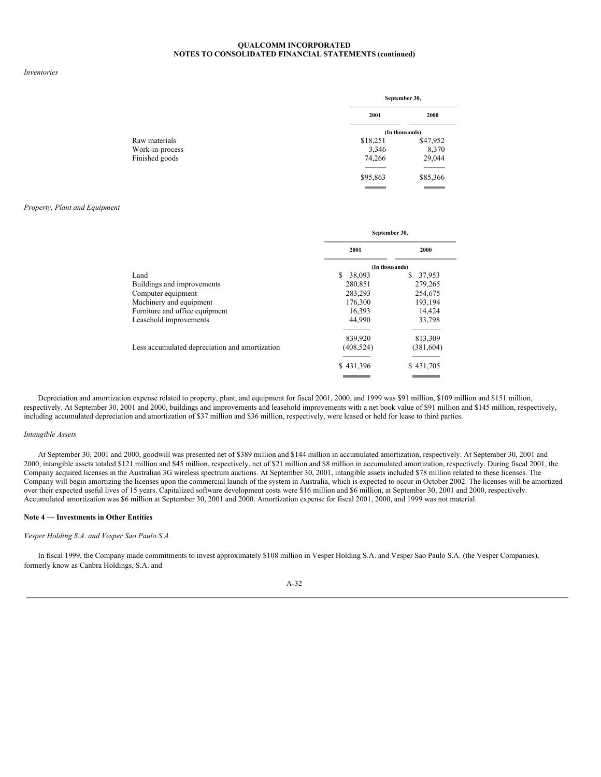#### *Inventories*

|                | September 30, |  |
|----------------|---------------|--|
| 2001           | 2000          |  |
| (In thousands) |               |  |
| \$18,251       | \$47,952      |  |
| 3,346          | 8,370         |  |
| 74,266         | 29,044        |  |
|                |               |  |
| \$95,863       | \$85,366      |  |
|                |               |  |

### *Property, Plant and Equipment*

|                                                | September 30,  |             |  |
|------------------------------------------------|----------------|-------------|--|
|                                                | 2001           | 2000        |  |
|                                                | (In thousands) |             |  |
| Land                                           | \$<br>38,093   | S<br>37,953 |  |
| Buildings and improvements                     | 280,851        | 279,265     |  |
| Computer equipment                             | 283,293        | 254,675     |  |
| Machinery and equipment                        | 176,300        | 193,194     |  |
| Furniture and office equipment                 | 16,393         | 14,424      |  |
| Leasehold improvements                         | 44,990         | 33,798      |  |
|                                                | 839,920        | 813,309     |  |
| Less accumulated depreciation and amortization | (408, 524)     | (381, 604)  |  |
|                                                | \$431,396      | \$431,705   |  |
|                                                |                |             |  |

Depreciation and amortization expense related to property, plant, and equipment for fiscal 2001, 2000, and 1999 was \$91 million, \$109 million and \$151 million, respectively. At September 30, 2001 and 2000, buildings and improvements and leasehold improvements with a net book value of \$91 million and \$145 million, respectively, including accumulated depreciation and amortization of \$37 million and \$36 million, respectively, were leased or held for lease to third parties.

#### *Intangible Assets*

At September 30, 2001 and 2000, goodwill was presented net of \$389 million and \$144 million in accumulated amortization, respectively. At September 30, 2001 and 2000, intangible assets totaled \$121 million and \$45 million, respectively, net of \$21 million and \$8 million in accumulated amortization, respectively. During fiscal 2001, the Company acquired licenses in the Australian 3G wireless spectrum auctions. At September 30, 2001, intangible assets included \$78 million related to these licenses. The Company will begin amortizing the licenses upon the commercial launch of the system in Australia, which is expected to occur in October 2002. The licenses will be amortized over their expected useful lives of 15 years. Capitalized software development costs were \$16 million and \$6 million, at September 30, 2001 and 2000, respectively. Accumulated amortization was \$6 million at September 30, 2001 and 2000. Amortization expense for fiscal 2001, 2000, and 1999 was not material.

#### **Note 4 — Investments in Other Entities**

## *Vesper Holding S.A. and Vesper Sao Paulo S.A.*

In fiscal 1999, the Company made commitments to invest approximately \$108 million in Vesper Holding S.A. and Vesper Sao Paulo S.A. (the Vesper Companies), formerly know as Canbra Holdings, S.A. and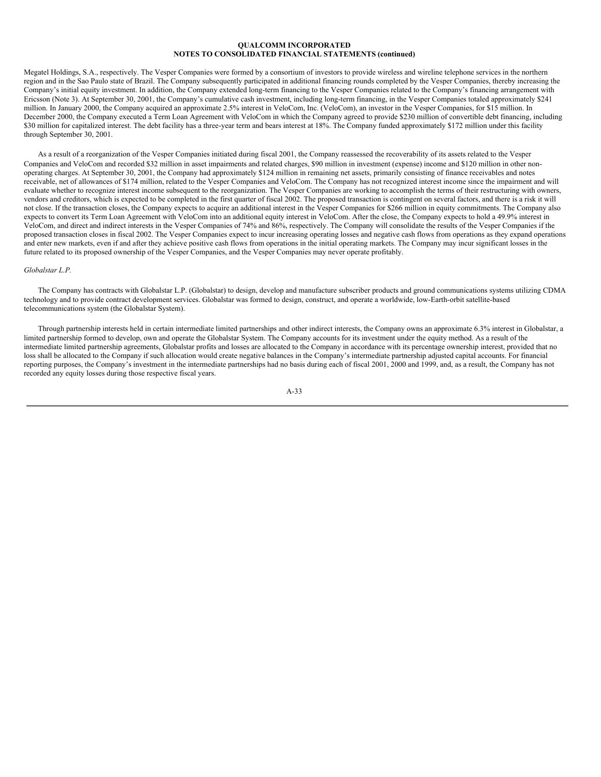Megatel Holdings, S.A., respectively. The Vesper Companies were formed by a consortium of investors to provide wireless and wireline telephone services in the northern region and in the Sao Paulo state of Brazil. The Company subsequently participated in additional financing rounds completed by the Vesper Companies, thereby increasing the Company's initial equity investment. In addition, the Company extended long-term financing to the Vesper Companies related to the Company's financing arrangement with Ericsson (Note 3). At September 30, 2001, the Company's cumulative cash investment, including long-term financing, in the Vesper Companies totaled approximately \$241 million. In January 2000, the Company acquired an approximate 2.5% interest in VeloCom, Inc. (VeloCom), an investor in the Vesper Companies, for \$15 million. In December 2000, the Company executed a Term Loan Agreement with VeloCom in which the Company agreed to provide \$230 million of convertible debt financing, including \$30 million for capitalized interest. The debt facility has a three-year term and bears interest at 18%. The Company funded approximately \$172 million under this facility through September 30, 2001.

As a result of a reorganization of the Vesper Companies initiated during fiscal 2001, the Company reassessed the recoverability of its assets related to the Vesper Companies and VeloCom and recorded \$32 million in asset impairments and related charges, \$90 million in investment (expense) income and \$120 million in other nonoperating charges. At September 30, 2001, the Company had approximately \$124 million in remaining net assets, primarily consisting of finance receivables and notes receivable, net of allowances of \$174 million, related to the Vesper Companies and VeloCom. The Company has not recognized interest income since the impairment and will evaluate whether to recognize interest income subsequent to the reorganization. The Vesper Companies are working to accomplish the terms of their restructuring with owners, vendors and creditors, which is expected to be completed in the first quarter of fiscal 2002. The proposed transaction is contingent on several factors, and there is a risk it will not close. If the transaction closes, the Company expects to acquire an additional interest in the Vesper Companies for \$266 million in equity commitments. The Company also expects to convert its Term Loan Agreement with VeloCom into an additional equity interest in VeloCom. After the close, the Company expects to hold a 49.9% interest in VeloCom, and direct and indirect interests in the Vesper Companies of 74% and 86%, respectively. The Company will consolidate the results of the Vesper Companies if the proposed transaction closes in fiscal 2002. The Vesper Companies expect to incur increasing operating losses and negative cash flows from operations as they expand operations and enter new markets, even if and after they achieve positive cash flows from operations in the initial operating markets. The Company may incur significant losses in the future related to its proposed ownership of the Vesper Companies, and the Vesper Companies may never operate profitably.

#### *Globalstar L.P.*

The Company has contracts with Globalstar L.P. (Globalstar) to design, develop and manufacture subscriber products and ground communications systems utilizing CDMA technology and to provide contract development services. Globalstar was formed to design, construct, and operate a worldwide, low-Earth-orbit satellite-based telecommunications system (the Globalstar System).

Through partnership interests held in certain intermediate limited partnerships and other indirect interests, the Company owns an approximate 6.3% interest in Globalstar, a limited partnership formed to develop, own and operate the Globalstar System. The Company accounts for its investment under the equity method. As a result of the intermediate limited partnership agreements, Globalstar profits and losses are allocated to the Company in accordance with its percentage ownership interest, provided that no loss shall be allocated to the Company if such allocation would create negative balances in the Company's intermediate partnership adjusted capital accounts. For financial reporting purposes, the Company's investment in the intermediate partnerships had no basis during each of fiscal 2001, 2000 and 1999, and, as a result, the Company has not recorded any equity losses during those respective fiscal years.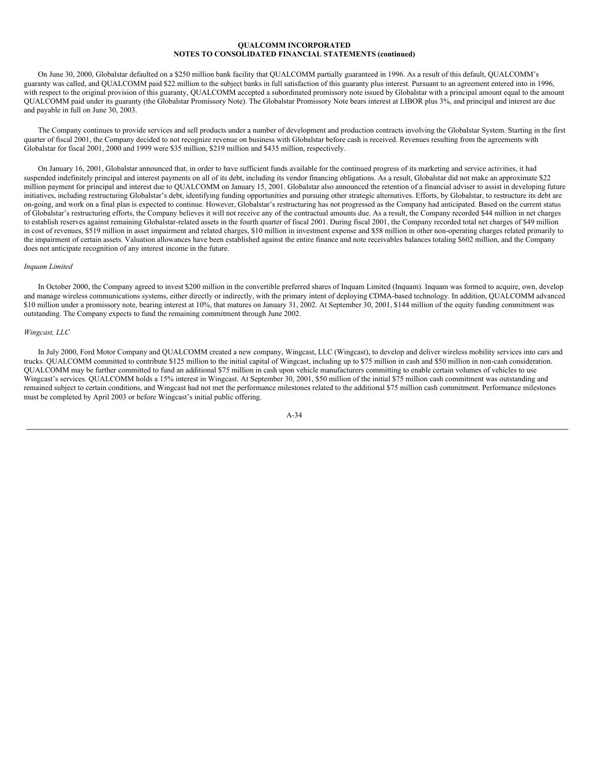On June 30, 2000, Globalstar defaulted on a \$250 million bank facility that QUALCOMM partially guaranteed in 1996. As a result of this default, QUALCOMM's guaranty was called, and QUALCOMM paid \$22 million to the subject banks in full satisfaction of this guaranty plus interest. Pursuant to an agreement entered into in 1996, with respect to the original provision of this guaranty, QUALCOMM accepted a subordinated promissory note issued by Globalstar with a principal amount equal to the amount QUALCOMM paid under its guaranty (the Globalstar Promissory Note). The Globalstar Promissory Note bears interest at LIBOR plus 3%, and principal and interest are due and payable in full on June 30, 2003.

The Company continues to provide services and sell products under a number of development and production contracts involving the Globalstar System. Starting in the first quarter of fiscal 2001, the Company decided to not recognize revenue on business with Globalstar before cash is received. Revenues resulting from the agreements with Globalstar for fiscal 2001, 2000 and 1999 were \$35 million, \$219 million and \$435 million, respectively.

On January 16, 2001, Globalstar announced that, in order to have sufficient funds available for the continued progress of its marketing and service activities, it had suspended indefinitely principal and interest payments on all of its debt, including its vendor financing obligations. As a result, Globalstar did not make an approximate \$22 million payment for principal and interest due to QUALCOMM on January 15, 2001. Globalstar also announced the retention of a financial adviser to assist in developing future initiatives, including restructuring Globalstar's debt, identifying funding opportunities and pursuing other strategic alternatives. Efforts, by Globalstar, to restructure its debt are on-going, and work on a final plan is expected to continue. However, Globalstar's restructuring has not progressed as the Company had anticipated. Based on the current status of Globalstar's restructuring efforts, the Company believes it will not receive any of the contractual amounts due. As a result, the Company recorded \$44 million in net charges to establish reserves against remaining Globalstar-related assets in the fourth quarter of fiscal 2001. During fiscal 2001, the Company recorded total net charges of \$49 million in cost of revenues, \$519 million in asset impairment and related charges, \$10 million in investment expense and \$58 million in other non-operating charges related primarily to the impairment of certain assets. Valuation allowances have been established against the entire finance and note receivables balances totaling \$602 million, and the Company does not anticipate recognition of any interest income in the future.

#### *Inquam Limited*

In October 2000, the Company agreed to invest \$200 million in the convertible preferred shares of Inquam Limited (Inquam). Inquam was formed to acquire, own, develop and manage wireless communications systems, either directly or indirectly, with the primary intent of deploying CDMA-based technology. In addition, QUALCOMM advanced \$10 million under a promissory note, bearing interest at 10%, that matures on January 31, 2002. At September 30, 2001, \$144 million of the equity funding commitment was outstanding. The Company expects to fund the remaining commitment through June 2002.

#### *Wingcast, LLC*

In July 2000, Ford Motor Company and QUALCOMM created a new company, Wingcast, LLC (Wingcast), to develop and deliver wireless mobility services into cars and trucks. QUALCOMM committed to contribute \$125 million to the initial capital of Wingcast, including up to \$75 million in cash and \$50 million in non-cash consideration. QUALCOMM may be further committed to fund an additional \$75 million in cash upon vehicle manufacturers committing to enable certain volumes of vehicles to use Wingcast's services. QUALCOMM holds a 15% interest in Wingcast. At September 30, 2001, \$50 million of the initial \$75 million cash commitment was outstanding and remained subject to certain conditions, and Wingcast had not met the performance milestones related to the additional \$75 million cash commitment. Performance milestones must be completed by April 2003 or before Wingcast's initial public offering.

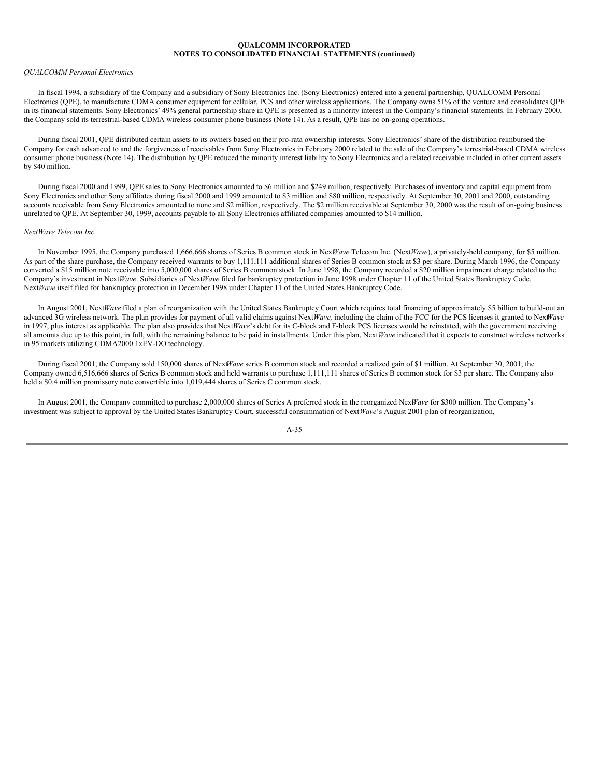#### *QUALCOMM Personal Electronics*

In fiscal 1994, a subsidiary of the Company and a subsidiary of Sony Electronics Inc. (Sony Electronics) entered into a general partnership, QUALCOMM Personal Electronics (QPE), to manufacture CDMA consumer equipment for cellular, PCS and other wireless applications. The Company owns 51% of the venture and consolidates QPE in its financial statements. Sony Electronics' 49% general partnership share in QPE is presented as a minority interest in the Company's financial statements. In February 2000, the Company sold its terrestrial-based CDMA wireless consumer phone business (Note 14). As a result, QPE has no on-going operations.

During fiscal 2001, QPE distributed certain assets to its owners based on their pro-rata ownership interests. Sony Electronics' share of the distribution reimbursed the Company for cash advanced to and the forgiveness of receivables from Sony Electronics in February 2000 related to the sale of the Company's terrestrial-based CDMA wireless consumer phone business (Note 14). The distribution by QPE reduced the minority interest liability to Sony Electronics and a related receivable included in other current assets by \$40 million.

During fiscal 2000 and 1999, QPE sales to Sony Electronics amounted to \$6 million and \$249 million, respectively. Purchases of inventory and capital equipment from Sony Electronics and other Sony affiliates during fiscal 2000 and 1999 amounted to \$3 million and \$80 million, respectively. At September 30, 2001 and 2000, outstanding accounts receivable from Sony Electronics amounted to none and \$2 million, respectively. The \$2 million receivable at September 30, 2000 was the result of on-going business unrelated to QPE. At September 30, 1999, accounts payable to all Sony Electronics affiliated companies amounted to \$14 million.

#### *NextWave Telecom Inc.*

In November 1995, the Company purchased 1,666,666 shares of Series B common stock in Next*Wave* Telecom Inc. (Next*Wave*), a privately-held company, for \$5 million. As part of the share purchase, the Company received warrants to buy 1,111,111 additional shares of Series B common stock at \$3 per share. During March 1996, the Company converted a \$15 million note receivable into 5,000,000 shares of Series B common stock. In June 1998, the Company recorded a \$20 million impairment charge related to the Company's investment in Next*Wave*. Subsidiaries of Next*Wave* filed for bankruptcy protection in June 1998 under Chapter 11 of the United States Bankruptcy Code. Next*Wave* itself filed for bankruptcy protection in December 1998 under Chapter 11 of the United States Bankruptcy Code.

In August 2001, Next*Wave* filed a plan of reorganization with the United States Bankruptcy Court which requires total financing of approximately \$5 billion to build-out an advanced 3G wireless network. The plan provides for payment of all valid claims against Next*Wave,* including the claim of the FCC for the PCS licenses it granted to Next*Wave* in 1997, plus interest as applicable. The plan also provides that Next*Wave*'s debt for its C-block and F-block PCS licenses would be reinstated, with the government receiving all amounts due up to this point, in full, with the remaining balance to be paid in installments. Under this plan, Next*Wave* indicated that it expects to construct wireless networks in 95 markets utilizing CDMA2000 1xEV-DO technology.

During fiscal 2001, the Company sold 150,000 shares of Next*Wave* series B common stock and recorded a realized gain of \$1 million. At September 30, 2001, the Company owned 6,516,666 shares of Series B common stock and held warrants to purchase 1,111,111 shares of Series B common stock for \$3 per share. The Company also held a \$0.4 million promissory note convertible into 1,019,444 shares of Series C common stock.

In August 2001, the Company committed to purchase 2,000,000 shares of Series A preferred stock in the reorganized Nex*Wave* for \$300 million. The Company's investment was subject to approval by the United States Bankruptcy Court, successful consummation of Next*Wave*'s August 2001 plan of reorganization,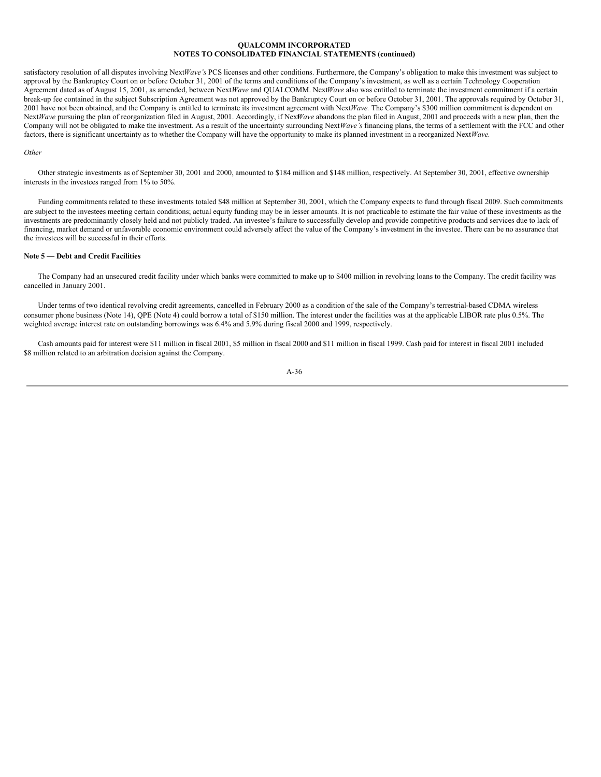satisfactory resolution of all disputes involving NextWave's PCS licenses and other conditions. Furthermore, the Company's obligation to make this investment was subject to approval by the Bankruptcy Court on or before October 31, 2001 of the terms and conditions of the Company's investment, as well as a certain Technology Cooperation Agreement dated as of August 15, 2001, as amended, between Next*Wave* and QUALCOMM. Next*Wave* also was entitled to terminate the investment commitment if a certain break-up fee contained in the subject Subscription Agreement was not approved by the Bankruptcy Court on or before October 31, 2001. The approvals required by October 31, 2001 have not been obtained, and the Company is entitled to terminate its investment agreement with Next*Wave.* The Company's \$300 million commitment is dependent on Next*Wave* pursuing the plan of reorganization filed in August, 2001. Accordingly, if Nex*Wave* abandons the plan filed in August, 2001 and proceeds with a new plan, then the Company will not be obligated to make the investment. As a result of the uncertainty surrounding Next*Wave's* financing plans, the terms of a settlement with the FCC and other factors, there is significant uncertainty as to whether the Company will have the opportunity to make its planned investment in a reorganized Next*Wave.*

#### *Other*

Other strategic investments as of September 30, 2001 and 2000, amounted to \$184 million and \$148 million, respectively. At September 30, 2001, effective ownership interests in the investees ranged from 1% to 50%.

Funding commitments related to these investments totaled \$48 million at September 30, 2001, which the Company expects to fund through fiscal 2009. Such commitments are subject to the investees meeting certain conditions; actual equity funding may be in lesser amounts. It is not practicable to estimate the fair value of these investments as the investments are predominantly closely held and not publicly traded. An investee's failure to successfully develop and provide competitive products and services due to lack of financing, market demand or unfavorable economic environment could adversely affect the value of the Company's investment in the investee. There can be no assurance that the investees will be successful in their efforts.

## **Note 5 — Debt and Credit Facilities**

The Company had an unsecured credit facility under which banks were committed to make up to \$400 million in revolving loans to the Company. The credit facility was cancelled in January 2001.

Under terms of two identical revolving credit agreements, cancelled in February 2000 as a condition of the sale of the Company's terrestrial-based CDMA wireless consumer phone business (Note 14), QPE (Note 4) could borrow a total of \$150 million. The interest under the facilities was at the applicable LIBOR rate plus 0.5%. The weighted average interest rate on outstanding borrowings was 6.4% and 5.9% during fiscal 2000 and 1999, respectively.

Cash amounts paid for interest were \$11 million in fiscal 2001, \$5 million in fiscal 2000 and \$11 million in fiscal 1999. Cash paid for interest in fiscal 2001 included \$8 million related to an arbitration decision against the Company.

$$
A-36
$$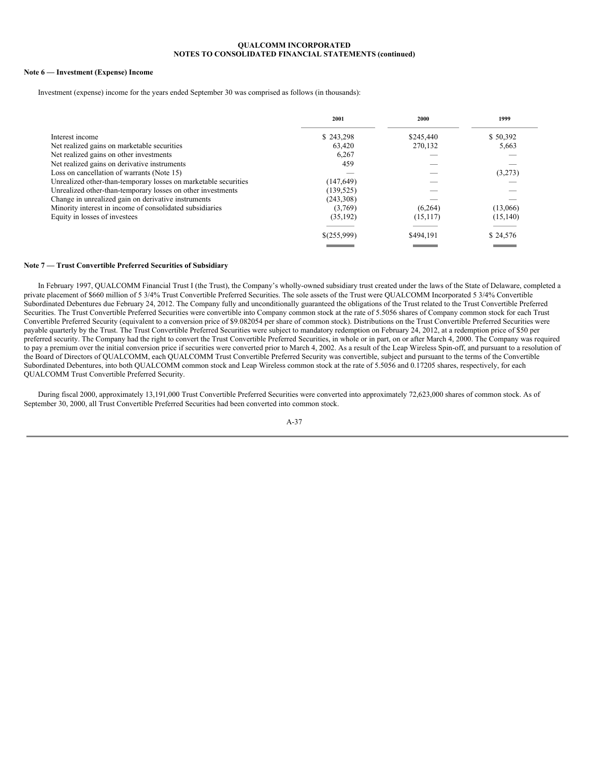## **Note 6 — Investment (Expense) Income**

Investment (expense) income for the years ended September 30 was comprised as follows (in thousands):

| \$245,440 | \$50,392                                                                                                                 |
|-----------|--------------------------------------------------------------------------------------------------------------------------|
| 270.132   | 5,663                                                                                                                    |
|           |                                                                                                                          |
| 459       |                                                                                                                          |
|           | (3,273)                                                                                                                  |
|           |                                                                                                                          |
|           |                                                                                                                          |
|           |                                                                                                                          |
| (6,264)   | (13,066)                                                                                                                 |
| (15, 117) | (15, 140)                                                                                                                |
|           | \$24,576                                                                                                                 |
|           | \$243.298<br>63,420<br>6,267<br>(147, 649)<br>(139, 525)<br>(243,308)<br>(3,769)<br>(35,192)<br>\$(255,999)<br>\$494,191 |

## **Note 7 — Trust Convertible Preferred Securities of Subsidiary**

In February 1997, QUALCOMM Financial Trust I (the Trust), the Company's wholly-owned subsidiary trust created under the laws of the State of Delaware, completed a private placement of \$660 million of 5 3/4% Trust Convertible Preferred Securities. The sole assets of the Trust were QUALCOMM Incorporated 5 3/4% Convertible Subordinated Debentures due February 24, 2012. The Company fully and unconditionally guaranteed the obligations of the Trust related to the Trust Convertible Preferred Securities. The Trust Convertible Preferred Securities were convertible into Company common stock at the rate of 5.5056 shares of Company common stock for each Trust Convertible Preferred Security (equivalent to a conversion price of \$9.082054 per share of common stock). Distributions on the Trust Convertible Preferred Securities were payable quarterly by the Trust. The Trust Convertible Preferred Securities were subject to mandatory redemption on February 24, 2012, at a redemption price of \$50 per preferred security. The Company had the right to convert the Trust Convertible Preferred Securities, in whole or in part, on or after March 4, 2000. The Company was required to pay a premium over the initial conversion price if securities were converted prior to March 4, 2002. As a result of the Leap Wireless Spin-off, and pursuant to a resolution of the Board of Directors of QUALCOMM, each QUALCOMM Trust Convertible Preferred Security was convertible, subject and pursuant to the terms of the Convertible Subordinated Debentures, into both QUALCOMM common stock and Leap Wireless common stock at the rate of 5.5056 and 0.17205 shares, respectively, for each QUALCOMM Trust Convertible Preferred Security.

During fiscal 2000, approximately 13,191,000 Trust Convertible Preferred Securities were converted into approximately 72,623,000 shares of common stock. As of September 30, 2000, all Trust Convertible Preferred Securities had been converted into common stock.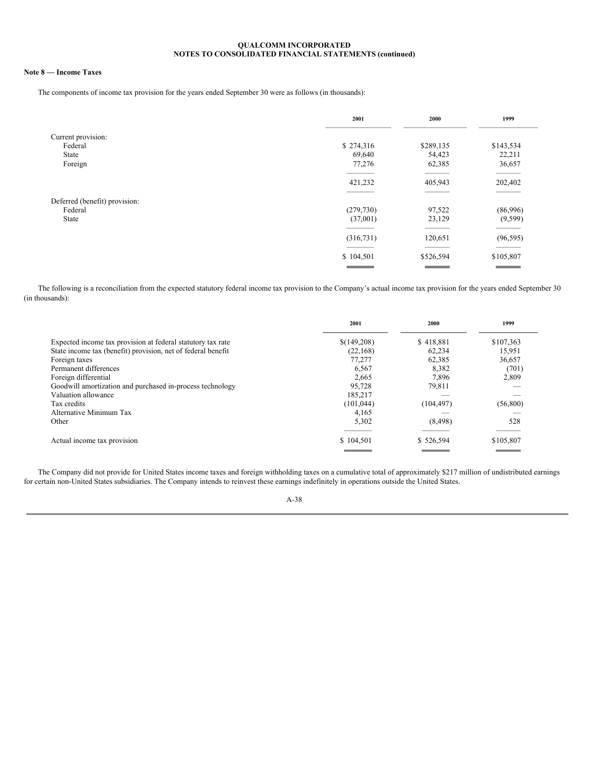## **Note 8 — Income Taxes**

The components of income tax provision for the years ended September 30 were as follows (in thousands):

|                               | 2001                                           | 2000                                           | 1999                                  |
|-------------------------------|------------------------------------------------|------------------------------------------------|---------------------------------------|
| Current provision:            |                                                |                                                |                                       |
| Federal                       | \$274,316                                      | \$289,135                                      | \$143,534                             |
| <b>State</b>                  | 69,640                                         | 54,423                                         | 22,211                                |
| Foreign                       | 77,276                                         | 62,385                                         | 36,657                                |
|                               | 421,232                                        | 405,943                                        | 202,402                               |
| Deferred (benefit) provision: |                                                |                                                |                                       |
| Federal                       | (279, 730)                                     | 97,522                                         | (86,996)                              |
| State                         | (37,001)                                       | 23,129                                         | (9, 599)                              |
|                               |                                                |                                                |                                       |
|                               | (316, 731)                                     | 120,651                                        | (96, 595)                             |
|                               |                                                |                                                | <b>STATISTICS</b>                     |
|                               | \$104,501<br><b>Contract Contract Contract</b> | \$526,594<br><b>Contract Contract Contract</b> | \$105,807<br><b>Contract Contract</b> |

The following is a reconciliation from the expected statutory federal income tax provision to the Company's actual income tax provision for the years ended September 30 (in thousands):

|                                                              | 2001        | 2000       | 1999      |
|--------------------------------------------------------------|-------------|------------|-----------|
| Expected income tax provision at federal statutory tax rate  | \$(149,208) | \$418,881  | \$107,363 |
| State income tax (benefit) provision, net of federal benefit | (22, 168)   | 62,234     | 15,951    |
| Foreign taxes                                                | 77,277      | 62.385     | 36,657    |
| Permanent differences                                        | 6.567       | 8.382      | (701)     |
| Foreign differential                                         | 2,665       | 7.896      | 2,809     |
| Goodwill amortization and purchased in-process technology    | 95.728      | 79.811     |           |
| Valuation allowance                                          | 185,217     |            |           |
| Tax credits                                                  | (101, 044)  | (104, 497) | (56, 800) |
| Alternative Minimum Tax                                      | 4,165       |            |           |
| Other                                                        | 5,302       | (8, 498)   | 528       |
| Actual income tax provision                                  | \$104,501   | \$526,594  | \$105,807 |
|                                                              |             |            |           |

The Company did not provide for United States income taxes and foreign withholding taxes on a cumulative total of approximately \$217 million of undistributed earnings for certain non-United States subsidiaries. The Company intends to reinvest these earnings indefinitely in operations outside the United States.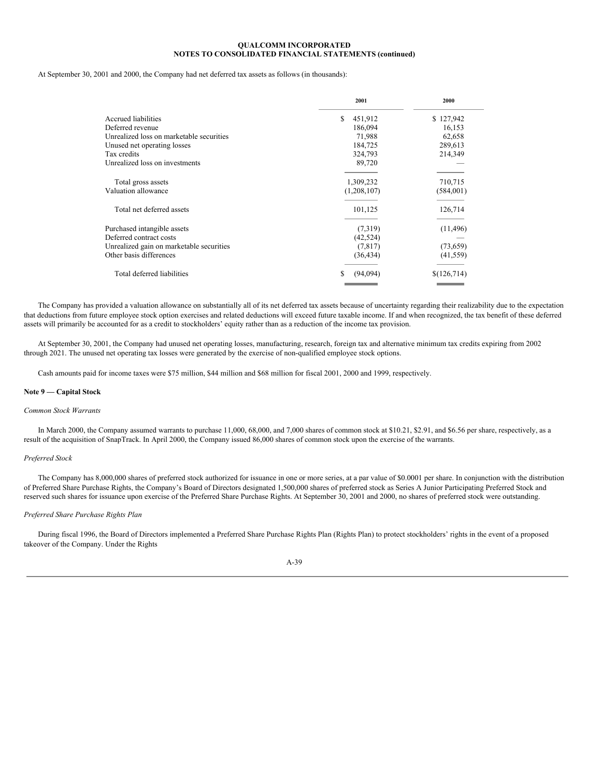At September 30, 2001 and 2000, the Company had net deferred tax assets as follows (in thousands):

|                                          | 2001          | 2000        |
|------------------------------------------|---------------|-------------|
| Accrued liabilities                      | \$<br>451,912 | \$127,942   |
| Deferred revenue                         | 186,094       | 16,153      |
| Unrealized loss on marketable securities | 71,988        | 62,658      |
| Unused net operating losses              | 184,725       | 289,613     |
| Tax credits                              | 324,793       | 214,349     |
| Unrealized loss on investments           | 89,720        |             |
| Total gross assets                       | 1,309,232     | 710,715     |
| Valuation allowance                      | (1,208,107)   | (584,001)   |
|                                          |               |             |
| Total net deferred assets                | 101,125       | 126,714     |
|                                          |               |             |
| Purchased intangible assets              | (7,319)       | (11, 496)   |
| Deferred contract costs                  | (42, 524)     |             |
| Unrealized gain on marketable securities | (7, 817)      | (73, 659)   |
| Other basis differences                  | (36, 434)     | (41, 559)   |
| Total deferred liabilities               | (94,094)<br>S | \$(126,714) |
|                                          |               |             |

The Company has provided a valuation allowance on substantially all of its net deferred tax assets because of uncertainty regarding their realizability due to the expectation that deductions from future employee stock option exercises and related deductions will exceed future taxable income. If and when recognized, the tax benefit of these deferred assets will primarily be accounted for as a credit to stockholders' equity rather than as a reduction of the income tax provision.

At September 30, 2001, the Company had unused net operating losses, manufacturing, research, foreign tax and alternative minimum tax credits expiring from 2002 through 2021. The unused net operating tax losses were generated by the exercise of non-qualified employee stock options.

Cash amounts paid for income taxes were \$75 million, \$44 million and \$68 million for fiscal 2001, 2000 and 1999, respectively.

#### **Note 9 — Capital Stock**

#### *Common Stock Warrants*

In March 2000, the Company assumed warrants to purchase 11,000, 68,000, and 7,000 shares of common stock at \$10.21, \$2.91, and \$6.56 per share, respectively, as a result of the acquisition of SnapTrack. In April 2000, the Company issued 86,000 shares of common stock upon the exercise of the warrants.

## *Preferred Stock*

The Company has 8,000,000 shares of preferred stock authorized for issuance in one or more series, at a par value of \$0.0001 per share. In conjunction with the distribution of Preferred Share Purchase Rights, the Company's Board of Directors designated 1,500,000 shares of preferred stock as Series A Junior Participating Preferred Stock and reserved such shares for issuance upon exercise of the Preferred Share Purchase Rights. At September 30, 2001 and 2000, no shares of preferred stock were outstanding.

#### *Preferred Share Purchase Rights Plan*

During fiscal 1996, the Board of Directors implemented a Preferred Share Purchase Rights Plan (Rights Plan) to protect stockholders' rights in the event of a proposed takeover of the Company. Under the Rights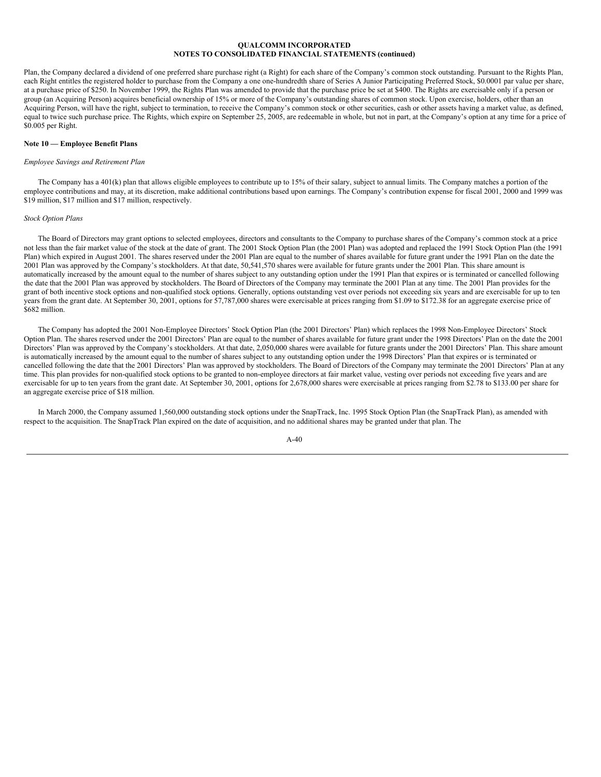Plan, the Company declared a dividend of one preferred share purchase right (a Right) for each share of the Company's common stock outstanding. Pursuant to the Rights Plan, each Right entitles the registered holder to purchase from the Company a one one-hundredth share of Series A Junior Participating Preferred Stock, \$0.0001 par value per share, at a purchase price of \$250. In November 1999, the Rights Plan was amended to provide that the purchase price be set at \$400. The Rights are exercisable only if a person or group (an Acquiring Person) acquires beneficial ownership of 15% or more of the Company's outstanding shares of common stock. Upon exercise, holders, other than an Acquiring Person, will have the right, subject to termination, to receive the Company's common stock or other securities, cash or other assets having a market value, as defined, equal to twice such purchase price. The Rights, which expire on September 25, 2005, are redeemable in whole, but not in part, at the Company's option at any time for a price of \$0.005 per Right.

## **Note 10 — Employee Benefit Plans**

#### *Employee Savings and Retirement Plan*

The Company has a 401(k) plan that allows eligible employees to contribute up to 15% of their salary, subject to annual limits. The Company matches a portion of the employee contributions and may, at its discretion, make additional contributions based upon earnings. The Company's contribution expense for fiscal 2001, 2000 and 1999 was \$19 million, \$17 million and \$17 million, respectively.

### *Stock Option Plans*

The Board of Directors may grant options to selected employees, directors and consultants to the Company to purchase shares of the Company's common stock at a price not less than the fair market value of the stock at the date of grant. The 2001 Stock Option Plan (the 2001 Plan) was adopted and replaced the 1991 Stock Option Plan (the 1991 Plan) which expired in August 2001. The shares reserved under the 2001 Plan are equal to the number of shares available for future grant under the 1991 Plan on the date the 2001 Plan was approved by the Company's stockholders. At that date, 50,541,570 shares were available for future grants under the 2001 Plan. This share amount is automatically increased by the amount equal to the number of shares subject to any outstanding option under the 1991 Plan that expires or is terminated or cancelled following the date that the 2001 Plan was approved by stockholders. The Board of Directors of the Company may terminate the 2001 Plan at any time. The 2001 Plan provides for the grant of both incentive stock options and non-qualified stock options. Generally, options outstanding vest over periods not exceeding six years and are exercisable for up to ten years from the grant date. At September 30, 2001, options for 57,787,000 shares were exercisable at prices ranging from \$1.09 to \$172.38 for an aggregate exercise price of \$682 million.

The Company has adopted the 2001 Non-Employee Directors' Stock Option Plan (the 2001 Directors' Plan) which replaces the 1998 Non-Employee Directors' Stock Option Plan. The shares reserved under the 2001 Directors' Plan are equal to the number of shares available for future grant under the 1998 Directors' Plan on the date the 2001 Directors' Plan was approved by the Company's stockholders. At that date, 2,050,000 shares were available for future grants under the 2001 Directors' Plan. This share amount is automatically increased by the amount equal to the number of shares subject to any outstanding option under the 1998 Directors' Plan that expires or is terminated or cancelled following the date that the 2001 Directors' Plan was approved by stockholders. The Board of Directors of the Company may terminate the 2001 Directors' Plan at any time. This plan provides for non-qualified stock options to be granted to non-employee directors at fair market value, vesting over periods not exceeding five years and are exercisable for up to ten years from the grant date. At September 30, 2001, options for 2,678,000 shares were exercisable at prices ranging from \$2.78 to \$133.00 per share for an aggregate exercise price of \$18 million.

In March 2000, the Company assumed 1,560,000 outstanding stock options under the SnapTrack, Inc. 1995 Stock Option Plan (the SnapTrack Plan), as amended with respect to the acquisition. The SnapTrack Plan expired on the date of acquisition, and no additional shares may be granted under that plan. The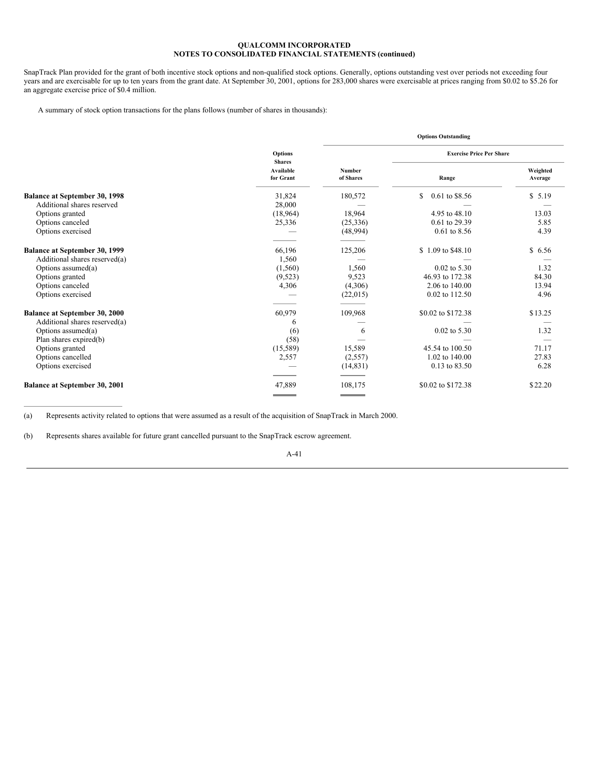SnapTrack Plan provided for the grant of both incentive stock options and non-qualified stock options. Generally, options outstanding vest over periods not exceeding four years and are exercisable for up to ten years from the grant date. At September 30, 2001, options for 283,000 shares were exercisable at prices ranging from \$0.02 to \$5.26 for an aggregate exercise price of \$0.4 million.

A summary of stock option transactions for the plans follows (number of shares in thousands):

|                                      |                                 | <b>Options Outstanding</b> |                                 |                     |  |
|--------------------------------------|---------------------------------|----------------------------|---------------------------------|---------------------|--|
|                                      | <b>Options</b><br><b>Shares</b> |                            | <b>Exercise Price Per Share</b> |                     |  |
|                                      | Available<br>for Grant          | <b>Number</b><br>of Shares | Range                           | Weighted<br>Average |  |
| <b>Balance at September 30, 1998</b> | 31,824                          | 180,572                    | 0.61 to \$8.56<br>S.            | \$5.19              |  |
| Additional shares reserved           | 28,000                          |                            |                                 |                     |  |
| Options granted                      | (18,964)                        | 18,964                     | 4.95 to 48.10                   | 13.03               |  |
| Options canceled                     | 25,336                          | (25, 336)                  | 0.61 to 29.39                   | 5.85                |  |
| Options exercised                    |                                 | (48,994)                   | $0.61$ to 8.56                  | 4.39                |  |
|                                      |                                 |                            |                                 |                     |  |
| Balance at September 30, 1999        | 66,196                          | 125,206                    | \$1.09 to \$48.10               | \$6.56              |  |
| Additional shares reserved(a)        | 1,560                           |                            |                                 |                     |  |
| Options assumed $(a)$                | (1,560)                         | 1,560                      | $0.02$ to 5.30                  | 1.32                |  |
| Options granted                      | (9,523)                         | 9,523                      | 46.93 to 172.38                 | 84.30               |  |
| Options canceled                     | 4,306                           | (4,306)                    | 2.06 to 140.00                  | 13.94               |  |
| Options exercised                    |                                 | (22,015)                   | 0.02 to 112.50                  | 4.96                |  |
| Balance at September 30, 2000        | 60,979                          | 109,968                    | \$0.02 to \$172.38              | \$13.25             |  |
| Additional shares reserved(a)        | 6                               |                            |                                 |                     |  |
| Options assumed(a)                   | (6)                             | 6                          | $0.02$ to 5.30                  | 1.32                |  |
| Plan shares expired(b)               | (58)                            |                            |                                 |                     |  |
| Options granted                      | (15,589)                        | 15,589                     | 45.54 to 100.50                 | 71.17               |  |
| Options cancelled                    | 2,557                           | (2,557)                    | 1.02 to 140.00                  | 27.83               |  |
| Options exercised                    |                                 | (14, 831)                  | 0.13 to 83.50                   | 6.28                |  |
| <b>Balance at September 30, 2001</b> | 47,889                          | 108,175                    | \$0.02 to \$172.38              | \$22.20             |  |
|                                      |                                 | <b>Contract Contract</b>   |                                 |                     |  |

(a) Represents activity related to options that were assumed as a result of the acquisition of SnapTrack in March 2000.

(b) Represents shares available for future grant cancelled pursuant to the SnapTrack escrow agreement.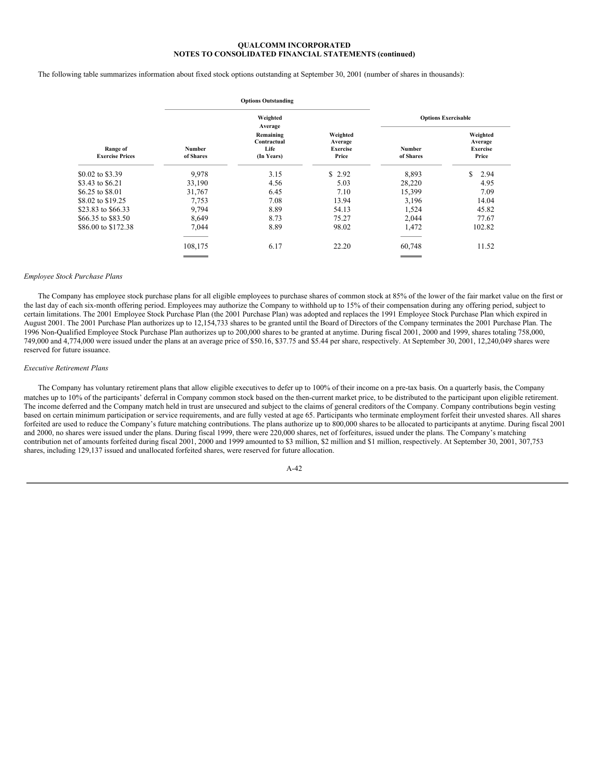The following table summarizes information about fixed stock options outstanding at September 30, 2001 (number of shares in thousands):

|                                    |                        | <b>Options Outstanding</b>                     |                                                 |                            |                                                 |
|------------------------------------|------------------------|------------------------------------------------|-------------------------------------------------|----------------------------|-------------------------------------------------|
|                                    |                        | Weighted<br>Average                            |                                                 |                            | <b>Options Exercisable</b>                      |
| Range of<br><b>Exercise Prices</b> | Number<br>of Shares    | Remaining<br>Contractual<br>Life<br>(In Years) | Weighted<br>Average<br><b>Exercise</b><br>Price | <b>Number</b><br>of Shares | Weighted<br>Average<br><b>Exercise</b><br>Price |
| \$0.02 to \$3.39                   | 9,978                  | 3.15                                           | \$2.92                                          | 8,893                      | \$<br>2.94                                      |
| \$3.43 to \$6.21                   | 33,190                 | 4.56                                           | 5.03                                            | 28,220                     | 4.95                                            |
| \$6.25 to \$8.01                   | 31,767                 | 6.45                                           | 7.10                                            | 15,399                     | 7.09                                            |
| \$8.02 to \$19.25                  | 7,753                  | 7.08                                           | 13.94                                           | 3,196                      | 14.04                                           |
| \$23.83 to \$66.33                 | 9,794                  | 8.89                                           | 54.13                                           | 1,524                      | 45.82                                           |
| \$66.35 to \$83.50                 | 8,649                  | 8.73                                           | 75.27                                           | 2,044                      | 77.67                                           |
| \$86,00 to \$172.38                | 7,044                  | 8.89                                           | 98.02                                           | 1,472                      | 102.82                                          |
|                                    | 108,175                | 6.17                                           | 22.20                                           | 60,748                     | 11.52                                           |
|                                    | <b>Service Service</b> |                                                |                                                 |                            |                                                 |

#### *Employee Stock Purchase Plans*

The Company has employee stock purchase plans for all eligible employees to purchase shares of common stock at 85% of the lower of the fair market value on the first or the last day of each six-month offering period. Employees may authorize the Company to withhold up to 15% of their compensation during any offering period, subject to certain limitations. The 2001 Employee Stock Purchase Plan (the 2001 Purchase Plan) was adopted and replaces the 1991 Employee Stock Purchase Plan which expired in August 2001. The 2001 Purchase Plan authorizes up to 12,154,733 shares to be granted until the Board of Directors of the Company terminates the 2001 Purchase Plan. The 1996 Non-Qualified Employee Stock Purchase Plan authorizes up to 200,000 shares to be granted at anytime. During fiscal 2001, 2000 and 1999, shares totaling 758,000, 749,000 and 4,774,000 were issued under the plans at an average price of \$50.16, \$37.75 and \$5.44 per share, respectively. At September 30, 2001, 12,240,049 shares were reserved for future issuance.

### *Executive Retirement Plans*

The Company has voluntary retirement plans that allow eligible executives to defer up to 100% of their income on a pre-tax basis. On a quarterly basis, the Company matches up to 10% of the participants' deferral in Company common stock based on the then-current market price, to be distributed to the participant upon eligible retirement. The income deferred and the Company match held in trust are unsecured and subject to the claims of general creditors of the Company. Company contributions begin vesting based on certain minimum participation or service requirements, and are fully vested at age 65. Participants who terminate employment forfeit their unvested shares. All shares forfeited are used to reduce the Company's future matching contributions. The plans authorize up to 800,000 shares to be allocated to participants at anytime. During fiscal 2001 and 2000, no shares were issued under the plans. During fiscal 1999, there were 220,000 shares, net of forfeitures, issued under the plans. The Company's matching contribution net of amounts forfeited during fiscal 2001, 2000 and 1999 amounted to \$3 million, \$2 million and \$1 million, respectively. At September 30, 2001, 307,753 shares, including 129,137 issued and unallocated forfeited shares, were reserved for future allocation.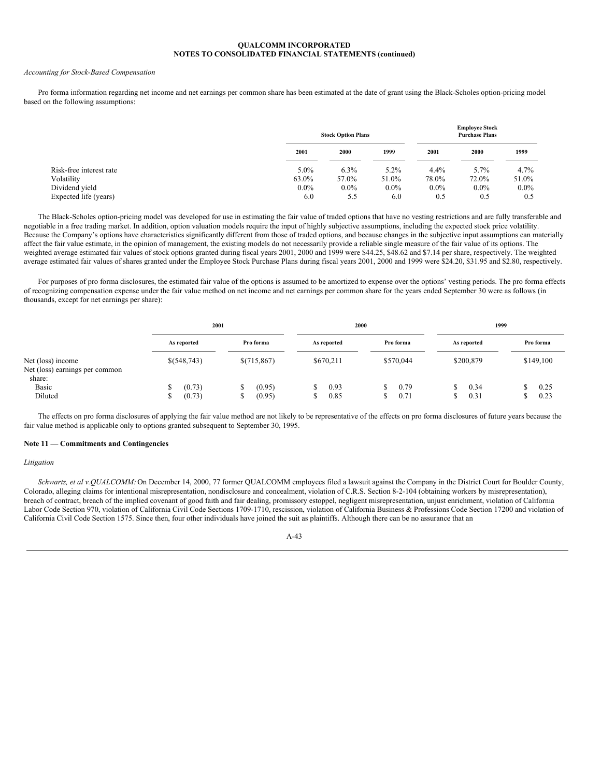#### *Accounting for Stock-Based Compensation*

Pro forma information regarding net income and net earnings per common share has been estimated at the date of grant using the Black-Scholes option-pricing model based on the following assumptions:

|                         |         | <b>Stock Option Plans</b> |         |         | <b>Employee Stock</b><br><b>Purchase Plans</b> |         |
|-------------------------|---------|---------------------------|---------|---------|------------------------------------------------|---------|
|                         | 2001    | 2000                      | 1999    | 2001    | 2000                                           | 1999    |
| Risk-free interest rate | 5.0%    | $6.3\%$                   | $5.2\%$ | $4.4\%$ | 5.7%                                           | 4.7%    |
| Volatility              | 63.0%   | 57.0%                     | 51.0%   | 78.0%   | 72.0%                                          | 51.0%   |
| Dividend yield          | $0.0\%$ | $0.0\%$                   | $0.0\%$ | $0.0\%$ | $0.0\%$                                        | $0.0\%$ |
| Expected life (years)   | 6.0     | 5.5                       | 6.0     | 0.5     | 0.5                                            | 0.5     |

The Black-Scholes option-pricing model was developed for use in estimating the fair value of traded options that have no vesting restrictions and are fully transferable and negotiable in a free trading market. In addition, option valuation models require the input of highly subjective assumptions, including the expected stock price volatility. Because the Company's options have characteristics significantly different from those of traded options, and because changes in the subjective input assumptions can materially affect the fair value estimate, in the opinion of management, the existing models do not necessarily provide a reliable single measure of the fair value of its options. The weighted average estimated fair values of stock options granted during fiscal years 2001, 2000 and 1999 were \$44.25, \$48.62 and \$7.14 per share, respectively. The weighted average estimated fair values of shares granted under the Employee Stock Purchase Plans during fiscal years 2001, 2000 and 1999 were \$24.20, \$31.95 and \$2.80, respectively.

For purposes of pro forma disclosures, the estimated fair value of the options is assumed to be amortized to expense over the options' vesting periods. The pro forma effects of recognizing compensation expense under the fair value method on net income and net earnings per common share for the years ended September 30 were as follows (in thousands, except for net earnings per share):

|                                                     |                            | 2001                       |                    | 2000         |              | 1999              |  |
|-----------------------------------------------------|----------------------------|----------------------------|--------------------|--------------|--------------|-------------------|--|
|                                                     | As reported                | Pro forma                  | As reported        | Pro forma    | As reported  | Pro forma         |  |
| Net (loss) income<br>Net (loss) earnings per common | \$(548,743)                | \$(715,867)                | \$670,211          | \$570,044    | \$200,879    | \$149,100         |  |
| share:<br><b>Basic</b><br>Diluted                   | (0.73)<br>ъ<br>(0.73)<br>ъ | (0.95)<br>S<br>(0.95)<br>C | 0.93<br>ъ.<br>0.85 | 0.79<br>0.71 | 0.34<br>0.31 | 0.25<br>S<br>0.23 |  |

The effects on pro forma disclosures of applying the fair value method are not likely to be representative of the effects on pro forma disclosures of future years because the fair value method is applicable only to options granted subsequent to September 30, 1995.

## **Note 11 — Commitments and Contingencies**

#### *Litigation*

*Schwartz, et al v.QUALCOMM:* On December 14, 2000, 77 former QUALCOMM employees filed a lawsuit against the Company in the District Court for Boulder County, Colorado, alleging claims for intentional misrepresentation, nondisclosure and concealment, violation of C.R.S. Section 8-2-104 (obtaining workers by misrepresentation), breach of contract, breach of the implied covenant of good faith and fair dealing, promissory estoppel, negligent misrepresentation, unjust enrichment, violation of California Labor Code Section 970, violation of California Civil Code Sections 1709-1710, rescission, violation of California Business & Professions Code Section 17200 and violation of California Civil Code Section 1575. Since then, four other individuals have joined the suit as plaintiffs. Although there can be no assurance that an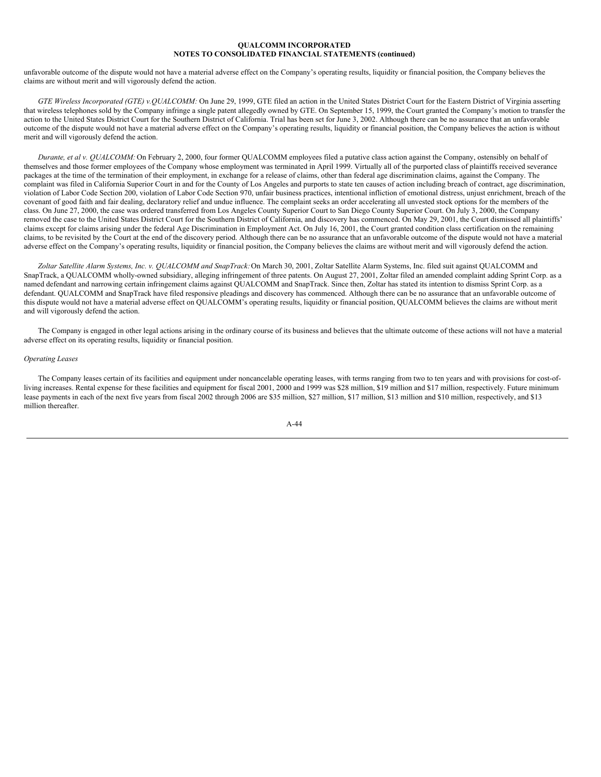unfavorable outcome of the dispute would not have a material adverse effect on the Company's operating results, liquidity or financial position, the Company believes the claims are without merit and will vigorously defend the action.

*GTE Wireless Incorporated (GTE) v.QUALCOMM:* On June 29, 1999, GTE filed an action in the United States District Court for the Eastern District of Virginia asserting that wireless telephones sold by the Company infringe a single patent allegedly owned by GTE. On September 15, 1999, the Court granted the Company's motion to transfer the action to the United States District Court for the Southern District of California. Trial has been set for June 3, 2002. Although there can be no assurance that an unfavorable outcome of the dispute would not have a material adverse effect on the Company's operating results, liquidity or financial position, the Company believes the action is without merit and will vigorously defend the action.

*Durante, et al v. QUALCOMM:* On February 2, 2000, four former QUALCOMM employees filed a putative class action against the Company, ostensibly on behalf of themselves and those former employees of the Company whose employment was terminated in April 1999. Virtually all of the purported class of plaintiffs received severance packages at the time of the termination of their employment, in exchange for a release of claims, other than federal age discrimination claims, against the Company. The complaint was filed in California Superior Court in and for the County of Los Angeles and purports to state ten causes of action including breach of contract, age discrimination, violation of Labor Code Section 200, violation of Labor Code Section 970, unfair business practices, intentional infliction of emotional distress, unjust enrichment, breach of the covenant of good faith and fair dealing, declaratory relief and undue influence. The complaint seeks an order accelerating all unvested stock options for the members of the class. On June 27, 2000, the case was ordered transferred from Los Angeles County Superior Court to San Diego County Superior Court. On July 3, 2000, the Company removed the case to the United States District Court for the Southern District of California, and discovery has commenced. On May 29, 2001, the Court dismissed all plaintiffs' claims except for claims arising under the federal Age Discrimination in Employment Act. On July 16, 2001, the Court granted condition class certification on the remaining claims, to be revisited by the Court at the end of the discovery period. Although there can be no assurance that an unfavorable outcome of the dispute would not have a material adverse effect on the Company's operating results, liquidity or financial position, the Company believes the claims are without merit and will vigorously defend the action.

*Zoltar Satellite Alarm Systems, Inc. v. QUALCOMM and SnapTrack:*On March 30, 2001, Zoltar Satellite Alarm Systems, Inc. filed suit against QUALCOMM and SnapTrack, a QUALCOMM wholly-owned subsidiary, alleging infringement of three patents. On August 27, 2001, Zoltar filed an amended complaint adding Sprint Corp. as a named defendant and narrowing certain infringement claims against QUALCOMM and SnapTrack. Since then, Zoltar has stated its intention to dismiss Sprint Corp. as a defendant. QUALCOMM and SnapTrack have filed responsive pleadings and discovery has commenced. Although there can be no assurance that an unfavorable outcome of this dispute would not have a material adverse effect on QUALCOMM's operating results, liquidity or financial position, QUALCOMM believes the claims are without merit and will vigorously defend the action.

The Company is engaged in other legal actions arising in the ordinary course of its business and believes that the ultimate outcome of these actions will not have a material adverse effect on its operating results, liquidity or financial position.

### *Operating Leases*

The Company leases certain of its facilities and equipment under noncancelable operating leases, with terms ranging from two to ten years and with provisions for cost-ofliving increases. Rental expense for these facilities and equipment for fiscal 2001, 2000 and 1999 was \$28 million, \$19 million and \$17 million, respectively. Future minimum lease payments in each of the next five years from fiscal 2002 through 2006 are \$35 million, \$27 million, \$17 million, \$13 million and \$10 million, respectively, and \$13 million thereafter.

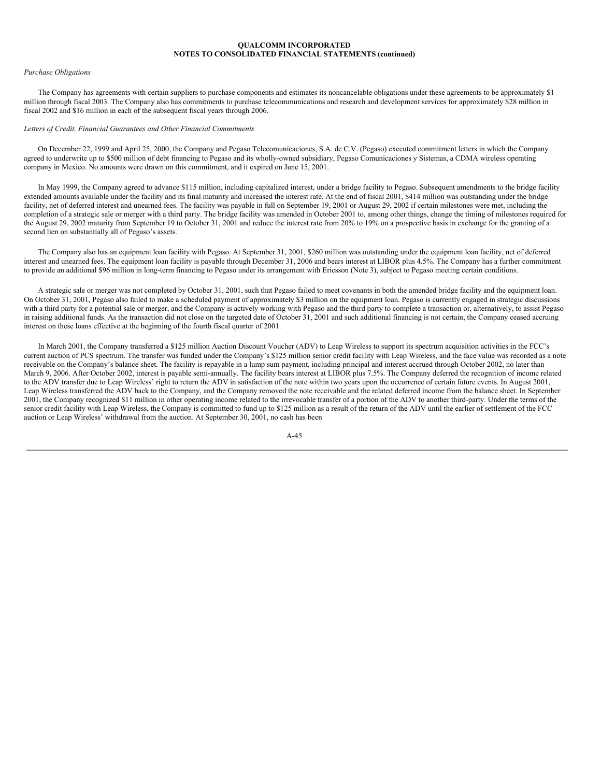## *Purchase Obligations*

The Company has agreements with certain suppliers to purchase components and estimates its noncancelable obligations under these agreements to be approximately \$1 million through fiscal 2003. The Company also has commitments to purchase telecommunications and research and development services for approximately \$28 million in fiscal 2002 and \$16 million in each of the subsequent fiscal years through 2006.

### *Letters of Credit, Financial Guarantees and Other Financial Commitments*

On December 22, 1999 and April 25, 2000, the Company and Pegaso Telecomunicaciones, S.A. de C.V. (Pegaso) executed commitment letters in which the Company agreed to underwrite up to \$500 million of debt financing to Pegaso and its wholly-owned subsidiary, Pegaso Comunicaciones y Sistemas, a CDMA wireless operating company in Mexico. No amounts were drawn on this commitment, and it expired on June 15, 2001.

In May 1999, the Company agreed to advance \$115 million, including capitalized interest, under a bridge facility to Pegaso. Subsequent amendments to the bridge facility extended amounts available under the facility and its final maturity and increased the interest rate. At the end of fiscal 2001, \$414 million was outstanding under the bridge facility, net of deferred interest and unearned fees. The facility was payable in full on September 19, 2001 or August 29, 2002 if certain milestones were met, including the completion of a strategic sale or merger with a third party. The bridge facility was amended in October 2001 to, among other things, change the timing of milestones required for the August 29, 2002 maturity from September 19 to October 31, 2001 and reduce the interest rate from 20% to 19% on a prospective basis in exchange for the granting of a second lien on substantially all of Pegaso's assets.

The Company also has an equipment loan facility with Pegaso. At September 31, 2001, \$260 million was outstanding under the equipment loan facility, net of deferred interest and unearned fees. The equipment loan facility is payable through December 31, 2006 and bears interest at LIBOR plus 4.5%. The Company has a further commitment to provide an additional \$96 million in long-term financing to Pegaso under its arrangement with Ericsson (Note 3), subject to Pegaso meeting certain conditions.

A strategic sale or merger was not completed by October 31, 2001, such that Pegaso failed to meet covenants in both the amended bridge facility and the equipment loan. On October 31, 2001, Pegaso also failed to make a scheduled payment of approximately \$3 million on the equipment loan. Pegaso is currently engaged in strategic discussions with a third party for a potential sale or merger, and the Company is actively working with Pegaso and the third party to complete a transaction or, alternatively, to assist Pegaso in raising additional funds. As the transaction did not close on the targeted date of October 31, 2001 and such additional financing is not certain, the Company ceased accruing interest on these loans effective at the beginning of the fourth fiscal quarter of 2001.

In March 2001, the Company transferred a \$125 million Auction Discount Voucher (ADV) to Leap Wireless to support its spectrum acquisition activities in the FCC's current auction of PCS spectrum. The transfer was funded under the Company's \$125 million senior credit facility with Leap Wireless, and the face value was recorded as a note receivable on the Company's balance sheet. The facility is repayable in a lump sum payment, including principal and interest accrued through October 2002, no later than March 9, 2006. After October 2002, interest is payable semi-annually. The facility bears interest at LIBOR plus 7.5%. The Company deferred the recognition of income related to the ADV transfer due to Leap Wireless' right to return the ADV in satisfaction of the note within two years upon the occurrence of certain future events. In August 2001, Leap Wireless transferred the ADV back to the Company, and the Company removed the note receivable and the related deferred income from the balance sheet. In September 2001, the Company recognized \$11 million in other operating income related to the irrevocable transfer of a portion of the ADV to another third-party. Under the terms of the senior credit facility with Leap Wireless, the Company is committed to fund up to \$125 million as a result of the return of the ADV until the earlier of settlement of the FCC auction or Leap Wireless' withdrawal from the auction. At September 30, 2001, no cash has been

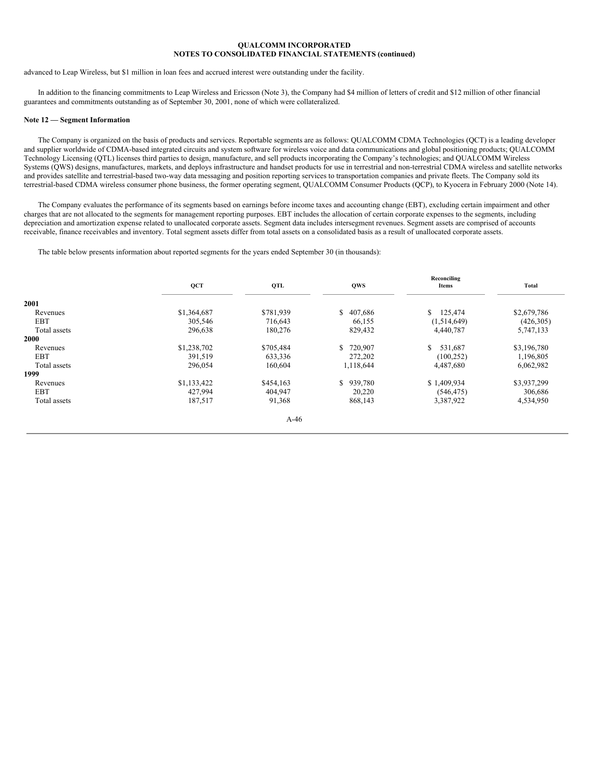advanced to Leap Wireless, but \$1 million in loan fees and accrued interest were outstanding under the facility.

In addition to the financing commitments to Leap Wireless and Ericsson (Note 3), the Company had \$4 million of letters of credit and \$12 million of other financial guarantees and commitments outstanding as of September 30, 2001, none of which were collateralized.

### **Note 12 — Segment Information**

The Company is organized on the basis of products and services. Reportable segments are as follows: QUALCOMM CDMA Technologies (QCT) is a leading developer and supplier worldwide of CDMA-based integrated circuits and system software for wireless voice and data communications and global positioning products; QUALCOMM Technology Licensing (QTL) licenses third parties to design, manufacture, and sell products incorporating the Company's technologies; and QUALCOMM Wireless Systems (QWS) designs, manufactures, markets, and deploys infrastructure and handset products for use in terrestrial and non-terrestrial CDMA wireless and satellite networks and provides satellite and terrestrial-based two-way data messaging and position reporting services to transportation companies and private fleets. The Company sold its terrestrial-based CDMA wireless consumer phone business, the former operating segment, QUALCOMM Consumer Products (QCP), to Kyocera in February 2000 (Note 14).

The Company evaluates the performance of its segments based on earnings before income taxes and accounting change (EBT), excluding certain impairment and other charges that are not allocated to the segments for management reporting purposes. EBT includes the allocation of certain corporate expenses to the segments, including depreciation and amortization expense related to unallocated corporate assets. Segment data includes intersegment revenues. Segment assets are comprised of accounts receivable, finance receivables and inventory. Total segment assets differ from total assets on a consolidated basis as a result of unallocated corporate assets.

The table below presents information about reported segments for the years ended September 30 (in thousands):

|              | QCT         | QTL       | <b>QWS</b> | Reconciling<br>Items | <b>Total</b> |
|--------------|-------------|-----------|------------|----------------------|--------------|
| 2001         |             |           |            |                      |              |
| Revenues     | \$1,364,687 | \$781,939 | \$407,686  | 125,474<br>S.        | \$2,679,786  |
| <b>EBT</b>   | 305,546     | 716,643   | 66,155     | (1,514,649)          | (426,305)    |
| Total assets | 296,638     | 180,276   | 829,432    | 4,440,787            | 5,747,133    |
| 2000         |             |           |            |                      |              |
| Revenues     | \$1,238,702 | \$705,484 | \$720,907  | 531,687<br>S.        | \$3,196,780  |
| <b>EBT</b>   | 391,519     | 633,336   | 272,202    | (100, 252)           | 1,196,805    |
| Total assets | 296,054     | 160,604   | 1,118,644  | 4,487,680            | 6,062,982    |
| 1999         |             |           |            |                      |              |
| Revenues     | \$1,133,422 | \$454,163 | \$939,780  | \$1,409,934          | \$3,937,299  |
| <b>EBT</b>   | 427,994     | 404,947   | 20,220     | (546, 475)           | 306,686      |
| Total assets | 187,517     | 91,368    | 868,143    | 3,387,922            | 4,534,950    |
|              |             | $A-46$    |            |                      |              |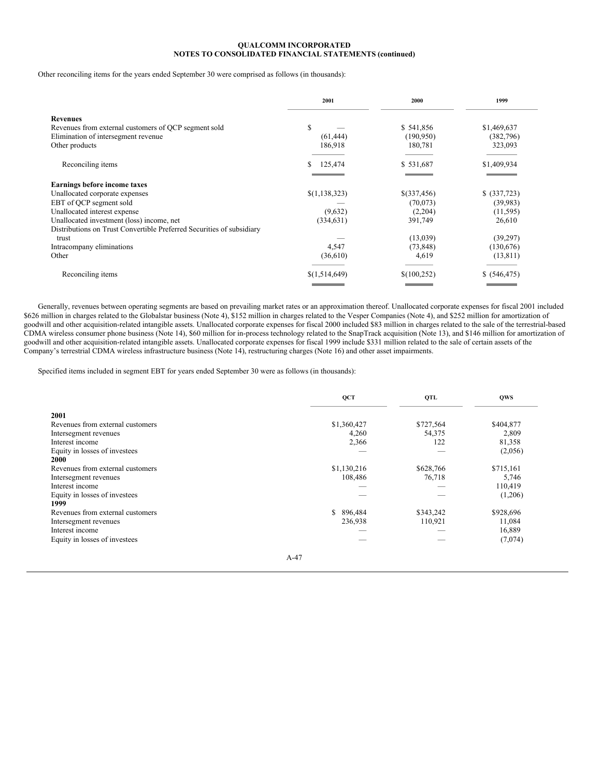Other reconciling items for the years ended September 30 were comprised as follows (in thousands):

|                                                                                                                                                                                                                                                                                       | 2001                                            | 2000                                                                   | 1999                                                                     |
|---------------------------------------------------------------------------------------------------------------------------------------------------------------------------------------------------------------------------------------------------------------------------------------|-------------------------------------------------|------------------------------------------------------------------------|--------------------------------------------------------------------------|
| <b>Revenues</b><br>Revenues from external customers of QCP segment sold<br>Elimination of intersegment revenue<br>Other products                                                                                                                                                      | S<br>(61, 444)<br>186,918                       | \$541,856<br>(190, 950)<br>180,781                                     | \$1,469,637<br>(382,796)<br>323,093                                      |
| Reconciling items                                                                                                                                                                                                                                                                     | 125,474<br>S                                    | \$531,687                                                              | \$1,409,934                                                              |
| Earnings before income taxes<br>Unallocated corporate expenses<br>EBT of QCP segment sold<br>Unallocated interest expense<br>Unallocated investment (loss) income, net<br>Distributions on Trust Convertible Preferred Securities of subsidiary<br>trust<br>Intracompany eliminations | \$(1,138,323)<br>(9,632)<br>(334, 631)<br>4,547 | \$(337,456)<br>(70,073)<br>(2,204)<br>391,749<br>(13,039)<br>(73, 848) | \$ (337,723)<br>(39,983)<br>(11, 595)<br>26,610<br>(39,297)<br>(130,676) |
| Other                                                                                                                                                                                                                                                                                 | (36,610)                                        | 4,619                                                                  | (13, 811)                                                                |
| Reconciling items                                                                                                                                                                                                                                                                     | \$(1,514,649)                                   | \$(100,252)                                                            | \$ (546, 475)                                                            |

Generally, revenues between operating segments are based on prevailing market rates or an approximation thereof. Unallocated corporate expenses for fiscal 2001 included \$626 million in charges related to the Globalstar business (Note 4), \$152 million in charges related to the Vesper Companies (Note 4), and \$252 million for amortization of goodwill and other acquisition-related intangible assets. Unallocated corporate expenses for fiscal 2000 included \$83 million in charges related to the sale of the terrestrial-based CDMA wireless consumer phone business (Note 14), \$60 million for in-process technology related to the SnapTrack acquisition (Note 13), and \$146 million for amortization of goodwill and other acquisition-related intangible assets. Unallocated corporate expenses for fiscal 1999 include \$331 million related to the sale of certain assets of the Company's terrestrial CDMA wireless infrastructure business (Note 14), restructuring charges (Note 16) and other asset impairments.

Specified items included in segment EBT for years ended September 30 were as follows (in thousands):

|                                  | QCT           | QTL       | <b>OWS</b> |
|----------------------------------|---------------|-----------|------------|
| 2001                             |               |           |            |
| Revenues from external customers | \$1,360,427   | \$727,564 | \$404,877  |
| Intersegment revenues            | 4,260         | 54,375    | 2,809      |
| Interest income                  | 2,366         | 122       | 81,358     |
| Equity in losses of investees    |               |           | (2,056)    |
| 2000                             |               |           |            |
| Revenues from external customers | \$1,130,216   | \$628,766 | \$715,161  |
| Intersegment revenues            | 108,486       | 76,718    | 5,746      |
| Interest income                  |               |           | 110,419    |
| Equity in losses of investees    |               |           | (1,206)    |
| 1999                             |               |           |            |
| Revenues from external customers | 896,484<br>S. | \$343,242 | \$928,696  |
| Intersegment revenues            | 236,938       | 110,921   | 11,084     |
| Interest income                  |               |           | 16,889     |
| Equity in losses of investees    |               |           | (7,074)    |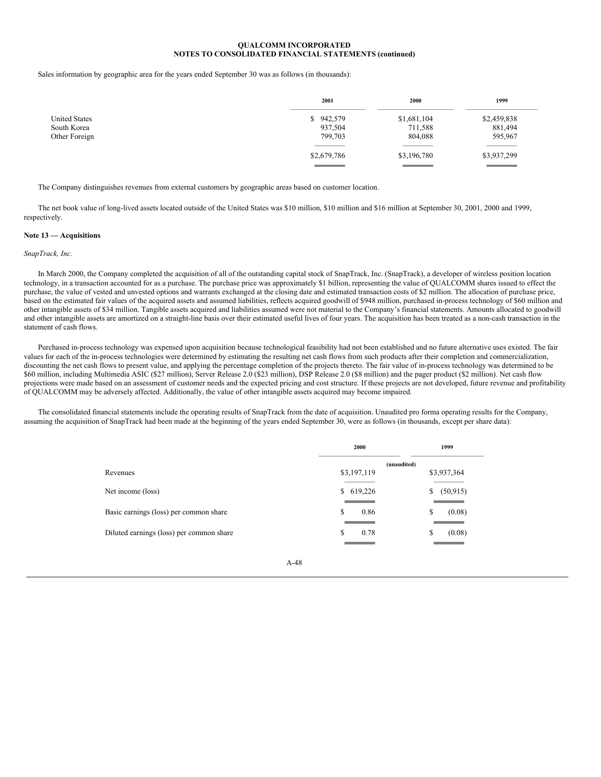Sales information by geographic area for the years ended September 30 was as follows (in thousands):

|                      | 2001        | 2000        | 1999        |
|----------------------|-------------|-------------|-------------|
| <b>United States</b> | \$942,579   | \$1,681,104 | \$2,459,838 |
| South Korea          | 937,504     | 711,588     | 881,494     |
| Other Foreign        | 799,703     | 804,088     | 595,967     |
|                      | \$2,679,786 | \$3,196,780 | \$3,937,299 |
|                      |             |             |             |

The Company distinguishes revenues from external customers by geographic areas based on customer location.

The net book value of long-lived assets located outside of the United States was \$10 million, \$10 million and \$16 million at September 30, 2001, 2000 and 1999, respectively.

### **Note 13 — Acquisitions**

## *SnapTrack, Inc.*

In March 2000, the Company completed the acquisition of all of the outstanding capital stock of SnapTrack, Inc. (SnapTrack), a developer of wireless position location technology, in a transaction accounted for as a purchase. The purchase price was approximately \$1 billion, representing the value of QUALCOMM shares issued to effect the purchase, the value of vested and unvested options and warrants exchanged at the closing date and estimated transaction costs of \$2 million. The allocation of purchase price, based on the estimated fair values of the acquired assets and assumed liabilities, reflects acquired goodwill of \$948 million, purchased in-process technology of \$60 million and other intangible assets of \$34 million. Tangible assets acquired and liabilities assumed were not material to the Company's financial statements. Amounts allocated to goodwill and other intangible assets are amortized on a straight-line basis over their estimated useful lives of four years. The acquisition has been treated as a non-cash transaction in the statement of cash flows.

Purchased in-process technology was expensed upon acquisition because technological feasibility had not been established and no future alternative uses existed. The fair values for each of the in-process technologies were determined by estimating the resulting net cash flows from such products after their completion and commercialization, discounting the net cash flows to present value, and applying the percentage completion of the projects thereto. The fair value of in-process technology was determined to be \$60 million, including Multimedia ASIC (\$27 million), Server Release 2.0 (\$23 million), DSP Release 2.0 (\$8 million) and the pager product (\$2 million). Net cash flow projections were made based on an assessment of customer needs and the expected pricing and cost structure. If these projects are not developed, future revenue and profitability of QUALCOMM may be adversely affected. Additionally, the value of other intangible assets acquired may become impaired.

The consolidated financial statements include the operating results of SnapTrack from the date of acquisition. Unaudited pro forma operating results for the Company, assuming the acquisition of SnapTrack had been made at the beginning of the years ended September 30, were as follows (in thousands, except per share data):

|                                          | 2000        | 1999           |
|------------------------------------------|-------------|----------------|
|                                          | (unaudited) |                |
| Revenues                                 | \$3,197,119 | \$3,937,364    |
| Net income (loss)                        | \$619,226   | (50, 915)<br>S |
| Basic earnings (loss) per common share   | S<br>0.86   | S<br>(0.08)    |
| Diluted earnings (loss) per common share | S<br>0.78   | (0.08)<br>S    |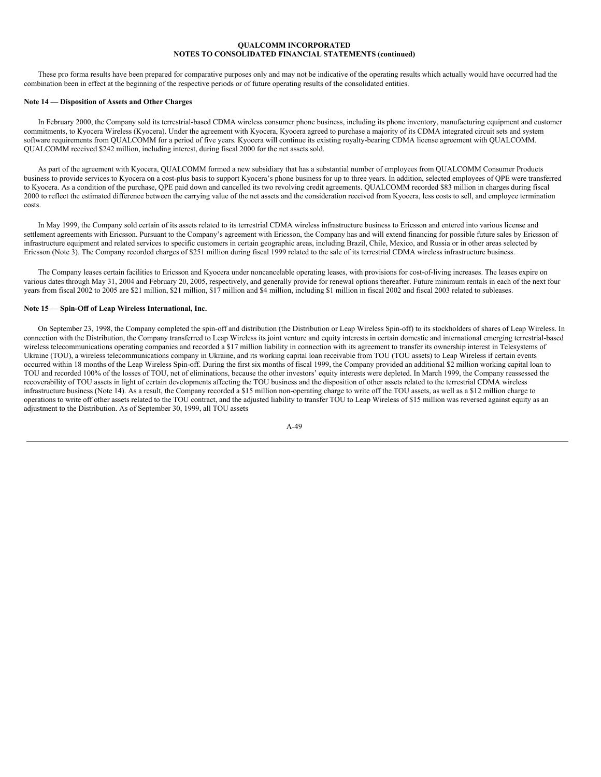These pro forma results have been prepared for comparative purposes only and may not be indicative of the operating results which actually would have occurred had the combination been in effect at the beginning of the respective periods or of future operating results of the consolidated entities.

## **Note 14 — Disposition of Assets and Other Charges**

In February 2000, the Company sold its terrestrial-based CDMA wireless consumer phone business, including its phone inventory, manufacturing equipment and customer commitments, to Kyocera Wireless (Kyocera). Under the agreement with Kyocera, Kyocera agreed to purchase a majority of its CDMA integrated circuit sets and system software requirements from QUALCOMM for a period of five years. Kyocera will continue its existing royalty-bearing CDMA license agreement with QUALCOMM. QUALCOMM received \$242 million, including interest, during fiscal 2000 for the net assets sold.

As part of the agreement with Kyocera, QUALCOMM formed a new subsidiary that has a substantial number of employees from QUALCOMM Consumer Products business to provide services to Kyocera on a cost-plus basis to support Kyocera's phone business for up to three years. In addition, selected employees of QPE were transferred to Kyocera. As a condition of the purchase, QPE paid down and cancelled its two revolving credit agreements. QUALCOMM recorded \$83 million in charges during fiscal 2000 to reflect the estimated difference between the carrying value of the net assets and the consideration received from Kyocera, less costs to sell, and employee termination costs.

In May 1999, the Company sold certain of its assets related to its terrestrial CDMA wireless infrastructure business to Ericsson and entered into various license and settlement agreements with Ericsson. Pursuant to the Company's agreement with Ericsson, the Company has and will extend financing for possible future sales by Ericsson of infrastructure equipment and related services to specific customers in certain geographic areas, including Brazil, Chile, Mexico, and Russia or in other areas selected by Ericsson (Note 3). The Company recorded charges of \$251 million during fiscal 1999 related to the sale of its terrestrial CDMA wireless infrastructure business.

The Company leases certain facilities to Ericsson and Kyocera under noncancelable operating leases, with provisions for cost-of-living increases. The leases expire on various dates through May 31, 2004 and February 20, 2005, respectively, and generally provide for renewal options thereafter. Future minimum rentals in each of the next four years from fiscal 2002 to 2005 are \$21 million, \$21 million, \$17 million and \$4 million, including \$1 million in fiscal 2002 and fiscal 2003 related to subleases.

## **Note 15 — Spin-Off of Leap Wireless International, Inc.**

On September 23, 1998, the Company completed the spin-off and distribution (the Distribution or Leap Wireless Spin-off) to its stockholders of shares of Leap Wireless. In connection with the Distribution, the Company transferred to Leap Wireless its joint venture and equity interests in certain domestic and international emerging terrestrial-based wireless telecommunications operating companies and recorded a \$17 million liability in connection with its agreement to transfer its ownership interest in Telesystems of Ukraine (TOU), a wireless telecommunications company in Ukraine, and its working capital loan receivable from TOU (TOU assets) to Leap Wireless if certain events occurred within 18 months of the Leap Wireless Spin-off. During the first six months of fiscal 1999, the Company provided an additional \$2 million working capital loan to TOU and recorded 100% of the losses of TOU, net of eliminations, because the other investors' equity interests were depleted. In March 1999, the Company reassessed the recoverability of TOU assets in light of certain developments affecting the TOU business and the disposition of other assets related to the terrestrial CDMA wireless infrastructure business (Note 14). As a result, the Company recorded a \$15 million non-operating charge to write off the TOU assets, as well as a \$12 million charge to operations to write off other assets related to the TOU contract, and the adjusted liability to transfer TOU to Leap Wireless of \$15 million was reversed against equity as an adjustment to the Distribution. As of September 30, 1999, all TOU assets

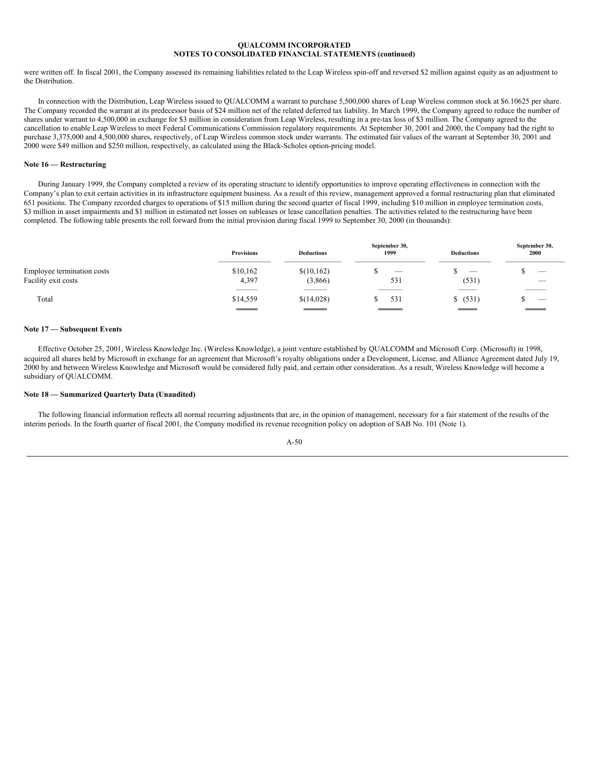were written off. In fiscal 2001, the Company assessed its remaining liabilities related to the Leap Wireless spin-off and reversed \$2 million against equity as an adjustment to the Distribution.

In connection with the Distribution, Leap Wireless issued to QUALCOMM a warrant to purchase 5,500,000 shares of Leap Wireless common stock at \$6.10625 per share. The Company recorded the warrant at its predecessor basis of \$24 million net of the related deferred tax liability. In March 1999, the Company agreed to reduce the number of shares under warrant to 4,500,000 in exchange for \$3 million in consideration from Leap Wireless, resulting in a pre-tax loss of \$3 million. The Company agreed to the cancellation to enable Leap Wireless to meet Federal Communications Commission regulatory requirements. At September 30, 2001 and 2000, the Company had the right to purchase 3,375,000 and 4,500,000 shares, respectively, of Leap Wireless common stock under warrants. The estimated fair values of the warrant at September 30, 2001 and 2000 were \$49 million and \$250 million, respectively, as calculated using the Black-Scholes option-pricing model.

### **Note 16 — Restructuring**

During January 1999, the Company completed a review of its operating structure to identify opportunities to improve operating effectiveness in connection with the Company's plan to exit certain activities in its infrastructure equipment business. As a result of this review, management approved a formal restructuring plan that eliminated 651 positions. The Company recorded charges to operations of \$15 million during the second quarter of fiscal 1999, including \$10 million in employee termination costs, \$3 million in asset impairments and \$1 million in estimated net losses on subleases or lease cancellation penalties. The activities related to the restructuring have been completed. The following table presents the roll forward from the initial provision during fiscal 1999 to September 30, 2000 (in thousands):

|                                                   | <b>Provisions</b>                | <b>Deductions</b>     | September 30,<br>1999 | <b>Deductions</b> | September 30,<br>2000           |
|---------------------------------------------------|----------------------------------|-----------------------|-----------------------|-------------------|---------------------------------|
| Employee termination costs<br>Facility exit costs | \$10,162<br>4,397                | \$(10,162)<br>(3,866) | 531                   | (531)             | $\hspace{0.1mm}-\hspace{0.1mm}$ |
| Total                                             | \$14,559<br><b>Service State</b> | \$(14,028)            | 531                   | \$ (531)          | $\hspace{0.1mm}-\hspace{0.1mm}$ |

## **Note 17 — Subsequent Events**

Effective October 25, 2001, Wireless Knowledge Inc. (Wireless Knowledge), a joint venture established by QUALCOMM and Microsoft Corp. (Microsoft) in 1998, acquired all shares held by Microsoft in exchange for an agreement that Microsoft's royalty obligations under a Development, License, and Alliance Agreement dated July 19, 2000 by and between Wireless Knowledge and Microsoft would be considered fully paid, and certain other consideration. As a result, Wireless Knowledge will become a subsidiary of QUALCOMM.

## **Note 18 — Summarized Quarterly Data (Unaudited)**

The following financial information reflects all normal recurring adjustments that are, in the opinion of management, necessary for a fair statement of the results of the interim periods. In the fourth quarter of fiscal 2001, the Company modified its revenue recognition policy on adoption of SAB No. 101 (Note 1).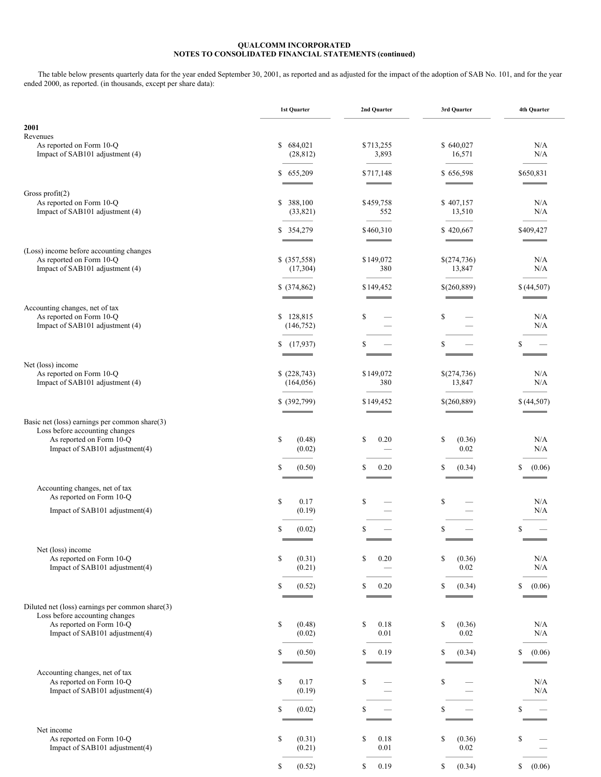The table below presents quarterly data for the year ended September 30, 2001, as reported and as adjusted for the impact of the adoption of SAB No. 101, and for the year ended 2000, as reported. (in thousands, except per share data):

|                                                                                              | 1st Quarter                | 2nd Quarter                           | 3rd Quarter                            | 4th Quarter  |
|----------------------------------------------------------------------------------------------|----------------------------|---------------------------------------|----------------------------------------|--------------|
| 2001<br>Revenues                                                                             |                            |                                       |                                        |              |
| As reported on Form 10-Q<br>Impact of SAB101 adjustment (4)                                  | \$684,021<br>(28, 812)     | \$713,255<br>3,893                    | \$640,027<br>16,571                    | N/A<br>N/A   |
|                                                                                              | \$655,209                  | \$717,148                             | \$656,598                              | \$650,831    |
| Gross profit $(2)$<br>As reported on Form 10-Q                                               | \$ 388,100                 | \$459,758                             | \$407,157                              | N/A          |
| Impact of SAB101 adjustment (4)                                                              | (33,821)                   | 552                                   | 13,510                                 | N/A          |
|                                                                                              | \$ 354,279                 | \$460,310<br><b>Contract Contract</b> | \$420,667<br><b>Service Controller</b> | \$409,427    |
| (Loss) income before accounting changes<br>As reported on Form 10-Q                          | \$ (357,558)               | \$149,072                             | \$(274,736)                            | N/A          |
| Impact of SAB101 adjustment (4)                                                              | (17,304)                   | 380                                   | 13,847                                 | N/A          |
|                                                                                              | \$ (374, 862)              | \$149,452                             | \$(260,889)                            | \$(44,507)   |
| Accounting changes, net of tax<br>As reported on Form 10-Q                                   | \$128,815                  | \$                                    | \$                                     | N/A          |
| Impact of SAB101 adjustment (4)                                                              | (146, 752)                 |                                       |                                        | N/A          |
|                                                                                              | (17, 937)<br>\$            | S                                     |                                        | S            |
| Net (loss) income                                                                            |                            |                                       |                                        |              |
| As reported on Form 10-Q<br>Impact of SAB101 adjustment (4)                                  | \$ (228,743)<br>(164, 056) | \$149,072<br>380                      | \$(274,736)<br>13,847                  | N/A<br>N/A   |
|                                                                                              | \$ (392,799)               | \$149,452                             | \$(260,889)                            | \$(44,507)   |
| Basic net (loss) earnings per common share(3)                                                |                            |                                       |                                        |              |
| Loss before accounting changes<br>As reported on Form 10-Q<br>Impact of SAB101 adjustment(4) | \$<br>(0.48)<br>(0.02)     | \$<br>0.20                            | \$<br>(0.36)<br>0.02                   | N/A<br>N/A   |
|                                                                                              | \$<br>(0.50)               | \$<br>0.20                            | S<br>(0.34)                            | \$<br>(0.06) |
| Accounting changes, net of tax                                                               |                            |                                       |                                        |              |
| As reported on Form 10-Q                                                                     | \$<br>0.17                 | \$                                    | \$                                     | N/A          |
| Impact of SAB101 adjustment(4)                                                               | (0.19)                     |                                       |                                        | N/A          |
|                                                                                              | S<br>(0.02)                | S                                     | <b>S</b>                               | \$           |
| Net (loss) income<br>As reported on Form 10-Q                                                | \$<br>(0.31)               | \$<br>0.20                            | (0.36)<br>S                            | N/A          |
| Impact of SAB101 adjustment(4)                                                               | (0.21)                     |                                       | 0.02                                   | N/A          |
|                                                                                              | S<br>(0.52)                | \$<br>0.20                            | (0.34)<br>S                            | \$<br>(0.06) |
| Diluted net (loss) earnings per common share(3)<br>Loss before accounting changes            |                            |                                       |                                        |              |
| As reported on Form 10-Q<br>Impact of SAB101 adjustment(4)                                   | \$<br>(0.48)<br>(0.02)     | \$<br>0.18<br>0.01                    | \$<br>(0.36)<br>0.02                   | N/A<br>N/A   |
|                                                                                              |                            |                                       |                                        |              |
|                                                                                              | \$<br>(0.50)               | \$<br>0.19                            | (0.34)<br>S                            | \$<br>(0.06) |
| Accounting changes, net of tax<br>As reported on Form 10-Q                                   | \$<br>0.17                 | \$                                    | \$                                     | N/A          |
| Impact of SAB101 adjustment(4)                                                               | (0.19)                     |                                       |                                        | N/A          |
|                                                                                              | \$<br>(0.02)               | S                                     | S                                      | \$           |
| Net income<br>As reported on Form 10-Q                                                       | \$<br>(0.31)               | \$<br>0.18                            | \$<br>(0.36)                           | \$           |
| Impact of SAB101 adjustment(4)                                                               | (0.21)                     | 0.01                                  | 0.02                                   |              |
|                                                                                              | \$<br>(0.52)               | 0.19<br>\$                            | (0.34)<br>\$                           | (0.06)<br>\$ |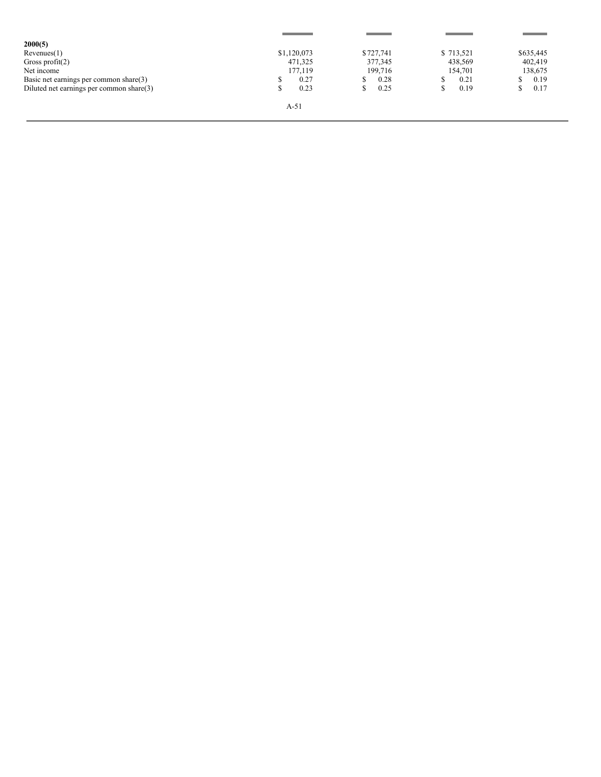| 2000(5)                                  |             |           |           |           |
|------------------------------------------|-------------|-----------|-----------|-----------|
| Revenues(1)                              | \$1,120,073 | \$727,741 | \$713,521 | \$635,445 |
| Gross profit $(2)$                       | 471,325     | 377,345   | 438,569   | 402,419   |
| Net income                               | 177.119     | 199.716   | 154,701   | 138,675   |
| Basic net earnings per common share(3)   | 0.27        | 0.28      | 0.21      | 0.19      |
| Diluted net earnings per common share(3) | 0.23        | 0.25      | 0.19      | 0.17      |
|                                          | A-51        |           |           |           |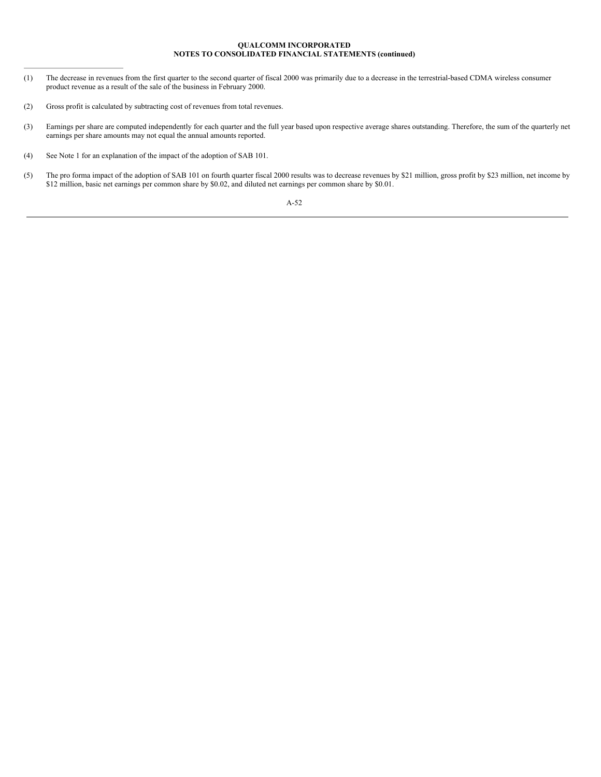# **QUALCOMM INCORPORATED NOTES TO CONSOLIDATED FINANCIAL STATEMENTS (continued)**

- (1) The decrease in revenues from the first quarter to the second quarter of fiscal 2000 was primarily due to a decrease in the terrestrial-based CDMA wireless consumer product revenue as a result of the sale of the business in February 2000.
- (2) Gross profit is calculated by subtracting cost of revenues from total revenues.
- (3) Earnings per share are computed independently for each quarter and the full year based upon respective average shares outstanding. Therefore, the sum of the quarterly net earnings per share amounts may not equal the annual amounts reported.
- (4) See Note 1 for an explanation of the impact of the adoption of SAB 101.
- (5) The pro forma impact of the adoption of SAB 101 on fourth quarter fiscal 2000 results was to decrease revenues by \$21 million, gross profit by \$23 million, net income by \$12 million, basic net earnings per common share by \$0.02, and diluted net earnings per common share by \$0.01.

# A-52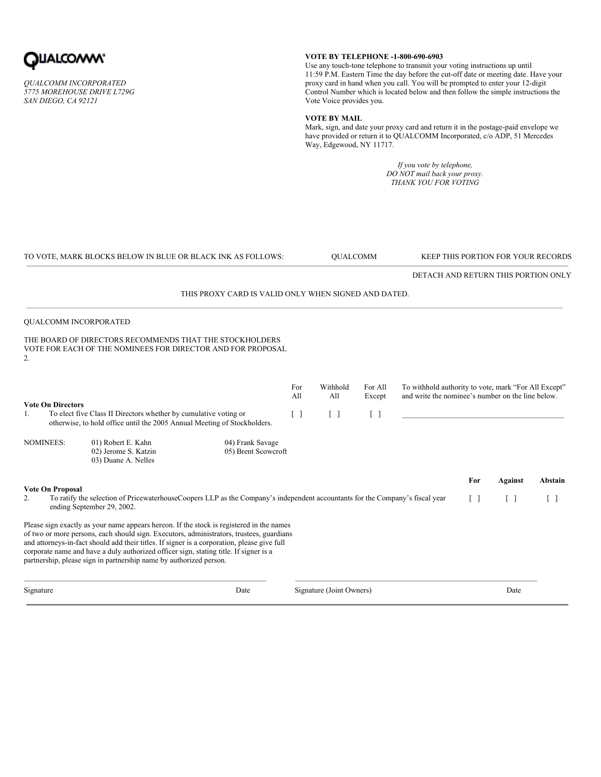

*QUALCOMM INCORPORATED 5775 MOREHOUSE DRIVE L729G SAN DIEGO, CA 92121*

# **VOTE BY TELEPHONE -1-800-690-6903**

Use any touch-tone telephone to transmit your voting instructions up until 11:59 P.M. Eastern Time the day before the cut-off date or meeting date. Have your proxy card in hand when you call. You will be prompted to enter your 12-digit Control Number which is located below and then follow the simple instructions the Vote Voice provides you.

# **VOTE BY MAIL**

Mark, sign, and date your proxy card and return it in the postage-paid envelope we have provided or return it to QUALCOMM Incorporated, c/o ADP, 51 Mercedes Way, Edgewood, NY 11717.

> *If you vote by telephone, DO NOT mail back your proxy. THANK YOU FOR VOTING*

| TO VOTE, MARK BLOCKS BELOW IN BLUE OR BLACK INK AS FOLLOWS:                                                                                                                                                                                                                                                                                                                                                                                        |                                         |                          | <b>OUALCOMM</b>   |                   | KEEP THIS PORTION FOR YOUR RECORDS                                                                        |                   |                   |                   |
|----------------------------------------------------------------------------------------------------------------------------------------------------------------------------------------------------------------------------------------------------------------------------------------------------------------------------------------------------------------------------------------------------------------------------------------------------|-----------------------------------------|--------------------------|-------------------|-------------------|-----------------------------------------------------------------------------------------------------------|-------------------|-------------------|-------------------|
|                                                                                                                                                                                                                                                                                                                                                                                                                                                    |                                         |                          |                   |                   | DETACH AND RETURN THIS PORTION ONLY                                                                       |                   |                   |                   |
| THIS PROXY CARD IS VALID ONLY WHEN SIGNED AND DATED.                                                                                                                                                                                                                                                                                                                                                                                               |                                         |                          |                   |                   |                                                                                                           |                   |                   |                   |
| QUALCOMM INCORPORATED                                                                                                                                                                                                                                                                                                                                                                                                                              |                                         |                          |                   |                   |                                                                                                           |                   |                   |                   |
| THE BOARD OF DIRECTORS RECOMMENDS THAT THE STOCKHOLDERS<br>VOTE FOR EACH OF THE NOMINEES FOR DIRECTOR AND FOR PROPOSAL<br>2.                                                                                                                                                                                                                                                                                                                       |                                         |                          |                   |                   |                                                                                                           |                   |                   |                   |
| <b>Vote On Directors</b>                                                                                                                                                                                                                                                                                                                                                                                                                           |                                         | For<br>All               | Withhold<br>All   | For All<br>Except | To withhold authority to vote, mark "For All Except"<br>and write the nominee's number on the line below. |                   |                   |                   |
| To elect five Class II Directors whether by cumulative voting or<br>1.<br>otherwise, to hold office until the 2005 Annual Meeting of Stockholders.                                                                                                                                                                                                                                                                                                 |                                         | $\lceil$ $\rceil$        | $\lceil$ $\rceil$ | $\lceil$ $\rceil$ |                                                                                                           |                   |                   |                   |
| <b>NOMINEES:</b><br>01) Robert E. Kahn<br>02) Jerome S. Katzin<br>03) Duane A. Nelles                                                                                                                                                                                                                                                                                                                                                              | 04) Frank Savage<br>05) Brent Scowcroft |                          |                   |                   |                                                                                                           |                   |                   |                   |
| <b>Vote On Proposal</b>                                                                                                                                                                                                                                                                                                                                                                                                                            |                                         |                          |                   |                   |                                                                                                           | For               | <b>Against</b>    | Abstain           |
| To ratify the selection of PricewaterhouseCoopers LLP as the Company's independent accountants for the Company's fiscal year<br>2.<br>ending September 29, 2002.                                                                                                                                                                                                                                                                                   |                                         |                          |                   |                   |                                                                                                           | $\lceil$ $\rceil$ | $\lceil$ $\rceil$ | $\lceil$ $\rceil$ |
| Please sign exactly as your name appears hereon. If the stock is registered in the names<br>of two or more persons, each should sign. Executors, administrators, trustees, guardians<br>and attorneys-in-fact should add their titles. If signer is a corporation, please give full<br>corporate name and have a duly authorized officer sign, stating title. If signer is a<br>partnership, please sign in partnership name by authorized person. |                                         |                          |                   |                   |                                                                                                           |                   |                   |                   |
| Signature<br>Date                                                                                                                                                                                                                                                                                                                                                                                                                                  |                                         | Signature (Joint Owners) |                   |                   |                                                                                                           | Date              |                   |                   |